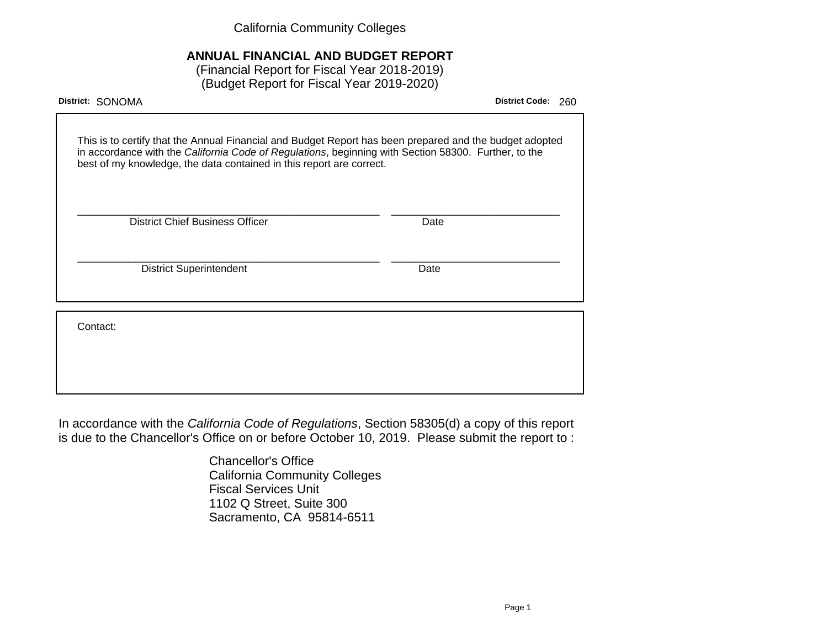California Community Colleges

# **ANNUAL FINANCIAL AND BUDGET REPORT**

(Financial Report for Fiscal Year 2018-2019) (Budget Report for Fiscal Year 2019-2020)

| District: SONOMA                                                                                                                                                                                                                                                                        | <b>District Code:</b> | 260 |
|-----------------------------------------------------------------------------------------------------------------------------------------------------------------------------------------------------------------------------------------------------------------------------------------|-----------------------|-----|
| This is to certify that the Annual Financial and Budget Report has been prepared and the budget adopted<br>in accordance with the California Code of Regulations, beginning with Section 58300. Further, to the<br>best of my knowledge, the data contained in this report are correct. |                       |     |
| <b>District Chief Business Officer</b><br>Date                                                                                                                                                                                                                                          |                       |     |
| <b>District Superintendent</b><br>Date                                                                                                                                                                                                                                                  |                       |     |
| Contact:                                                                                                                                                                                                                                                                                |                       |     |
|                                                                                                                                                                                                                                                                                         |                       |     |

In accordance with the California Code of Regulations, Section 58305(d) a copy of this report is due to the Chancellor's Office on or before October 10, 2019. Please submit the report to :

> Chancellor's Office California Community Colleges Fiscal Services Unit 1102 Q Street, Suite 300 Sacramento, CA 95814-6511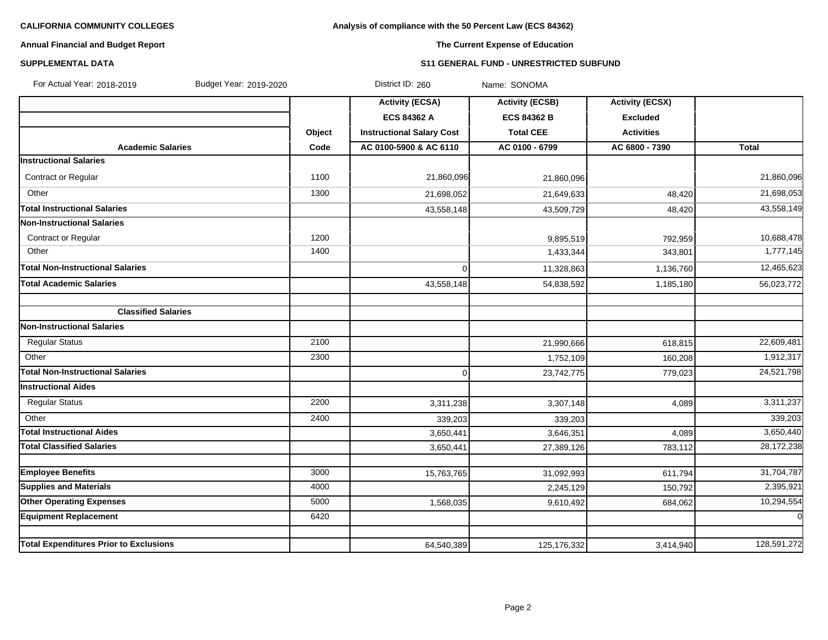# **Analysis of compliance with the 50 Percent Law (ECS 84362)**

# **Annual Financial and Budget Report**

# **The Current Expense of Education**

### **SUPPLEMENTAL DATA S11 GENERAL FUND - UNRESTRICTED SUBFUND**

| For Actual Year: 2018-2019<br>Budget Year: 2019-2020 |        | District ID: 260                 | Name: SONOMA           |                        |                |
|------------------------------------------------------|--------|----------------------------------|------------------------|------------------------|----------------|
|                                                      |        | <b>Activity (ECSA)</b>           | <b>Activity (ECSB)</b> | <b>Activity (ECSX)</b> |                |
|                                                      |        | <b>ECS 84362 A</b>               | <b>ECS 84362 B</b>     | <b>Excluded</b>        |                |
|                                                      | Object | <b>Instructional Salary Cost</b> | <b>Total CEE</b>       | <b>Activities</b>      |                |
| <b>Academic Salaries</b>                             | Code   | AC 0100-5900 & AC 6110           | AC 0100 - 6799         | AC 6800 - 7390         | <b>Total</b>   |
| <b>Instructional Salaries</b>                        |        |                                  |                        |                        |                |
| Contract or Regular                                  | 1100   | 21,860,096                       | 21,860,096             |                        | 21,860,096     |
| Other                                                | 1300   | 21,698,052                       | 21,649,633             | 48,420                 | 21,698,053     |
| <b>Total Instructional Salaries</b>                  |        | 43,558,148                       | 43,509,729             | 48,420                 | 43,558,149     |
| <b>Non-Instructional Salaries</b>                    |        |                                  |                        |                        |                |
| Contract or Regular                                  | 1200   |                                  | 9,895,519              | 792,959                | 10,688,478     |
| Other                                                | 1400   |                                  | 1,433,344              | 343,801                | 1,777,145      |
| <b>Total Non-Instructional Salaries</b>              |        | $\Omega$                         | 11,328,863             | 1,136,760              | 12,465,623     |
| <b>Total Academic Salaries</b>                       |        | 43,558,148                       | 54,838,592             | 1,185,180              | 56,023,772     |
|                                                      |        |                                  |                        |                        |                |
| <b>Classified Salaries</b>                           |        |                                  |                        |                        |                |
| <b>Non-Instructional Salaries</b>                    |        |                                  |                        |                        |                |
| <b>Regular Status</b>                                | 2100   |                                  | 21,990,666             | 618,815                | 22,609,481     |
| Other                                                | 2300   |                                  | 1,752,109              | 160,208                | 1,912,317      |
| <b>Total Non-Instructional Salaries</b>              |        | 0                                | 23,742,775             | 779,023                | 24,521,798     |
| <b>Instructional Aides</b>                           |        |                                  |                        |                        |                |
| <b>Regular Status</b>                                | 2200   | 3,311,238                        | 3,307,148              | 4,089                  | 3,311,237      |
| Other                                                | 2400   | 339,203                          | 339,203                |                        | 339,203        |
| <b>Total Instructional Aides</b>                     |        | 3,650,441                        | 3,646,351              | 4,089                  | 3,650,440      |
| <b>Total Classified Salaries</b>                     |        | 3,650,441                        | 27,389,126             | 783,112                | 28,172,238     |
|                                                      |        |                                  |                        |                        |                |
| <b>Employee Benefits</b>                             | 3000   | 15,763,765                       | 31,092,993             | 611,794                | 31,704,787     |
| <b>Supplies and Materials</b>                        | 4000   |                                  | 2,245,129              | 150,792                | 2,395,921      |
| <b>Other Operating Expenses</b>                      | 5000   | 1,568,035                        | 9,610,492              | 684,062                | 10,294,554     |
| <b>Equipment Replacement</b>                         | 6420   |                                  |                        |                        | $\overline{0}$ |
| <b>Total Expenditures Prior to Exclusions</b>        |        | 64,540,389                       | 125, 176, 332          | 3,414,940              | 128,591,272    |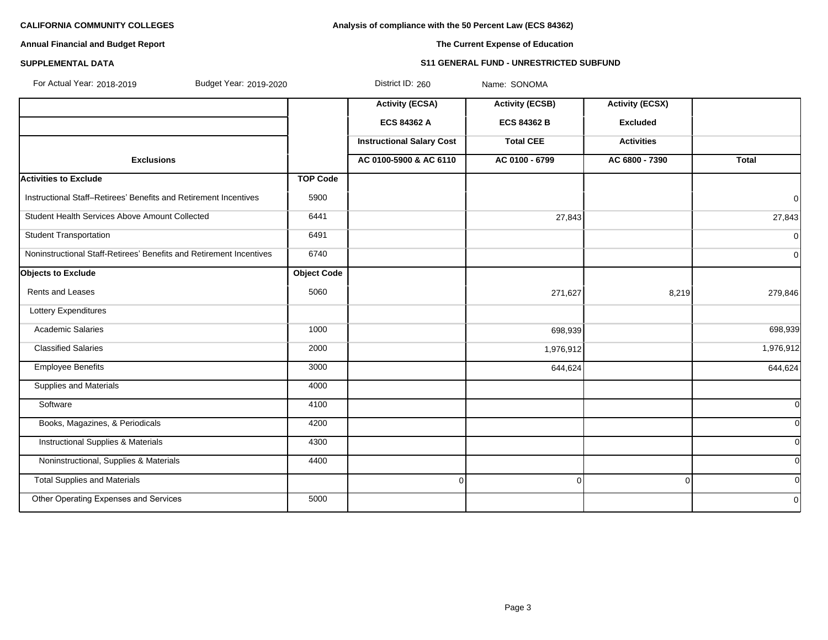**Analysis of compliance with the 50 Percent Law (ECS 84362)**

# **Annual Financial and Budget Report**

# **The Current Expense of Education**

# **SUPPLEMENTAL DATA S11 GENERAL FUND - UNRESTRICTED SUBFUND**

| For Actual Year: 2018-2019<br>Budget Year: 2019-2020                |                    | District ID: 260                 | Name: SONOMA           |                        |                |
|---------------------------------------------------------------------|--------------------|----------------------------------|------------------------|------------------------|----------------|
|                                                                     |                    | <b>Activity (ECSA)</b>           | <b>Activity (ECSB)</b> | <b>Activity (ECSX)</b> |                |
|                                                                     |                    | <b>ECS 84362 A</b>               | <b>ECS 84362 B</b>     | <b>Excluded</b>        |                |
|                                                                     |                    | <b>Instructional Salary Cost</b> | <b>Total CEE</b>       | <b>Activities</b>      |                |
| <b>Exclusions</b>                                                   |                    | AC 0100-5900 & AC 6110           | AC 0100 - 6799         | AC 6800 - 7390         | <b>Total</b>   |
| <b>Activities to Exclude</b>                                        | <b>TOP Code</b>    |                                  |                        |                        |                |
| Instructional Staff-Retirees' Benefits and Retirement Incentives    | 5900               |                                  |                        |                        | $\mathbf 0$    |
| Student Health Services Above Amount Collected                      | 6441               |                                  | 27,843                 |                        | 27,843         |
| <b>Student Transportation</b>                                       | 6491               |                                  |                        |                        | $\overline{0}$ |
| Noninstructional Staff-Retirees' Benefits and Retirement Incentives | 6740               |                                  |                        |                        | $\overline{0}$ |
| <b>Objects to Exclude</b>                                           | <b>Object Code</b> |                                  |                        |                        |                |
| Rents and Leases                                                    | 5060               |                                  | 271,627                | 8,219                  | 279,846        |
| Lottery Expenditures                                                |                    |                                  |                        |                        |                |
| <b>Academic Salaries</b>                                            | 1000               |                                  | 698,939                |                        | 698,939        |
| <b>Classified Salaries</b>                                          | 2000               |                                  | 1,976,912              |                        | 1,976,912      |
| Employee Benefits                                                   | 3000               |                                  | 644,624                |                        | 644,624        |
| <b>Supplies and Materials</b>                                       | 4000               |                                  |                        |                        |                |
| Software                                                            | 4100               |                                  |                        |                        | $\Omega$       |
| Books, Magazines, & Periodicals                                     | 4200               |                                  |                        |                        | $\overline{0}$ |
| <b>Instructional Supplies &amp; Materials</b>                       | 4300               |                                  |                        |                        | <sub>0</sub>   |
| Noninstructional, Supplies & Materials                              | 4400               |                                  |                        |                        | $\overline{0}$ |
| <b>Total Supplies and Materials</b>                                 |                    | $\mathbf 0$                      | 0                      | 0                      | $\Omega$       |
| Other Operating Expenses and Services                               | 5000               |                                  |                        |                        | $\mathbf{0}$   |
|                                                                     |                    |                                  |                        |                        |                |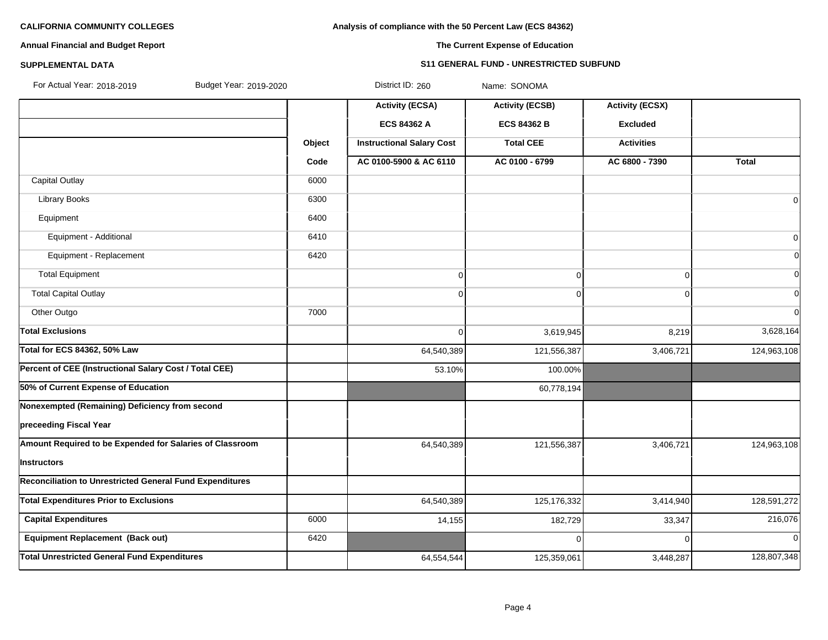# **Analysis of compliance with the 50 Percent Law (ECS 84362)**

# **Annual Financial and Budget Report**

# **The Current Expense of Education**

#### **SUPPLEMENTAL DATA S11 GENERAL FUND - UNRESTRICTED SUBFUND**

| For Actual Year: 2018-2019<br>Budget Year: 2019-2020            |        | District ID: 260                 | Name: SONOMA           |                        |                |
|-----------------------------------------------------------------|--------|----------------------------------|------------------------|------------------------|----------------|
|                                                                 |        | <b>Activity (ECSA)</b>           | <b>Activity (ECSB)</b> | <b>Activity (ECSX)</b> |                |
|                                                                 |        | ECS 84362 A                      | <b>ECS 84362 B</b>     | <b>Excluded</b>        |                |
|                                                                 | Object | <b>Instructional Salary Cost</b> | <b>Total CEE</b>       | <b>Activities</b>      |                |
|                                                                 | Code   | AC 0100-5900 & AC 6110           | AC 0100 - 6799         | AC 6800 - 7390         | <b>Total</b>   |
| Capital Outlay                                                  | 6000   |                                  |                        |                        |                |
| <b>Library Books</b>                                            | 6300   |                                  |                        |                        | $\overline{0}$ |
| Equipment                                                       | 6400   |                                  |                        |                        |                |
| Equipment - Additional                                          | 6410   |                                  |                        |                        | $\overline{0}$ |
| Equipment - Replacement                                         | 6420   |                                  |                        |                        | $\overline{0}$ |
| <b>Total Equipment</b>                                          |        | $\mathbf 0$                      | 0                      | $\Omega$               | $\Omega$       |
| <b>Total Capital Outlay</b>                                     |        | $\mathbf 0$                      | 0                      | $\Omega$               | $\overline{0}$ |
| Other Outgo                                                     | 7000   |                                  |                        |                        | $\Omega$       |
| <b>Total Exclusions</b>                                         |        | $\Omega$                         | 3,619,945              | 8,219                  | 3,628,164      |
| <b>Total for ECS 84362, 50% Law</b>                             |        | 64,540,389                       | 121,556,387            | 3,406,721              | 124,963,108    |
| Percent of CEE (Instructional Salary Cost / Total CEE)          |        | 53.10%                           | 100.00%                |                        |                |
| 50% of Current Expense of Education                             |        |                                  | 60,778,194             |                        |                |
| Nonexempted (Remaining) Deficiency from second                  |        |                                  |                        |                        |                |
| preceeding Fiscal Year                                          |        |                                  |                        |                        |                |
| Amount Required to be Expended for Salaries of Classroom        |        | 64,540,389                       | 121,556,387            | 3,406,721              | 124,963,108    |
| Instructors                                                     |        |                                  |                        |                        |                |
| <b>Reconciliation to Unrestricted General Fund Expenditures</b> |        |                                  |                        |                        |                |
| <b>Total Expenditures Prior to Exclusions</b>                   |        | 64,540,389                       | 125, 176, 332          | 3,414,940              | 128,591,272    |
| <b>Capital Expenditures</b>                                     | 6000   | 14,155                           | 182,729                | 33,347                 | 216,076        |
| <b>Equipment Replacement (Back out)</b>                         | 6420   |                                  | 0                      | $\Omega$               | $\Omega$       |
| <b>Total Unrestricted General Fund Expenditures</b>             |        | 64,554,544                       | 125,359,061            | 3,448,287              | 128,807,348    |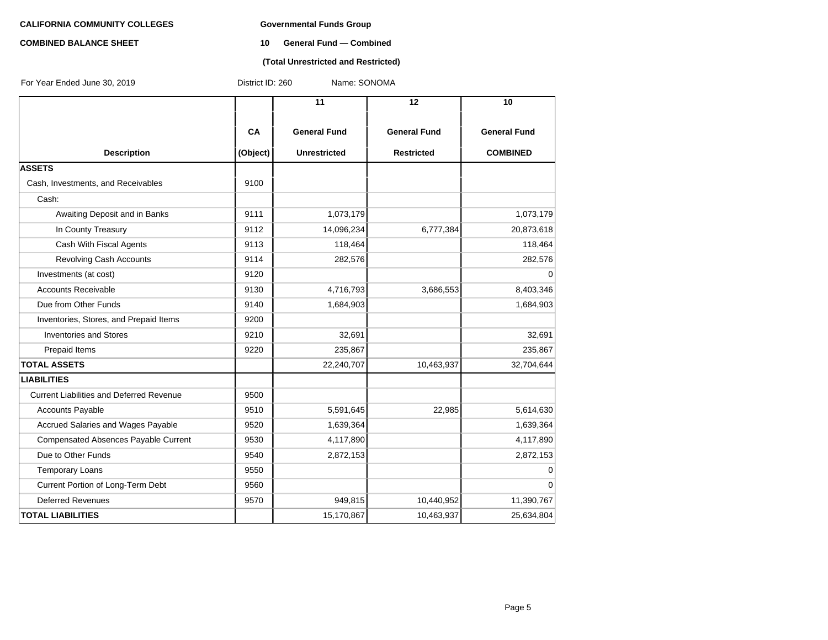# **COMBINED BALANCE SHEET 10 General Fund — Combined**

### **(Total Unrestricted and Restricted)**

| For Year Ended June 30, 2019                    | District ID: 260 | Name: SONOMA        |                     |                     |
|-------------------------------------------------|------------------|---------------------|---------------------|---------------------|
|                                                 |                  | $\overline{11}$     | 12                  | 10                  |
|                                                 | CA               | <b>General Fund</b> | <b>General Fund</b> | <b>General Fund</b> |
| <b>Description</b>                              | (Object)         | <b>Unrestricted</b> | <b>Restricted</b>   | <b>COMBINED</b>     |
| <b>ASSETS</b>                                   |                  |                     |                     |                     |
| Cash, Investments, and Receivables              | 9100             |                     |                     |                     |
| Cash:                                           |                  |                     |                     |                     |
| Awaiting Deposit and in Banks                   | 9111             | 1,073,179           |                     | 1,073,179           |
| In County Treasury                              | 9112             | 14,096,234          | 6,777,384           | 20,873,618          |
| Cash With Fiscal Agents                         | 9113             | 118,464             |                     | 118,464             |
| <b>Revolving Cash Accounts</b>                  | 9114             | 282,576             |                     | 282,576             |
| Investments (at cost)                           | 9120             |                     |                     | 0                   |
| <b>Accounts Receivable</b>                      | 9130             | 4,716,793           | 3,686,553           | 8,403,346           |
| Due from Other Funds                            | 9140             | 1,684,903           |                     | 1,684,903           |
| Inventories, Stores, and Prepaid Items          | 9200             |                     |                     |                     |
| <b>Inventories and Stores</b>                   | 9210             | 32,691              |                     | 32,691              |
| Prepaid Items                                   | 9220             | 235,867             |                     | 235,867             |
| <b>TOTAL ASSETS</b>                             |                  | 22,240,707          | 10,463,937          | 32,704,644          |
| <b>LIABILITIES</b>                              |                  |                     |                     |                     |
| <b>Current Liabilities and Deferred Revenue</b> | 9500             |                     |                     |                     |
| Accounts Payable                                | 9510             | 5,591,645           | 22,985              | 5,614,630           |
| Accrued Salaries and Wages Payable              | 9520             | 1,639,364           |                     | 1,639,364           |
| <b>Compensated Absences Payable Current</b>     | 9530             | 4,117,890           |                     | 4,117,890           |
| Due to Other Funds                              | 9540             | 2,872,153           |                     | 2,872,153           |
| <b>Temporary Loans</b>                          | 9550             |                     |                     | 0                   |
| Current Portion of Long-Term Debt               | 9560             |                     |                     | $\Omega$            |
| <b>Deferred Revenues</b>                        | 9570             | 949,815             | 10,440,952          | 11,390,767          |
| <b>TOTAL LIABILITIES</b>                        |                  | 15,170,867          | 10,463,937          | 25,634,804          |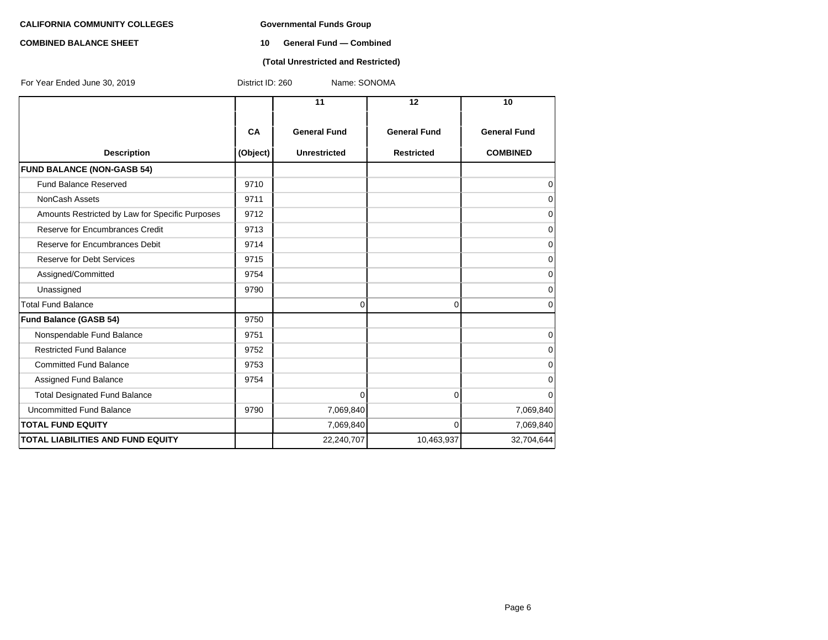# **COMBINED BALANCE SHEET 10 General Fund — Combined**

#### **(Total Unrestricted and Restricted)**

| For Year Ended June 30, 2019                    | Name: SONOMA<br>District ID: 260 |                     |                     |                     |  |  |
|-------------------------------------------------|----------------------------------|---------------------|---------------------|---------------------|--|--|
|                                                 |                                  | 11                  | 12                  | 10                  |  |  |
|                                                 | CA                               | <b>General Fund</b> | <b>General Fund</b> | <b>General Fund</b> |  |  |
| <b>Description</b>                              | (Object)                         | <b>Unrestricted</b> | <b>Restricted</b>   | <b>COMBINED</b>     |  |  |
| <b>FUND BALANCE (NON-GASB 54)</b>               |                                  |                     |                     |                     |  |  |
| Fund Balance Reserved                           | 9710                             |                     |                     | $\mathbf 0$         |  |  |
| NonCash Assets                                  | 9711                             |                     |                     | $\mathbf 0$         |  |  |
| Amounts Restricted by Law for Specific Purposes | 9712                             |                     |                     | $\mathbf 0$         |  |  |
| Reserve for Encumbrances Credit                 | 9713                             |                     |                     | 0                   |  |  |
| Reserve for Encumbrances Debit                  | 9714                             |                     |                     | $\mathbf 0$         |  |  |
| Reserve for Debt Services                       | 9715                             |                     |                     | 0                   |  |  |
| Assigned/Committed                              | 9754                             |                     |                     | 0                   |  |  |
| Unassigned                                      | 9790                             |                     |                     | $\mathbf 0$         |  |  |
| <b>Total Fund Balance</b>                       |                                  | 0                   | $\overline{0}$      | 0                   |  |  |
| <b>Fund Balance (GASB 54)</b>                   | 9750                             |                     |                     |                     |  |  |
| Nonspendable Fund Balance                       | 9751                             |                     |                     | 0                   |  |  |
| <b>Restricted Fund Balance</b>                  | 9752                             |                     |                     | 0                   |  |  |
| <b>Committed Fund Balance</b>                   | 9753                             |                     |                     | 0                   |  |  |
| Assigned Fund Balance                           | 9754                             |                     |                     | 0                   |  |  |
| <b>Total Designated Fund Balance</b>            |                                  | 0                   | 0                   | 0                   |  |  |
| Uncommitted Fund Balance                        | 9790                             | 7,069,840           |                     | 7,069,840           |  |  |
| <b>TOTAL FUND EQUITY</b>                        |                                  | 7,069,840           | $\overline{0}$      | 7,069,840           |  |  |
| <b>TOTAL LIABILITIES AND FUND EQUITY</b>        |                                  | 22,240,707          | 10,463,937          | 32,704,644          |  |  |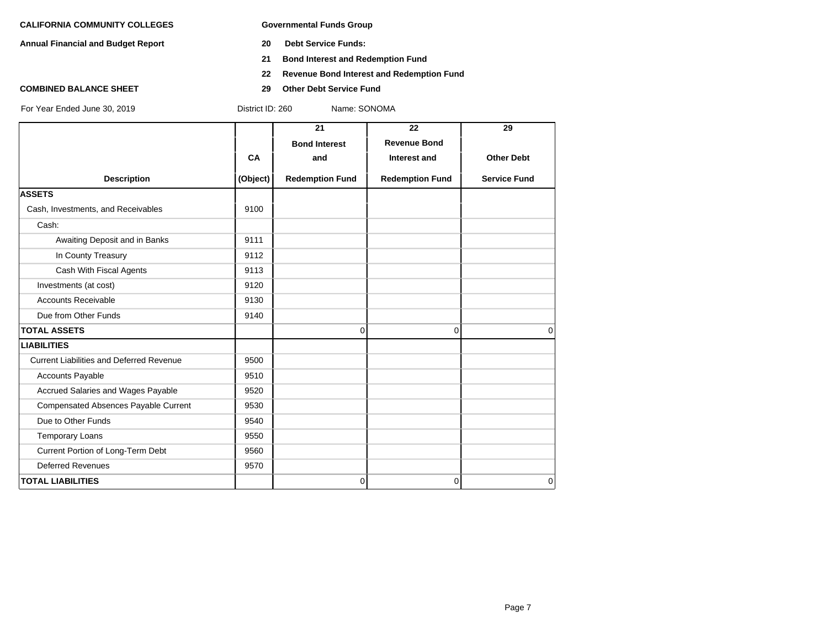**Annual Financial and Budget Report 20 Debt Service Funds:**

- 
- **21 Bond Interest and Redemption Fund**
- **22 Revenue Bond Interest and Redemption Fund**
- **COMBINED BALANCE SHEET 29 Other Debt Service Fund**

|                                                 |           | 21                     | 22                     | 29                  |
|-------------------------------------------------|-----------|------------------------|------------------------|---------------------|
|                                                 |           | <b>Bond Interest</b>   | <b>Revenue Bond</b>    |                     |
|                                                 | <b>CA</b> | and                    | Interest and           | <b>Other Debt</b>   |
| <b>Description</b>                              | (Object)  | <b>Redemption Fund</b> | <b>Redemption Fund</b> | <b>Service Fund</b> |
| <b>ASSETS</b>                                   |           |                        |                        |                     |
| Cash, Investments, and Receivables              | 9100      |                        |                        |                     |
| Cash:                                           |           |                        |                        |                     |
| Awaiting Deposit and in Banks                   | 9111      |                        |                        |                     |
| In County Treasury                              | 9112      |                        |                        |                     |
| Cash With Fiscal Agents                         | 9113      |                        |                        |                     |
| Investments (at cost)                           | 9120      |                        |                        |                     |
| <b>Accounts Receivable</b>                      | 9130      |                        |                        |                     |
| Due from Other Funds                            | 9140      |                        |                        |                     |
| <b>TOTAL ASSETS</b>                             |           | $\Omega$               | 0                      | $\Omega$            |
| <b>LIABILITIES</b>                              |           |                        |                        |                     |
| <b>Current Liabilities and Deferred Revenue</b> | 9500      |                        |                        |                     |
| Accounts Payable                                | 9510      |                        |                        |                     |
| Accrued Salaries and Wages Payable              | 9520      |                        |                        |                     |
| Compensated Absences Payable Current            | 9530      |                        |                        |                     |
| Due to Other Funds                              | 9540      |                        |                        |                     |
| <b>Temporary Loans</b>                          | 9550      |                        |                        |                     |
| Current Portion of Long-Term Debt               | 9560      |                        |                        |                     |
| <b>Deferred Revenues</b>                        | 9570      |                        |                        |                     |
| <b>TOTAL LIABILITIES</b>                        |           | $\overline{0}$         | 0                      | $\Omega$            |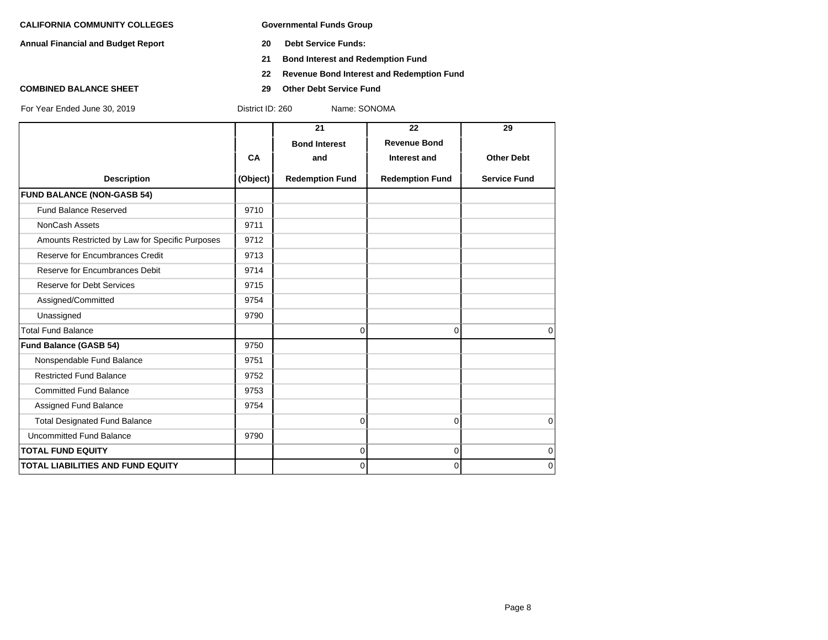**Annual Financial and Budget Report 20 Debt Service Funds:**

- 
- **21 Bond Interest and Redemption Fund**
- **22 Revenue Bond Interest and Redemption Fund**
- **COMBINED BALANCE SHEET 29 Other Debt Service Fund**

|                                                 |          | 21                     | 22                     | 29                  |
|-------------------------------------------------|----------|------------------------|------------------------|---------------------|
|                                                 |          | <b>Bond Interest</b>   | <b>Revenue Bond</b>    |                     |
|                                                 | CA       | and                    | Interest and           | <b>Other Debt</b>   |
| <b>Description</b>                              | (Object) | <b>Redemption Fund</b> | <b>Redemption Fund</b> | <b>Service Fund</b> |
| <b>FUND BALANCE (NON-GASB 54)</b>               |          |                        |                        |                     |
| <b>Fund Balance Reserved</b>                    | 9710     |                        |                        |                     |
| NonCash Assets                                  | 9711     |                        |                        |                     |
| Amounts Restricted by Law for Specific Purposes | 9712     |                        |                        |                     |
| Reserve for Encumbrances Credit                 | 9713     |                        |                        |                     |
| Reserve for Encumbrances Debit                  | 9714     |                        |                        |                     |
| <b>Reserve for Debt Services</b>                | 9715     |                        |                        |                     |
| Assigned/Committed                              | 9754     |                        |                        |                     |
| Unassigned                                      | 9790     |                        |                        |                     |
| <b>Total Fund Balance</b>                       |          | $\Omega$               | 0                      | $\Omega$            |
| <b>Fund Balance (GASB 54)</b>                   | 9750     |                        |                        |                     |
| Nonspendable Fund Balance                       | 9751     |                        |                        |                     |
| <b>Restricted Fund Balance</b>                  | 9752     |                        |                        |                     |
| <b>Committed Fund Balance</b>                   | 9753     |                        |                        |                     |
| Assigned Fund Balance                           | 9754     |                        |                        |                     |
| <b>Total Designated Fund Balance</b>            |          | $\Omega$               | 0                      | $\mathbf 0$         |
| <b>Uncommitted Fund Balance</b>                 | 9790     |                        |                        |                     |
| <b>TOTAL FUND EQUITY</b>                        |          | 0                      | 0                      | $\mathbf 0$         |
| <b>TOTAL LIABILITIES AND FUND EQUITY</b>        |          | $\overline{0}$         | 0                      | $\mathbf 0$         |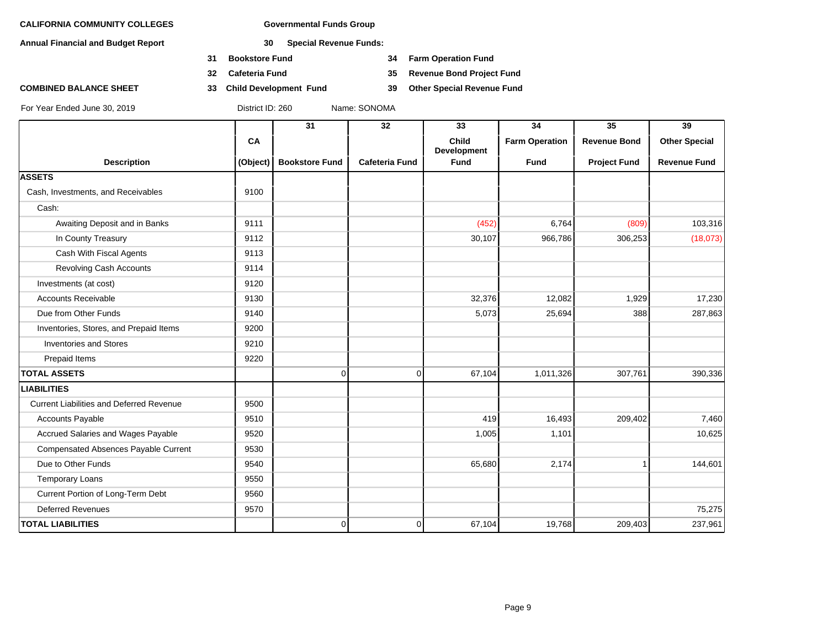**Annual Financial and Budget Report 30 Special Revenue Funds:**

- **31 Bookstore Fund 34 Farm Operation Fund**
- 
- **COMBINED BALANCE SHEET 33 Child Development Fund 39 Other Special Revenue Fund**

**32 Cafeteria Fund 35 Revenue Bond Project Fund**

|                                                 |          | 31                    | 32             | 33                                 | 34                    | $\overline{35}$     | 39                   |
|-------------------------------------------------|----------|-----------------------|----------------|------------------------------------|-----------------------|---------------------|----------------------|
|                                                 | CA       |                       |                | <b>Child</b><br><b>Development</b> | <b>Farm Operation</b> | <b>Revenue Bond</b> | <b>Other Special</b> |
| <b>Description</b>                              | (Object) | <b>Bookstore Fund</b> | Cafeteria Fund | <b>Fund</b>                        | <b>Fund</b>           | <b>Project Fund</b> | <b>Revenue Fund</b>  |
| <b>ASSETS</b>                                   |          |                       |                |                                    |                       |                     |                      |
| Cash, Investments, and Receivables              | 9100     |                       |                |                                    |                       |                     |                      |
| Cash:                                           |          |                       |                |                                    |                       |                     |                      |
| Awaiting Deposit and in Banks                   | 9111     |                       |                | (452)                              | 6,764                 | (809)               | 103,316              |
| In County Treasury                              | 9112     |                       |                | 30,107                             | 966,786               | 306,253             | (18,073)             |
| Cash With Fiscal Agents                         | 9113     |                       |                |                                    |                       |                     |                      |
| Revolving Cash Accounts                         | 9114     |                       |                |                                    |                       |                     |                      |
| Investments (at cost)                           | 9120     |                       |                |                                    |                       |                     |                      |
| <b>Accounts Receivable</b>                      | 9130     |                       |                | 32,376                             | 12,082                | 1,929               | 17,230               |
| Due from Other Funds                            | 9140     |                       |                | 5,073                              | 25,694                | 388                 | 287,863              |
| Inventories, Stores, and Prepaid Items          | 9200     |                       |                |                                    |                       |                     |                      |
| <b>Inventories and Stores</b>                   | 9210     |                       |                |                                    |                       |                     |                      |
| Prepaid Items                                   | 9220     |                       |                |                                    |                       |                     |                      |
| <b>TOTAL ASSETS</b>                             |          | 0                     | $\overline{0}$ | 67,104                             | 1,011,326             | 307,761             | 390,336              |
| <b>LIABILITIES</b>                              |          |                       |                |                                    |                       |                     |                      |
| <b>Current Liabilities and Deferred Revenue</b> | 9500     |                       |                |                                    |                       |                     |                      |
| Accounts Payable                                | 9510     |                       |                | 419                                | 16,493                | 209,402             | 7,460                |
| Accrued Salaries and Wages Payable              | 9520     |                       |                | 1,005                              | 1,101                 |                     | 10,625               |
| <b>Compensated Absences Payable Current</b>     | 9530     |                       |                |                                    |                       |                     |                      |
| Due to Other Funds                              | 9540     |                       |                | 65,680                             | 2,174                 |                     | 144,601              |
| <b>Temporary Loans</b>                          | 9550     |                       |                |                                    |                       |                     |                      |
| Current Portion of Long-Term Debt               | 9560     |                       |                |                                    |                       |                     |                      |
| <b>Deferred Revenues</b>                        | 9570     |                       |                |                                    |                       |                     | 75,275               |
| <b>TOTAL LIABILITIES</b>                        |          | 0                     | $\Omega$       | 67,104                             | 19,768                | 209,403             | 237,961              |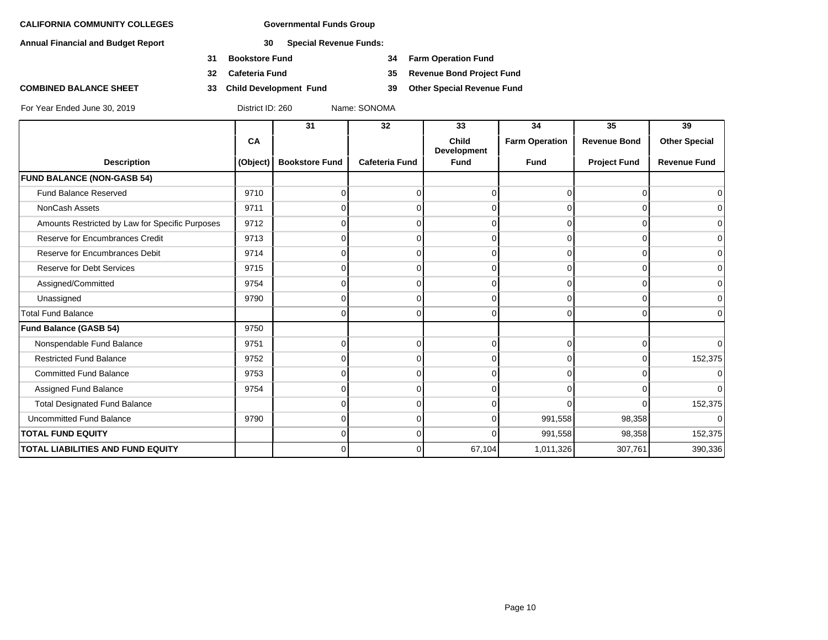**Annual Financial and Budget Report 30 Special Revenue Funds:**

- **31 Bookstore Fund 34 Farm Operation Fund**
- 
- **COMBINED BALANCE SHEET 33 Child Development Fund 39 Other Special Revenue Fund**

**32 Cafeteria Fund 35 Revenue Bond Project Fund**

|                                                 |          | 31                    | 32                    | 33                          | 34                    | 35                  | 39                   |
|-------------------------------------------------|----------|-----------------------|-----------------------|-----------------------------|-----------------------|---------------------|----------------------|
|                                                 | CA       |                       |                       | Child<br><b>Development</b> | <b>Farm Operation</b> | <b>Revenue Bond</b> | <b>Other Special</b> |
| <b>Description</b>                              | (Object) | <b>Bookstore Fund</b> | <b>Cafeteria Fund</b> | <b>Fund</b>                 | <b>Fund</b>           | <b>Project Fund</b> | <b>Revenue Fund</b>  |
| <b>FUND BALANCE (NON-GASB 54)</b>               |          |                       |                       |                             |                       |                     |                      |
| <b>Fund Balance Reserved</b>                    | 9710     |                       | 0                     | U                           |                       | $\Omega$            | $\overline{0}$       |
| NonCash Assets                                  | 9711     |                       | 0                     |                             |                       | $\Omega$            | $\overline{0}$       |
| Amounts Restricted by Law for Specific Purposes | 9712     |                       | 0                     | ∩                           |                       | $\Omega$            | $\overline{0}$       |
| Reserve for Encumbrances Credit                 | 9713     |                       | 0                     | O                           | $\Omega$              | $\Omega$            | $\Omega$             |
| Reserve for Encumbrances Debit                  | 9714     |                       | 0                     |                             |                       | $\Omega$            | $\overline{0}$       |
| <b>Reserve for Debt Services</b>                | 9715     |                       | 0                     | O                           |                       | $\Omega$            | $\overline{0}$       |
| Assigned/Committed                              | 9754     | n                     | $\Omega$              | $\Omega$                    | 0                     | $\overline{0}$      | $\overline{0}$       |
| Unassigned                                      | 9790     |                       | 0                     | U                           |                       | $\cap$              | $\overline{0}$       |
| <b>Total Fund Balance</b>                       |          |                       | 0                     | $\Omega$                    | $\Omega$              | $\Omega$            | $\Omega$             |
| Fund Balance (GASB 54)                          | 9750     |                       |                       |                             |                       |                     |                      |
| Nonspendable Fund Balance                       | 9751     |                       | 0                     | U                           |                       | $\Omega$            | $\overline{0}$       |
| <b>Restricted Fund Balance</b>                  | 9752     |                       | 0                     | U                           |                       | $\Omega$            | 152,375              |
| <b>Committed Fund Balance</b>                   | 9753     |                       | $\Omega$              | $\Omega$                    | $\Omega$              | $\Omega$            | $\overline{0}$       |
| Assigned Fund Balance                           | 9754     |                       | 0                     | U                           |                       | $\Omega$            | $\overline{0}$       |
| <b>Total Designated Fund Balance</b>            |          |                       | 0                     | ⋂                           |                       | $\Omega$            | 152,375              |
| <b>Uncommitted Fund Balance</b>                 | 9790     | 0                     | $\overline{0}$        | $\Omega$                    | 991,558               | 98,358              | $\overline{0}$       |
| <b>TOTAL FUND EQUITY</b>                        |          | U                     | $\Omega$              | $\Omega$                    | 991,558               | 98,358              | 152,375              |
| <b>TOTAL LIABILITIES AND FUND EQUITY</b>        |          | $\Omega$              | $\Omega$              | 67,104                      | 1,011,326             | 307,761             | 390,336              |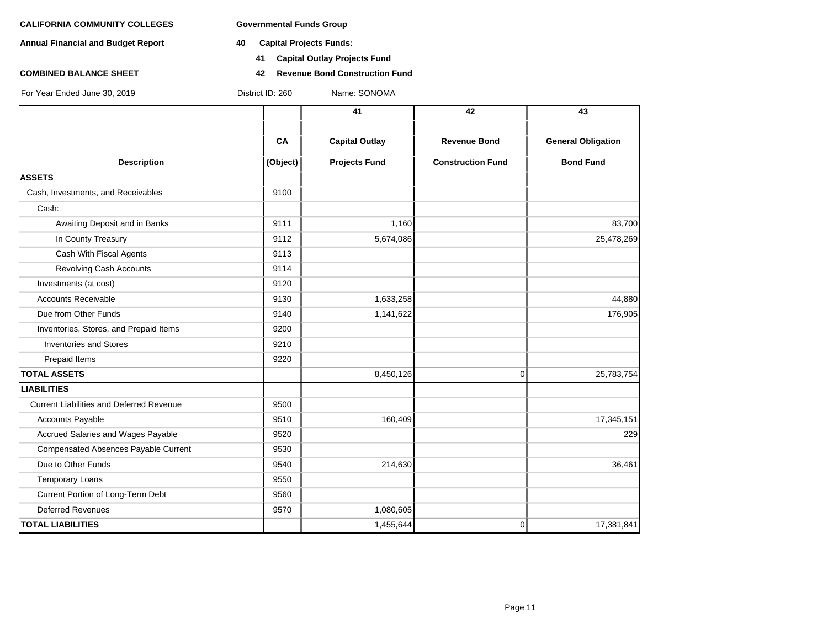**Annual Financial and Budget Report 40 Capital Projects Funds:**

- - **41 Capital Outlay Projects Fund**
- **COMBINED BALANCE SHEET 42 Revenue Bond Construction Fund**

|                                                 |           | 41                    | 42                       | 43                        |
|-------------------------------------------------|-----------|-----------------------|--------------------------|---------------------------|
|                                                 |           |                       |                          |                           |
|                                                 | <b>CA</b> | <b>Capital Outlay</b> | <b>Revenue Bond</b>      | <b>General Obligation</b> |
| <b>Description</b>                              | (Object)  | <b>Projects Fund</b>  | <b>Construction Fund</b> | <b>Bond Fund</b>          |
| <b>ASSETS</b>                                   |           |                       |                          |                           |
| Cash, Investments, and Receivables              | 9100      |                       |                          |                           |
| Cash:                                           |           |                       |                          |                           |
| Awaiting Deposit and in Banks                   | 9111      | 1,160                 |                          | 83,700                    |
| In County Treasury                              | 9112      | 5,674,086             |                          | 25,478,269                |
| Cash With Fiscal Agents                         | 9113      |                       |                          |                           |
| <b>Revolving Cash Accounts</b>                  | 9114      |                       |                          |                           |
| Investments (at cost)                           | 9120      |                       |                          |                           |
| <b>Accounts Receivable</b>                      | 9130      | 1,633,258             |                          | 44,880                    |
| Due from Other Funds                            | 9140      | 1,141,622             |                          | 176,905                   |
| Inventories, Stores, and Prepaid Items          | 9200      |                       |                          |                           |
| <b>Inventories and Stores</b>                   | 9210      |                       |                          |                           |
| Prepaid Items                                   | 9220      |                       |                          |                           |
| <b>TOTAL ASSETS</b>                             |           | 8,450,126             | $\mathbf 0$              | 25,783,754                |
| <b>LIABILITIES</b>                              |           |                       |                          |                           |
| <b>Current Liabilities and Deferred Revenue</b> | 9500      |                       |                          |                           |
| <b>Accounts Payable</b>                         | 9510      | 160,409               |                          | 17,345,151                |
| Accrued Salaries and Wages Payable              | 9520      |                       |                          | 229                       |
| Compensated Absences Payable Current            | 9530      |                       |                          |                           |
| Due to Other Funds                              | 9540      | 214,630               |                          | 36,461                    |
| <b>Temporary Loans</b>                          | 9550      |                       |                          |                           |
| Current Portion of Long-Term Debt               | 9560      |                       |                          |                           |
| <b>Deferred Revenues</b>                        | 9570      | 1,080,605             |                          |                           |
| <b>TOTAL LIABILITIES</b>                        |           | 1,455,644             | $\mathbf 0$              | 17,381,841                |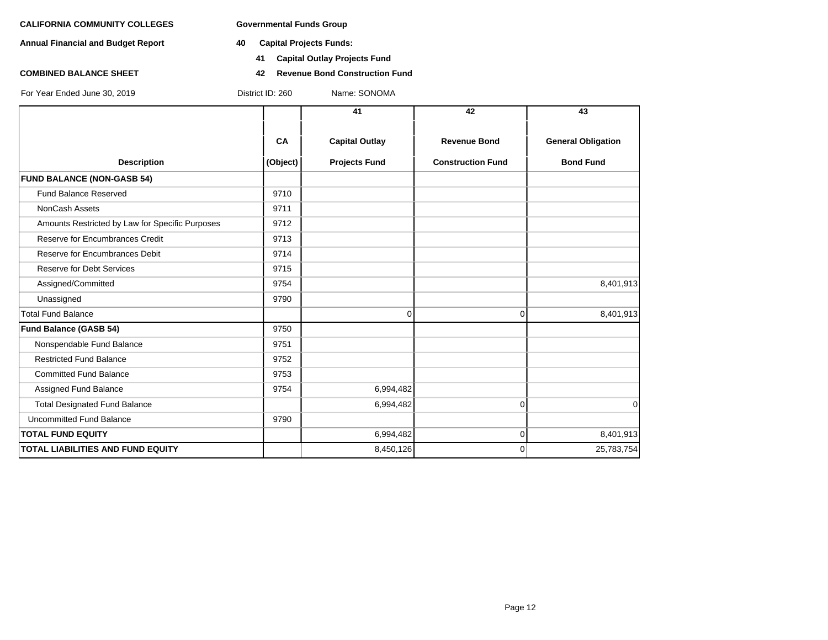**Annual Financial and Budget Report 40 Capital Projects Funds:**

- - **41 Capital Outlay Projects Fund**
- **COMBINED BALANCE SHEET 42 Revenue Bond Construction Fund**

|                                                 |                | 41                                            | 42                                              | 43                                            |
|-------------------------------------------------|----------------|-----------------------------------------------|-------------------------------------------------|-----------------------------------------------|
| <b>Description</b>                              | CA<br>(Object) | <b>Capital Outlay</b><br><b>Projects Fund</b> | <b>Revenue Bond</b><br><b>Construction Fund</b> | <b>General Obligation</b><br><b>Bond Fund</b> |
| <b>FUND BALANCE (NON-GASB 54)</b>               |                |                                               |                                                 |                                               |
| Fund Balance Reserved                           | 9710           |                                               |                                                 |                                               |
| NonCash Assets                                  | 9711           |                                               |                                                 |                                               |
| Amounts Restricted by Law for Specific Purposes | 9712           |                                               |                                                 |                                               |
| Reserve for Encumbrances Credit                 | 9713           |                                               |                                                 |                                               |
| Reserve for Encumbrances Debit                  | 9714           |                                               |                                                 |                                               |
| <b>Reserve for Debt Services</b>                | 9715           |                                               |                                                 |                                               |
| Assigned/Committed                              | 9754           |                                               |                                                 | 8,401,913                                     |
| Unassigned                                      | 9790           |                                               |                                                 |                                               |
| <b>Total Fund Balance</b>                       |                | $\mathbf 0$                                   | $\Omega$                                        | 8,401,913                                     |
| <b>Fund Balance (GASB 54)</b>                   | 9750           |                                               |                                                 |                                               |
| Nonspendable Fund Balance                       | 9751           |                                               |                                                 |                                               |
| <b>Restricted Fund Balance</b>                  | 9752           |                                               |                                                 |                                               |
| <b>Committed Fund Balance</b>                   | 9753           |                                               |                                                 |                                               |
| Assigned Fund Balance                           | 9754           | 6,994,482                                     |                                                 |                                               |
| <b>Total Designated Fund Balance</b>            |                | 6,994,482                                     | $\Omega$                                        | 0                                             |
| <b>Uncommitted Fund Balance</b>                 | 9790           |                                               |                                                 |                                               |
| <b>TOTAL FUND EQUITY</b>                        |                | 6,994,482                                     | $\Omega$                                        | 8,401,913                                     |
| <b>TOTAL LIABILITIES AND FUND EQUITY</b>        |                | 8,450,126                                     | $\Omega$                                        | 25,783,754                                    |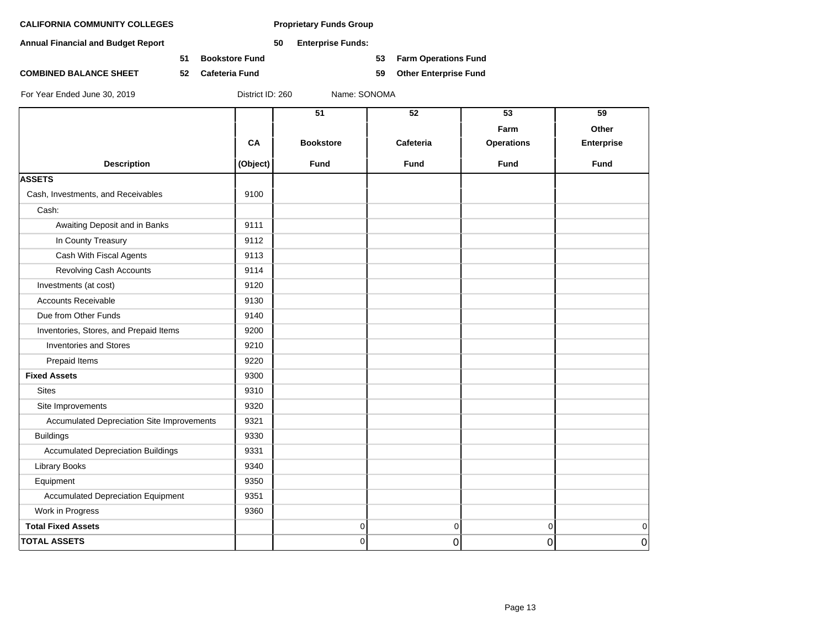**Annual Financial and Budget Report 50 Enterprise Funds:**

**51 Bookstore Fund 53 Farm Operations Fund**

**COMBINED BALANCE SHEET 52 Cafeteria Fund 59 Other Enterprise Fund**

|                                            |          | 51               | 52          | 53<br>Farm        | 59<br>Other       |
|--------------------------------------------|----------|------------------|-------------|-------------------|-------------------|
|                                            | CA       | <b>Bookstore</b> | Cafeteria   | <b>Operations</b> | <b>Enterprise</b> |
| <b>Description</b>                         | (Object) | <b>Fund</b>      | <b>Fund</b> | <b>Fund</b>       | <b>Fund</b>       |
| <b>ASSETS</b>                              |          |                  |             |                   |                   |
| Cash, Investments, and Receivables         | 9100     |                  |             |                   |                   |
| Cash:                                      |          |                  |             |                   |                   |
| Awaiting Deposit and in Banks              | 9111     |                  |             |                   |                   |
| In County Treasury                         | 9112     |                  |             |                   |                   |
| Cash With Fiscal Agents                    | 9113     |                  |             |                   |                   |
| <b>Revolving Cash Accounts</b>             | 9114     |                  |             |                   |                   |
| Investments (at cost)                      | 9120     |                  |             |                   |                   |
| <b>Accounts Receivable</b>                 | 9130     |                  |             |                   |                   |
| Due from Other Funds                       | 9140     |                  |             |                   |                   |
| Inventories, Stores, and Prepaid Items     | 9200     |                  |             |                   |                   |
| <b>Inventories and Stores</b>              | 9210     |                  |             |                   |                   |
| Prepaid Items                              | 9220     |                  |             |                   |                   |
| <b>Fixed Assets</b>                        | 9300     |                  |             |                   |                   |
| <b>Sites</b>                               | 9310     |                  |             |                   |                   |
| Site Improvements                          | 9320     |                  |             |                   |                   |
| Accumulated Depreciation Site Improvements | 9321     |                  |             |                   |                   |
| <b>Buildings</b>                           | 9330     |                  |             |                   |                   |
| <b>Accumulated Depreciation Buildings</b>  | 9331     |                  |             |                   |                   |
| <b>Library Books</b>                       | 9340     |                  |             |                   |                   |
| Equipment                                  | 9350     |                  |             |                   |                   |
| <b>Accumulated Depreciation Equipment</b>  | 9351     |                  |             |                   |                   |
| Work in Progress                           | 9360     |                  |             |                   |                   |
| <b>Total Fixed Assets</b>                  |          | 0                | 0           | $\Omega$          | 0                 |
| <b>TOTAL ASSETS</b>                        |          | $\overline{0}$   | 0           | 0                 | 0                 |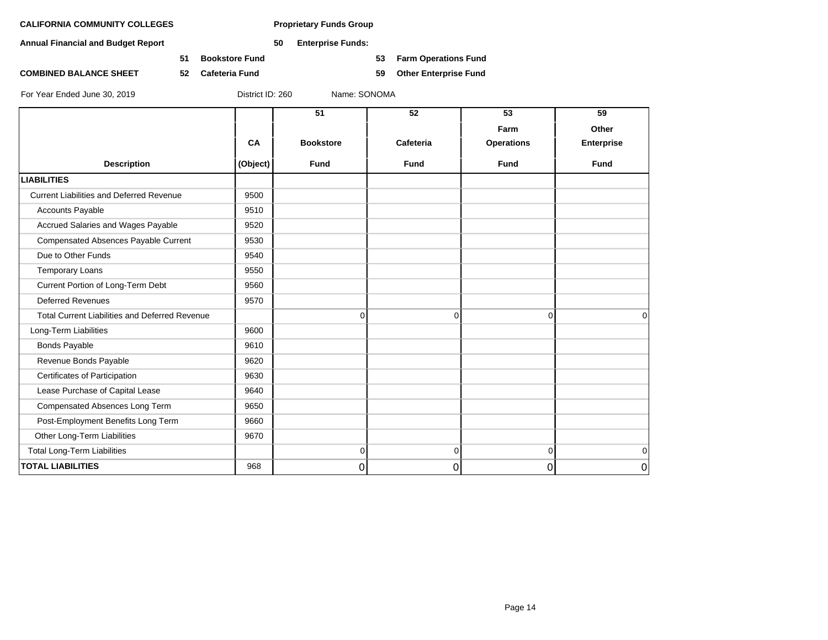**Annual Financial and Budget Report 50 Enterprise Funds:**

**51 Bookstore Fund 53 Farm Operations Fund**

**COMBINED BALANCE SHEET 52 Cafeteria Fund 59 Other Enterprise Fund**

|                                                       |          | 51               | 52          | 53                | 59                |
|-------------------------------------------------------|----------|------------------|-------------|-------------------|-------------------|
|                                                       |          |                  |             | Farm              | Other             |
|                                                       | CA       | <b>Bookstore</b> | Cafeteria   | <b>Operations</b> | <b>Enterprise</b> |
| <b>Description</b>                                    | (Object) | <b>Fund</b>      | <b>Fund</b> | <b>Fund</b>       | <b>Fund</b>       |
| <b>LIABILITIES</b>                                    |          |                  |             |                   |                   |
| <b>Current Liabilities and Deferred Revenue</b>       | 9500     |                  |             |                   |                   |
| <b>Accounts Payable</b>                               | 9510     |                  |             |                   |                   |
| Accrued Salaries and Wages Payable                    | 9520     |                  |             |                   |                   |
| Compensated Absences Payable Current                  | 9530     |                  |             |                   |                   |
| Due to Other Funds                                    | 9540     |                  |             |                   |                   |
| <b>Temporary Loans</b>                                | 9550     |                  |             |                   |                   |
| Current Portion of Long-Term Debt                     | 9560     |                  |             |                   |                   |
| <b>Deferred Revenues</b>                              | 9570     |                  |             |                   |                   |
| <b>Total Current Liabilities and Deferred Revenue</b> |          | $\Omega$         | $\Omega$    | $\Omega$          | 0                 |
| Long-Term Liabilities                                 | 9600     |                  |             |                   |                   |
| <b>Bonds Payable</b>                                  | 9610     |                  |             |                   |                   |
| Revenue Bonds Payable                                 | 9620     |                  |             |                   |                   |
| Certificates of Participation                         | 9630     |                  |             |                   |                   |
| Lease Purchase of Capital Lease                       | 9640     |                  |             |                   |                   |
| Compensated Absences Long Term                        | 9650     |                  |             |                   |                   |
| Post-Employment Benefits Long Term                    | 9660     |                  |             |                   |                   |
| Other Long-Term Liabilities                           | 9670     |                  |             |                   |                   |
| <b>Total Long-Term Liabilities</b>                    |          | $\mathbf 0$      | $\Omega$    | $\overline{0}$    | $\mathbf 0$       |
| <b>TOTAL LIABILITIES</b>                              | 968      | 0                | 0           | 0                 | $\mathbf 0$       |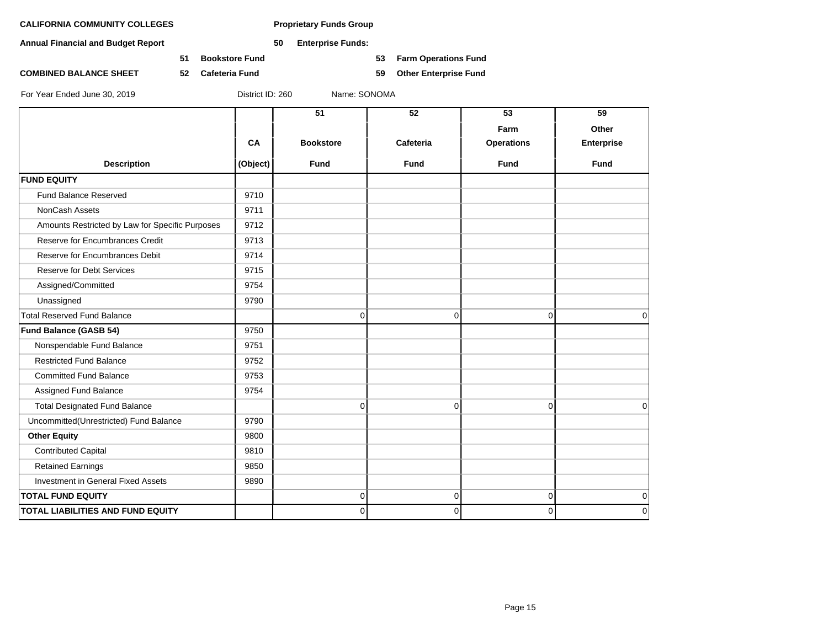**Annual Financial and Budget Report 50 Enterprise Funds:**

**51 Bookstore Fund 53 Farm Operations Fund**

**COMBINED BALANCE SHEET 52 Cafeteria Fund 59 Other Enterprise Fund**

|                                                 |          | 51               | 52          | 53                        | 59                         |
|-------------------------------------------------|----------|------------------|-------------|---------------------------|----------------------------|
|                                                 | CA       | <b>Bookstore</b> | Cafeteria   | Farm<br><b>Operations</b> | Other<br><b>Enterprise</b> |
| <b>Description</b>                              | (Object) | <b>Fund</b>      | <b>Fund</b> | Fund                      | <b>Fund</b>                |
| <b>FUND EQUITY</b>                              |          |                  |             |                           |                            |
| <b>Fund Balance Reserved</b>                    | 9710     |                  |             |                           |                            |
| NonCash Assets                                  | 9711     |                  |             |                           |                            |
| Amounts Restricted by Law for Specific Purposes | 9712     |                  |             |                           |                            |
| Reserve for Encumbrances Credit                 | 9713     |                  |             |                           |                            |
| Reserve for Encumbrances Debit                  | 9714     |                  |             |                           |                            |
| <b>Reserve for Debt Services</b>                | 9715     |                  |             |                           |                            |
| Assigned/Committed                              | 9754     |                  |             |                           |                            |
| Unassigned                                      | 9790     |                  |             |                           |                            |
| <b>Total Reserved Fund Balance</b>              |          | $\Omega$         | $\mathbf 0$ | $\mathbf 0$               | $\Omega$                   |
| Fund Balance (GASB 54)                          | 9750     |                  |             |                           |                            |
| Nonspendable Fund Balance                       | 9751     |                  |             |                           |                            |
| <b>Restricted Fund Balance</b>                  | 9752     |                  |             |                           |                            |
| <b>Committed Fund Balance</b>                   | 9753     |                  |             |                           |                            |
| Assigned Fund Balance                           | 9754     |                  |             |                           |                            |
| <b>Total Designated Fund Balance</b>            |          | 0                | 0           | $\mathbf 0$               | $\Omega$                   |
| Uncommitted(Unrestricted) Fund Balance          | 9790     |                  |             |                           |                            |
| <b>Other Equity</b>                             | 9800     |                  |             |                           |                            |
| <b>Contributed Capital</b>                      | 9810     |                  |             |                           |                            |
| <b>Retained Earnings</b>                        | 9850     |                  |             |                           |                            |
| Investment in General Fixed Assets              | 9890     |                  |             |                           |                            |
| <b>TOTAL FUND EQUITY</b>                        |          | 0                | $\mathbf 0$ | $\mathbf 0$               | $\mathbf 0$                |
| <b>TOTAL LIABILITIES AND FUND EQUITY</b>        |          | 0                | $\Omega$    | $\Omega$                  | $\Omega$                   |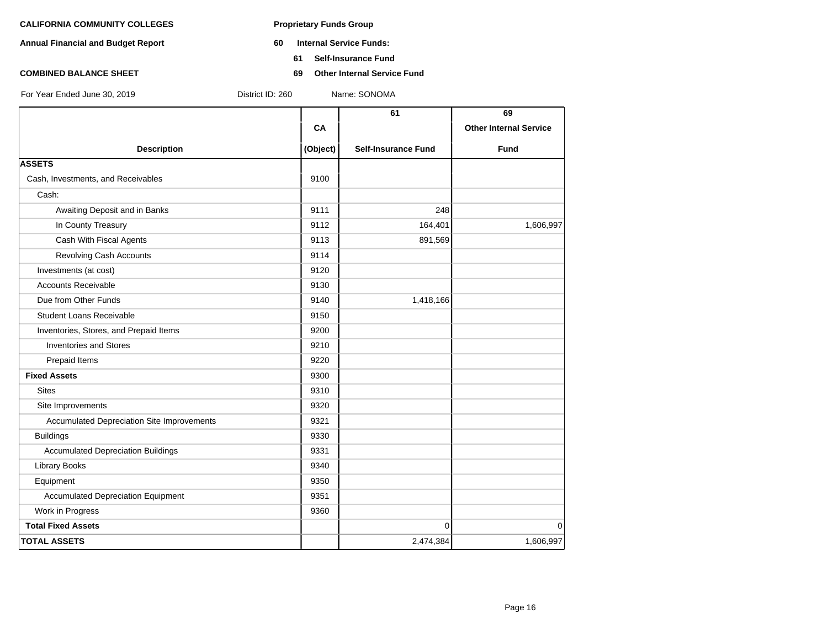- **Annual Financial and Budget Report 60 Internal Service Funds:**
	- **61 Self-Insurance Fund**
- **COMBINED BALANCE SHEET 69 Other Internal Service Fund**

|                                                   |          | 61                         | 69                            |
|---------------------------------------------------|----------|----------------------------|-------------------------------|
|                                                   | CA       |                            | <b>Other Internal Service</b> |
| <b>Description</b>                                | (Object) | <b>Self-Insurance Fund</b> | Fund                          |
| <b>ASSETS</b>                                     |          |                            |                               |
| Cash, Investments, and Receivables                | 9100     |                            |                               |
| Cash:                                             |          |                            |                               |
| Awaiting Deposit and in Banks                     | 9111     | 248                        |                               |
| In County Treasury                                | 9112     | 164,401                    | 1,606,997                     |
| Cash With Fiscal Agents                           | 9113     | 891,569                    |                               |
| Revolving Cash Accounts                           | 9114     |                            |                               |
| Investments (at cost)                             | 9120     |                            |                               |
| <b>Accounts Receivable</b>                        | 9130     |                            |                               |
| Due from Other Funds                              | 9140     | 1,418,166                  |                               |
| <b>Student Loans Receivable</b>                   | 9150     |                            |                               |
| Inventories, Stores, and Prepaid Items            | 9200     |                            |                               |
| <b>Inventories and Stores</b>                     | 9210     |                            |                               |
| Prepaid Items                                     | 9220     |                            |                               |
| <b>Fixed Assets</b>                               | 9300     |                            |                               |
| <b>Sites</b>                                      | 9310     |                            |                               |
| Site Improvements                                 | 9320     |                            |                               |
| <b>Accumulated Depreciation Site Improvements</b> | 9321     |                            |                               |
| <b>Buildings</b>                                  | 9330     |                            |                               |
| <b>Accumulated Depreciation Buildings</b>         | 9331     |                            |                               |
| <b>Library Books</b>                              | 9340     |                            |                               |
| Equipment                                         | 9350     |                            |                               |
| <b>Accumulated Depreciation Equipment</b>         | 9351     |                            |                               |
| Work in Progress                                  | 9360     |                            |                               |
| <b>Total Fixed Assets</b>                         |          | $\mathbf 0$                | 0                             |
| <b>TOTAL ASSETS</b>                               |          | 2,474,384                  | 1,606,997                     |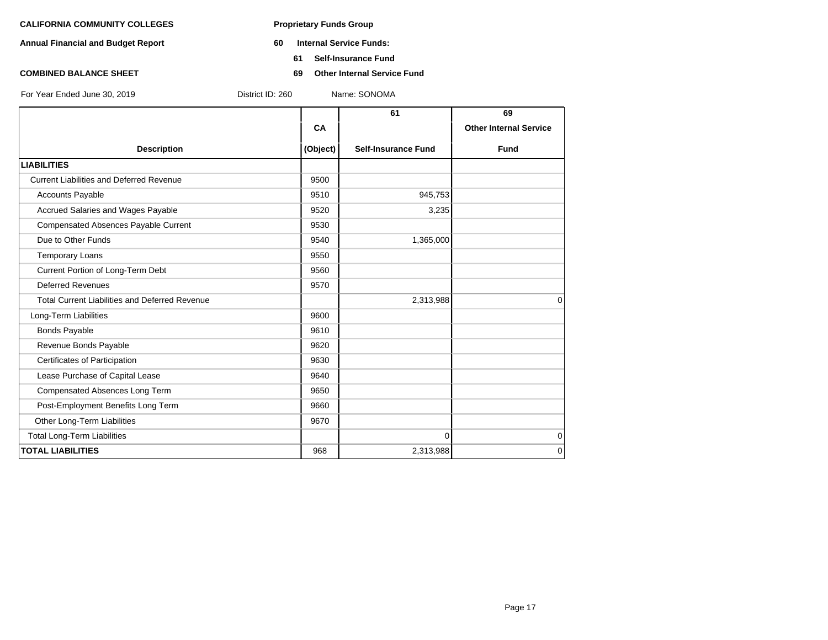- **Annual Financial and Budget Report 60 Internal Service Funds:**
	- **61 Self-Insurance Fund**
- **COMBINED BALANCE SHEET 69 Other Internal Service Fund**

| For Year Ended June 30, 2019 | District ID: 260 | Name: SONOMA |
|------------------------------|------------------|--------------|
|                              |                  |              |

|                                                       |          | 61                         | 69                            |
|-------------------------------------------------------|----------|----------------------------|-------------------------------|
|                                                       | CA       |                            | <b>Other Internal Service</b> |
| <b>Description</b>                                    | (Object) | <b>Self-Insurance Fund</b> | <b>Fund</b>                   |
| <b>LIABILITIES</b>                                    |          |                            |                               |
| <b>Current Liabilities and Deferred Revenue</b>       | 9500     |                            |                               |
| <b>Accounts Payable</b>                               | 9510     | 945,753                    |                               |
| Accrued Salaries and Wages Payable                    | 9520     | 3,235                      |                               |
| Compensated Absences Payable Current                  | 9530     |                            |                               |
| Due to Other Funds                                    | 9540     | 1,365,000                  |                               |
| <b>Temporary Loans</b>                                | 9550     |                            |                               |
| Current Portion of Long-Term Debt                     | 9560     |                            |                               |
| <b>Deferred Revenues</b>                              | 9570     |                            |                               |
| <b>Total Current Liabilities and Deferred Revenue</b> |          | 2,313,988                  | $\Omega$                      |
| Long-Term Liabilities                                 | 9600     |                            |                               |
| <b>Bonds Payable</b>                                  | 9610     |                            |                               |
| Revenue Bonds Payable                                 | 9620     |                            |                               |
| Certificates of Participation                         | 9630     |                            |                               |
| Lease Purchase of Capital Lease                       | 9640     |                            |                               |
| Compensated Absences Long Term                        | 9650     |                            |                               |
| Post-Employment Benefits Long Term                    | 9660     |                            |                               |
| Other Long-Term Liabilities                           | 9670     |                            |                               |
| <b>Total Long-Term Liabilities</b>                    |          | $\Omega$                   | $\mathbf 0$                   |
| <b>TOTAL LIABILITIES</b>                              | 968      | 2,313,988                  | $\Omega$                      |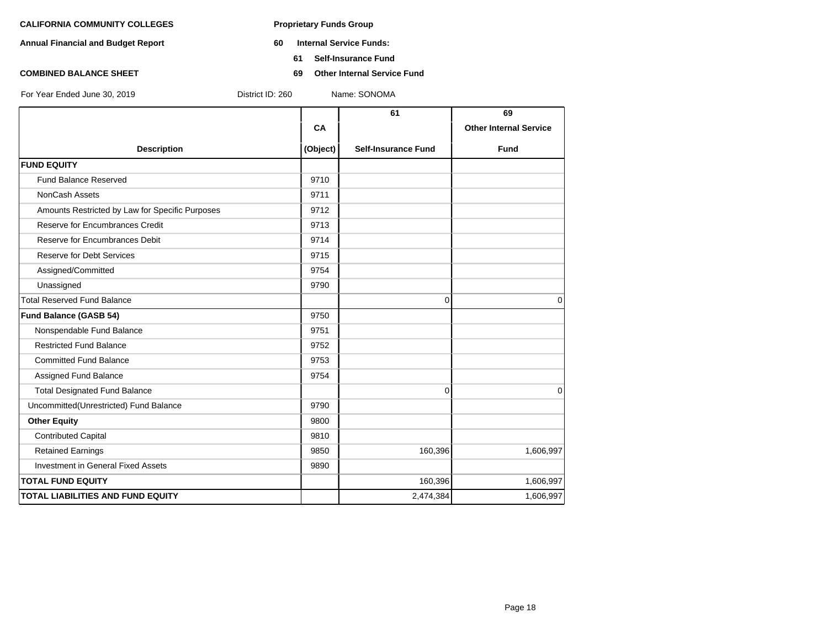- **Annual Financial and Budget Report 60 Internal Service Funds:**
	- **61 Self-Insurance Fund**
- **COMBINED BALANCE SHEET 69 Other Internal Service Fund**

|                                                 |          | 61                         | 69                            |
|-------------------------------------------------|----------|----------------------------|-------------------------------|
|                                                 | CA       |                            | <b>Other Internal Service</b> |
| <b>Description</b>                              | (Object) | <b>Self-Insurance Fund</b> | <b>Fund</b>                   |
| <b>FUND EQUITY</b>                              |          |                            |                               |
| <b>Fund Balance Reserved</b>                    | 9710     |                            |                               |
| NonCash Assets                                  | 9711     |                            |                               |
| Amounts Restricted by Law for Specific Purposes | 9712     |                            |                               |
| Reserve for Encumbrances Credit                 | 9713     |                            |                               |
| Reserve for Encumbrances Debit                  | 9714     |                            |                               |
| <b>Reserve for Debt Services</b>                | 9715     |                            |                               |
| Assigned/Committed                              | 9754     |                            |                               |
| Unassigned                                      | 9790     |                            |                               |
| <b>Total Reserved Fund Balance</b>              |          | $\Omega$                   | $\Omega$                      |
| Fund Balance (GASB 54)                          | 9750     |                            |                               |
| Nonspendable Fund Balance                       | 9751     |                            |                               |
| <b>Restricted Fund Balance</b>                  | 9752     |                            |                               |
| <b>Committed Fund Balance</b>                   | 9753     |                            |                               |
| Assigned Fund Balance                           | 9754     |                            |                               |
| <b>Total Designated Fund Balance</b>            |          | $\mathbf 0$                | $\Omega$                      |
| Uncommitted(Unrestricted) Fund Balance          | 9790     |                            |                               |
| <b>Other Equity</b>                             | 9800     |                            |                               |
| <b>Contributed Capital</b>                      | 9810     |                            |                               |
| <b>Retained Earnings</b>                        | 9850     | 160,396                    | 1,606,997                     |
| <b>Investment in General Fixed Assets</b>       | 9890     |                            |                               |
| <b>TOTAL FUND EQUITY</b>                        |          | 160,396                    | 1,606,997                     |
| <b>TOTAL LIABILITIES AND FUND EQUITY</b>        |          | 2,474,384                  | 1,606,997                     |
|                                                 |          |                            |                               |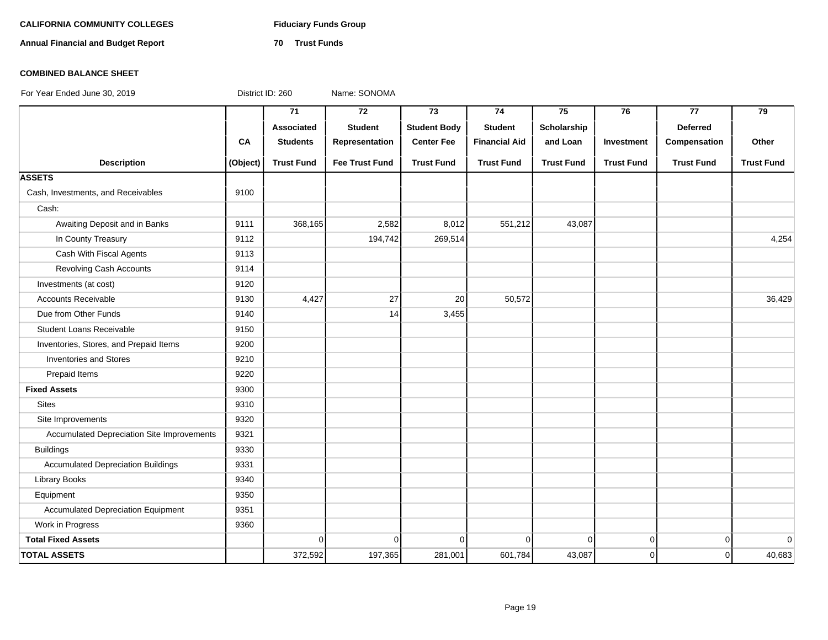# **CALIFORNIA COMMUNITY COLLEGES Fiduciary Funds Group**

**Annual Financial and Budget Report 70 Trust Funds**

### **COMBINED BALANCE SHEET**

|                                            |          | 71                | $\overline{72}$       | $\overline{73}$     | 74                   | 75                | 76                | $\overline{77}$   | $\overline{79}$   |
|--------------------------------------------|----------|-------------------|-----------------------|---------------------|----------------------|-------------------|-------------------|-------------------|-------------------|
|                                            |          | Associated        | <b>Student</b>        | <b>Student Body</b> | <b>Student</b>       | Scholarship       |                   | <b>Deferred</b>   |                   |
|                                            | CA       | <b>Students</b>   | Representation        | <b>Center Fee</b>   | <b>Financial Aid</b> | and Loan          | Investment        | Compensation      | Other             |
| <b>Description</b>                         | (Object) | <b>Trust Fund</b> | <b>Fee Trust Fund</b> | <b>Trust Fund</b>   | <b>Trust Fund</b>    | <b>Trust Fund</b> | <b>Trust Fund</b> | <b>Trust Fund</b> | <b>Trust Fund</b> |
| <b>ASSETS</b>                              |          |                   |                       |                     |                      |                   |                   |                   |                   |
| Cash, Investments, and Receivables         | 9100     |                   |                       |                     |                      |                   |                   |                   |                   |
| Cash:                                      |          |                   |                       |                     |                      |                   |                   |                   |                   |
| Awaiting Deposit and in Banks              | 9111     | 368,165           | 2,582                 | 8,012               | 551,212              | 43,087            |                   |                   |                   |
| In County Treasury                         | 9112     |                   | 194,742               | 269,514             |                      |                   |                   |                   | 4,254             |
| Cash With Fiscal Agents                    | 9113     |                   |                       |                     |                      |                   |                   |                   |                   |
| <b>Revolving Cash Accounts</b>             | 9114     |                   |                       |                     |                      |                   |                   |                   |                   |
| Investments (at cost)                      | 9120     |                   |                       |                     |                      |                   |                   |                   |                   |
| <b>Accounts Receivable</b>                 | 9130     | 4,427             | 27                    | 20                  | 50,572               |                   |                   |                   | 36,429            |
| Due from Other Funds                       | 9140     |                   | 14                    | 3,455               |                      |                   |                   |                   |                   |
| <b>Student Loans Receivable</b>            | 9150     |                   |                       |                     |                      |                   |                   |                   |                   |
| Inventories, Stores, and Prepaid Items     | 9200     |                   |                       |                     |                      |                   |                   |                   |                   |
| <b>Inventories and Stores</b>              | 9210     |                   |                       |                     |                      |                   |                   |                   |                   |
| Prepaid Items                              | 9220     |                   |                       |                     |                      |                   |                   |                   |                   |
| <b>Fixed Assets</b>                        | 9300     |                   |                       |                     |                      |                   |                   |                   |                   |
| <b>Sites</b>                               | 9310     |                   |                       |                     |                      |                   |                   |                   |                   |
| Site Improvements                          | 9320     |                   |                       |                     |                      |                   |                   |                   |                   |
| Accumulated Depreciation Site Improvements | 9321     |                   |                       |                     |                      |                   |                   |                   |                   |
| <b>Buildings</b>                           | 9330     |                   |                       |                     |                      |                   |                   |                   |                   |
| <b>Accumulated Depreciation Buildings</b>  | 9331     |                   |                       |                     |                      |                   |                   |                   |                   |
| <b>Library Books</b>                       | 9340     |                   |                       |                     |                      |                   |                   |                   |                   |
| Equipment                                  | 9350     |                   |                       |                     |                      |                   |                   |                   |                   |
| <b>Accumulated Depreciation Equipment</b>  | 9351     |                   |                       |                     |                      |                   |                   |                   |                   |
| Work in Progress                           | 9360     |                   |                       |                     |                      |                   |                   |                   |                   |
| <b>Total Fixed Assets</b>                  |          | $\Omega$          | $\overline{0}$        | $\Omega$            | $\overline{0}$       | $\Omega$          | $\mathbf 0$       | $\overline{0}$    | $\Omega$          |
| <b>TOTAL ASSETS</b>                        |          | 372,592           | 197,365               | 281,001             | 601,784              | 43,087            | $\mathbf 0$       | 0                 | 40,683            |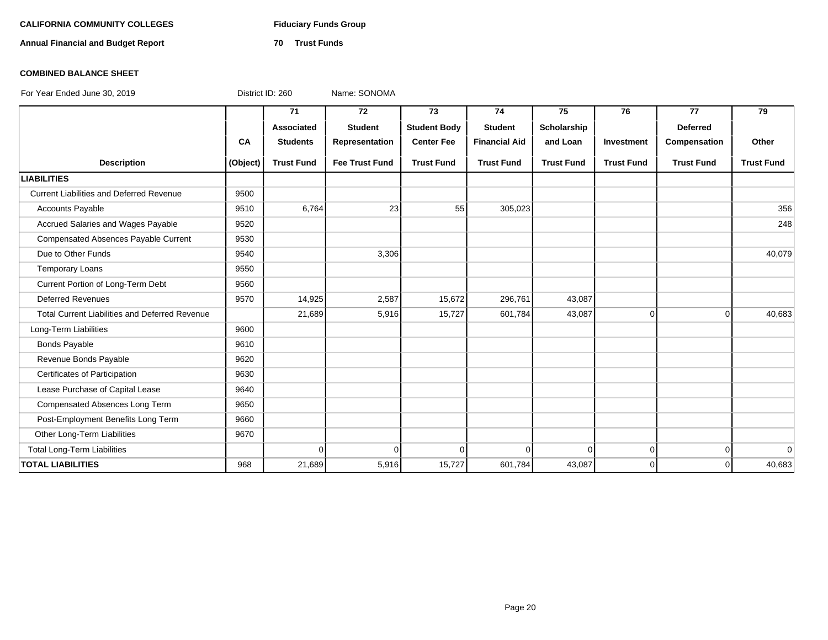# **CALIFORNIA COMMUNITY COLLEGES Fiduciary Funds Group**

**Annual Financial and Budget Report 70 Trust Funds**

### **COMBINED BALANCE SHEET**

|                                                       |           | 71                | 72                    | 73                  | 74                   | 75                | 76                | 77                | 79                |
|-------------------------------------------------------|-----------|-------------------|-----------------------|---------------------|----------------------|-------------------|-------------------|-------------------|-------------------|
|                                                       |           | Associated        | <b>Student</b>        | <b>Student Body</b> | <b>Student</b>       | Scholarship       |                   | <b>Deferred</b>   |                   |
|                                                       | <b>CA</b> | <b>Students</b>   | Representation        | <b>Center Fee</b>   | <b>Financial Aid</b> | and Loan          | Investment        | Compensation      | Other             |
| <b>Description</b>                                    | (Object)  | <b>Trust Fund</b> | <b>Fee Trust Fund</b> | <b>Trust Fund</b>   | <b>Trust Fund</b>    | <b>Trust Fund</b> | <b>Trust Fund</b> | <b>Trust Fund</b> | <b>Trust Fund</b> |
| <b>LIABILITIES</b>                                    |           |                   |                       |                     |                      |                   |                   |                   |                   |
| <b>Current Liabilities and Deferred Revenue</b>       | 9500      |                   |                       |                     |                      |                   |                   |                   |                   |
| <b>Accounts Payable</b>                               | 9510      | 6,764             | 23                    | 55                  | 305,023              |                   |                   |                   | 356               |
| Accrued Salaries and Wages Payable                    | 9520      |                   |                       |                     |                      |                   |                   |                   | 248               |
| Compensated Absences Payable Current                  | 9530      |                   |                       |                     |                      |                   |                   |                   |                   |
| Due to Other Funds                                    | 9540      |                   | 3,306                 |                     |                      |                   |                   |                   | 40,079            |
| <b>Temporary Loans</b>                                | 9550      |                   |                       |                     |                      |                   |                   |                   |                   |
| Current Portion of Long-Term Debt                     | 9560      |                   |                       |                     |                      |                   |                   |                   |                   |
| <b>Deferred Revenues</b>                              | 9570      | 14,925            | 2,587                 | 15,672              | 296,761              | 43,087            |                   |                   |                   |
| <b>Total Current Liabilities and Deferred Revenue</b> |           | 21,689            | 5,916                 | 15,727              | 601,784              | 43,087            | 0                 | $\overline{0}$    | 40,683            |
| Long-Term Liabilities                                 | 9600      |                   |                       |                     |                      |                   |                   |                   |                   |
| <b>Bonds Payable</b>                                  | 9610      |                   |                       |                     |                      |                   |                   |                   |                   |
| Revenue Bonds Payable                                 | 9620      |                   |                       |                     |                      |                   |                   |                   |                   |
| Certificates of Participation                         | 9630      |                   |                       |                     |                      |                   |                   |                   |                   |
| Lease Purchase of Capital Lease                       | 9640      |                   |                       |                     |                      |                   |                   |                   |                   |
| Compensated Absences Long Term                        | 9650      |                   |                       |                     |                      |                   |                   |                   |                   |
| Post-Employment Benefits Long Term                    | 9660      |                   |                       |                     |                      |                   |                   |                   |                   |
| Other Long-Term Liabilities                           | 9670      |                   |                       |                     |                      |                   |                   |                   |                   |
| <b>Total Long-Term Liabilities</b>                    |           | $\Omega$          | 0                     | 0                   | $\Omega$             | $\Omega$          | $\mathbf 0$       | $\overline{0}$    | $\overline{0}$    |
| <b>TOTAL LIABILITIES</b>                              | 968       | 21,689            | 5,916                 | 15,727              | 601,784              | 43,087            | $\Omega$          | $\Omega$          | 40,683            |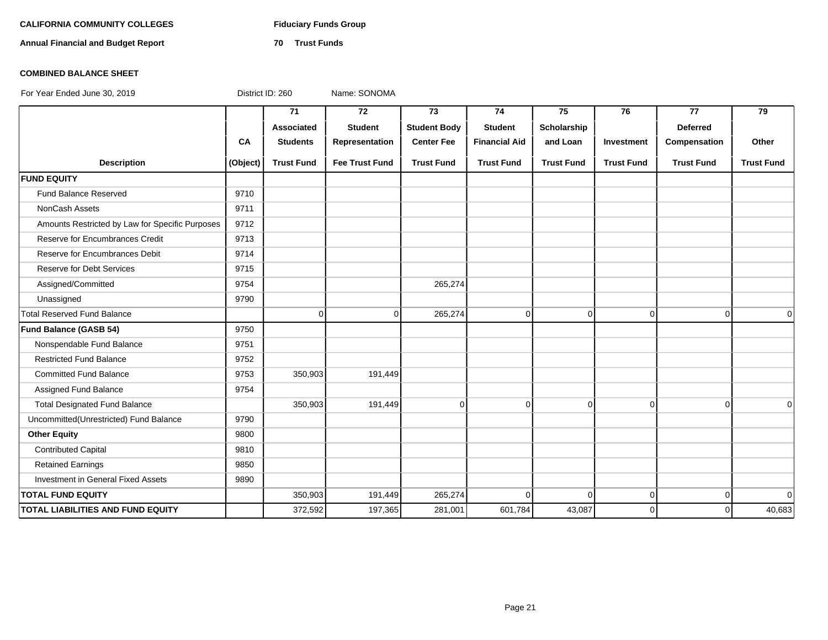# **CALIFORNIA COMMUNITY COLLEGES Fiduciary Funds Group**

**Annual Financial and Budget Report 70 Trust Funds**

### **COMBINED BALANCE SHEET**

|                                                 |          | 71                | 72                    | 73                  | 74                   | 75                | 76                | 77                | 79                |
|-------------------------------------------------|----------|-------------------|-----------------------|---------------------|----------------------|-------------------|-------------------|-------------------|-------------------|
|                                                 |          | <b>Associated</b> | <b>Student</b>        | <b>Student Body</b> | <b>Student</b>       | Scholarship       |                   | <b>Deferred</b>   |                   |
|                                                 | CA       | <b>Students</b>   | Representation        | <b>Center Fee</b>   | <b>Financial Aid</b> | and Loan          | Investment        | Compensation      | Other             |
| <b>Description</b>                              | (Object) | <b>Trust Fund</b> | <b>Fee Trust Fund</b> | <b>Trust Fund</b>   | <b>Trust Fund</b>    | <b>Trust Fund</b> | <b>Trust Fund</b> | <b>Trust Fund</b> | <b>Trust Fund</b> |
| <b>FUND EQUITY</b>                              |          |                   |                       |                     |                      |                   |                   |                   |                   |
| Fund Balance Reserved                           | 9710     |                   |                       |                     |                      |                   |                   |                   |                   |
| NonCash Assets                                  | 9711     |                   |                       |                     |                      |                   |                   |                   |                   |
| Amounts Restricted by Law for Specific Purposes | 9712     |                   |                       |                     |                      |                   |                   |                   |                   |
| Reserve for Encumbrances Credit                 | 9713     |                   |                       |                     |                      |                   |                   |                   |                   |
| Reserve for Encumbrances Debit                  | 9714     |                   |                       |                     |                      |                   |                   |                   |                   |
| <b>Reserve for Debt Services</b>                | 9715     |                   |                       |                     |                      |                   |                   |                   |                   |
| Assigned/Committed                              | 9754     |                   |                       | 265,274             |                      |                   |                   |                   |                   |
| Unassigned                                      | 9790     |                   |                       |                     |                      |                   |                   |                   |                   |
| <b>Total Reserved Fund Balance</b>              |          | $\Omega$          | $\Omega$              | 265,274             | $\mathbf 0$          | $\Omega$          | $\overline{0}$    | $\Omega$          | $\Omega$          |
| Fund Balance (GASB 54)                          | 9750     |                   |                       |                     |                      |                   |                   |                   |                   |
| Nonspendable Fund Balance                       | 9751     |                   |                       |                     |                      |                   |                   |                   |                   |
| <b>Restricted Fund Balance</b>                  | 9752     |                   |                       |                     |                      |                   |                   |                   |                   |
| <b>Committed Fund Balance</b>                   | 9753     | 350,903           | 191,449               |                     |                      |                   |                   |                   |                   |
| Assigned Fund Balance                           | 9754     |                   |                       |                     |                      |                   |                   |                   |                   |
| <b>Total Designated Fund Balance</b>            |          | 350,903           | 191,449               | $\mathbf 0$         | $\Omega$             | $\overline{0}$    | $\overline{0}$    | $\Omega$          | $\Omega$          |
| Uncommitted(Unrestricted) Fund Balance          | 9790     |                   |                       |                     |                      |                   |                   |                   |                   |
| <b>Other Equity</b>                             | 9800     |                   |                       |                     |                      |                   |                   |                   |                   |
| <b>Contributed Capital</b>                      | 9810     |                   |                       |                     |                      |                   |                   |                   |                   |
| <b>Retained Earnings</b>                        | 9850     |                   |                       |                     |                      |                   |                   |                   |                   |
| Investment in General Fixed Assets              | 9890     |                   |                       |                     |                      |                   |                   |                   |                   |
| <b>TOTAL FUND EQUITY</b>                        |          | 350,903           | 191,449               | 265,274             | $\Omega$             | $\Omega$          | $\overline{0}$    | $\overline{0}$    | $\Omega$          |
| <b>TOTAL LIABILITIES AND FUND EQUITY</b>        |          | 372,592           | 197,365               | 281,001             | 601,784              | 43,087            | $\Omega$          | $\Omega$          | 40,683            |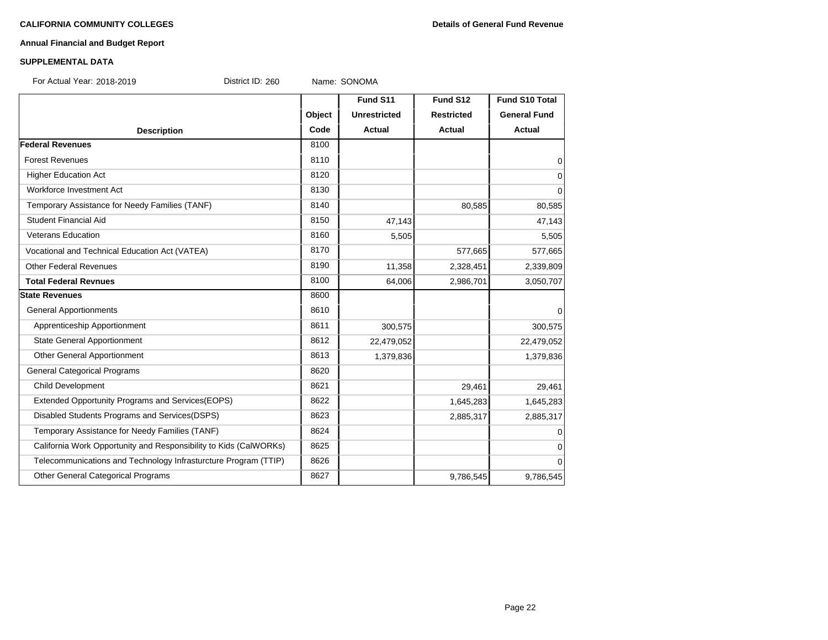# **Annual Financial and Budget Report**

### **SUPPLEMENTAL DATA**

For Actual Year: 2018-2019 District ID: 260 Name: SONOMA

|                                                                   |        | Fund S11            | Fund S12          | Fund S10 Total      |
|-------------------------------------------------------------------|--------|---------------------|-------------------|---------------------|
|                                                                   | Object | <b>Unrestricted</b> | <b>Restricted</b> | <b>General Fund</b> |
| <b>Description</b>                                                | Code   | Actual              | <b>Actual</b>     | <b>Actual</b>       |
| <b>Federal Revenues</b>                                           | 8100   |                     |                   |                     |
| <b>Forest Revenues</b>                                            | 8110   |                     |                   | 0                   |
| <b>Higher Education Act</b>                                       | 8120   |                     |                   | $\mathbf 0$         |
| Workforce Investment Act                                          | 8130   |                     |                   | $\Omega$            |
| Temporary Assistance for Needy Families (TANF)                    | 8140   |                     | 80,585            | 80,585              |
| Student Financial Aid                                             | 8150   | 47,143              |                   | 47,143              |
| <b>Veterans Education</b>                                         | 8160   | 5,505               |                   | 5,505               |
| Vocational and Technical Education Act (VATEA)                    | 8170   |                     | 577,665           | 577,665             |
| <b>Other Federal Revenues</b>                                     | 8190   | 11,358              | 2,328,451         | 2,339,809           |
| <b>Total Federal Revnues</b>                                      | 8100   | 64,006              | 2,986,701         | 3,050,707           |
| <b>State Revenues</b>                                             | 8600   |                     |                   |                     |
| <b>General Apportionments</b>                                     | 8610   |                     |                   | $\Omega$            |
| Apprenticeship Apportionment                                      | 8611   | 300,575             |                   | 300,575             |
| <b>State General Apportionment</b>                                | 8612   | 22,479,052          |                   | 22,479,052          |
| Other General Apportionment                                       | 8613   | 1,379,836           |                   | 1,379,836           |
| <b>General Categorical Programs</b>                               | 8620   |                     |                   |                     |
| Child Development                                                 | 8621   |                     | 29,461            | 29,461              |
| <b>Extended Opportunity Programs and Services (EOPS)</b>          | 8622   |                     | 1,645,283         | 1,645,283           |
| Disabled Students Programs and Services(DSPS)                     | 8623   |                     | 2,885,317         | 2,885,317           |
| Temporary Assistance for Needy Families (TANF)                    | 8624   |                     |                   | $\Omega$            |
| California Work Opportunity and Responsibility to Kids (CalWORKs) | 8625   |                     |                   | 0                   |
| Telecommunications and Technology Infrasturcture Program (TTIP)   | 8626   |                     |                   | $\Omega$            |
| Other General Categorical Programs                                | 8627   |                     | 9,786,545         | 9,786,545           |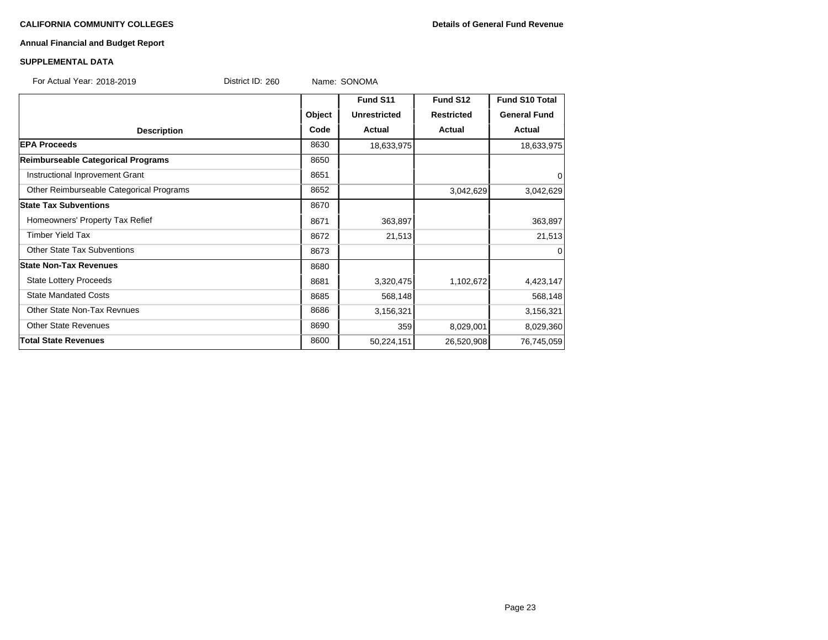# **Annual Financial and Budget Report**

### **SUPPLEMENTAL DATA**

| For Actual Year: 2018-2019 | District ID: 260 | Name: SONOMA |
|----------------------------|------------------|--------------|
|                            |                  |              |

|                                          |        | Fund S11            | Fund S12          | <b>Fund S10 Total</b> |
|------------------------------------------|--------|---------------------|-------------------|-----------------------|
|                                          | Object | <b>Unrestricted</b> | <b>Restricted</b> | <b>General Fund</b>   |
| <b>Description</b>                       | Code   | Actual              | <b>Actual</b>     | Actual                |
| <b>EPA Proceeds</b>                      | 8630   | 18,633,975          |                   | 18,633,975            |
| Reimburseable Categorical Programs       | 8650   |                     |                   |                       |
| Instructional Inprovement Grant          | 8651   |                     |                   | $\mathbf 0$           |
| Other Reimburseable Categorical Programs | 8652   |                     | 3,042,629         | 3,042,629             |
| <b>State Tax Subventions</b>             | 8670   |                     |                   |                       |
| Homeowners' Property Tax Refief          | 8671   | 363,897             |                   | 363,897               |
| <b>Timber Yield Tax</b>                  | 8672   | 21,513              |                   | 21,513                |
| <b>Other State Tax Subventions</b>       | 8673   |                     |                   | $\mathbf 0$           |
| <b>State Non-Tax Revenues</b>            | 8680   |                     |                   |                       |
| <b>State Lottery Proceeds</b>            | 8681   | 3,320,475           | 1,102,672         | 4,423,147             |
| <b>State Mandated Costs</b>              | 8685   | 568,148             |                   | 568,148               |
| <b>Other State Non-Tax Revnues</b>       | 8686   | 3,156,321           |                   | 3,156,321             |
| <b>Other State Revenues</b>              | 8690   | 359                 | 8,029,001         | 8,029,360             |
| <b>Total State Revenues</b>              | 8600   | 50,224,151          | 26,520,908        | 76,745,059            |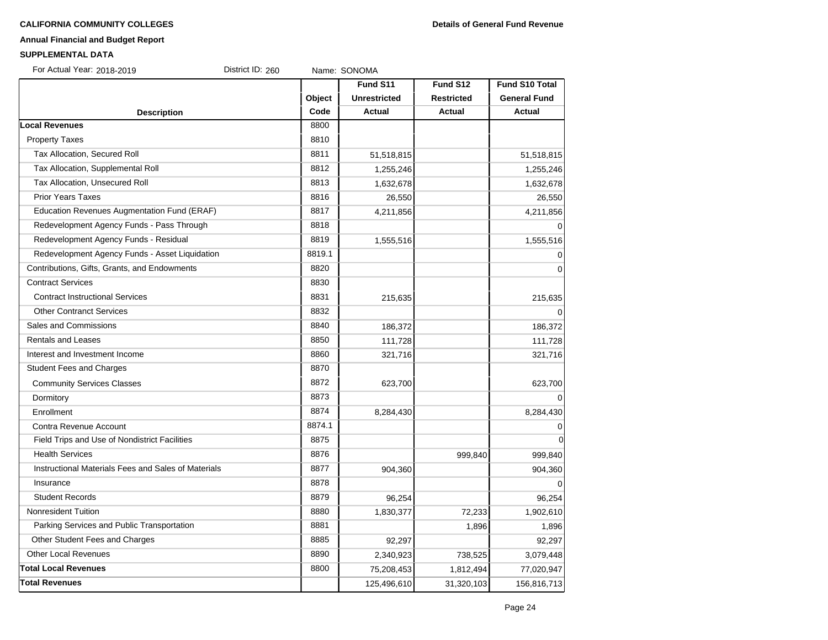# **Annual Financial and Budget Report**

#### **SUPPLEMENTAL DATA**

| For Actual Year: 2018-2019<br>District ID: 260      |        | Name: SONOMA        |                   |                       |
|-----------------------------------------------------|--------|---------------------|-------------------|-----------------------|
|                                                     |        | Fund S11            | Fund S12          | <b>Fund S10 Total</b> |
|                                                     | Object | <b>Unrestricted</b> | <b>Restricted</b> | <b>General Fund</b>   |
| <b>Description</b>                                  | Code   | Actual              | <b>Actual</b>     | Actual                |
| ocal Revenues                                       | 8800   |                     |                   |                       |
| <b>Property Taxes</b>                               | 8810   |                     |                   |                       |
| Tax Allocation, Secured Roll                        | 8811   | 51,518,815          |                   | 51,518,815            |
| Tax Allocation, Supplemental Roll                   | 8812   | 1,255,246           |                   | 1,255,246             |
| Tax Allocation, Unsecured Roll                      | 8813   | 1,632,678           |                   | 1,632,678             |
| <b>Prior Years Taxes</b>                            | 8816   | 26,550              |                   | 26,550                |
| Education Revenues Augmentation Fund (ERAF)         | 8817   | 4,211,856           |                   | 4,211,856             |
| Redevelopment Agency Funds - Pass Through           | 8818   |                     |                   | $\Omega$              |
| Redevelopment Agency Funds - Residual               | 8819   | 1,555,516           |                   | 1,555,516             |
| Redevelopment Agency Funds - Asset Liquidation      | 8819.1 |                     |                   | $\mathbf 0$           |
| Contributions, Gifts, Grants, and Endowments        | 8820   |                     |                   | $\mathbf 0$           |
| <b>Contract Services</b>                            | 8830   |                     |                   |                       |
| <b>Contract Instructional Services</b>              | 8831   | 215,635             |                   | 215,635               |
| <b>Other Contranct Services</b>                     | 8832   |                     |                   | $\Omega$              |
| Sales and Commissions                               | 8840   | 186,372             |                   | 186,372               |
| <b>Rentals and Leases</b>                           | 8850   | 111,728             |                   | 111,728               |
| Interest and Investment Income                      | 8860   | 321,716             |                   | 321,716               |
| <b>Student Fees and Charges</b>                     | 8870   |                     |                   |                       |
| <b>Community Services Classes</b>                   | 8872   | 623,700             |                   | 623,700               |
| Dormitory                                           | 8873   |                     |                   | $\Omega$              |
| Enrollment                                          | 8874   | 8,284,430           |                   | 8,284,430             |
| Contra Revenue Account                              | 8874.1 |                     |                   | 0                     |
| Field Trips and Use of Nondistrict Facilities       | 8875   |                     |                   | $\mathbf 0$           |
| <b>Health Services</b>                              | 8876   |                     | 999,840           | 999,840               |
| Instructional Materials Fees and Sales of Materials | 8877   | 904,360             |                   | 904,360               |
| Insurance                                           | 8878   |                     |                   | $\Omega$              |
| <b>Student Records</b>                              | 8879   | 96,254              |                   | 96,254                |
| <b>Nonresident Tuition</b>                          | 8880   | 1,830,377           | 72,233            | 1,902,610             |
| Parking Services and Public Transportation          | 8881   |                     | 1,896             | 1,896                 |
| Other Student Fees and Charges                      | 8885   | 92,297              |                   | 92,297                |
| <b>Other Local Revenues</b>                         | 8890   | 2,340,923           | 738,525           | 3,079,448             |
| <b>Total Local Revenues</b>                         | 8800   | 75,208,453          | 1,812,494         | 77,020,947            |
| <b>Total Revenues</b>                               |        | 125,496,610         | 31,320,103        | 156,816,713           |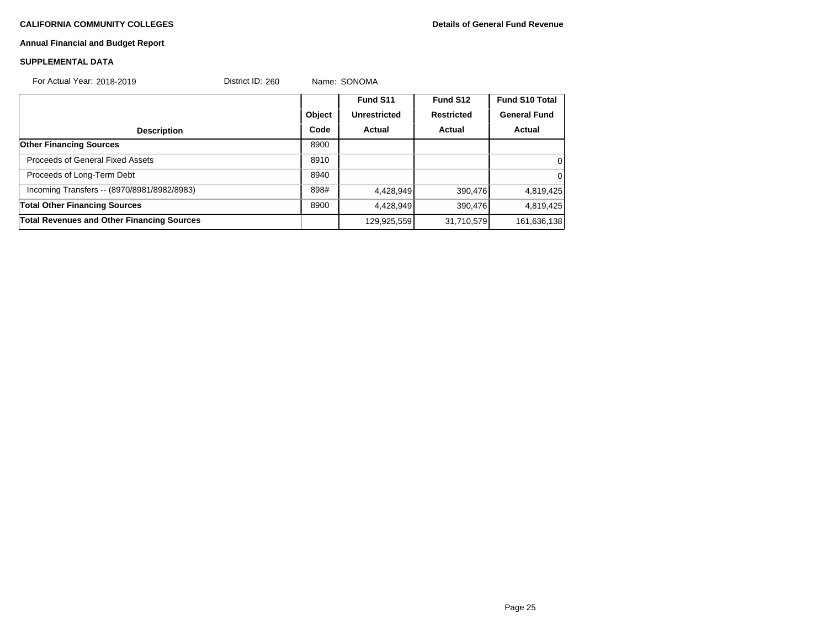# **Annual Financial and Budget Report**

# **SUPPLEMENTAL DATA**

| For Actual Year: 2018-2019                        | District ID: 260 |        | Name: SONOMA        |                   |                       |
|---------------------------------------------------|------------------|--------|---------------------|-------------------|-----------------------|
|                                                   |                  |        | Fund S11            | Fund S12          | <b>Fund S10 Total</b> |
|                                                   |                  | Object | <b>Unrestricted</b> | <b>Restricted</b> | <b>General Fund</b>   |
| <b>Description</b>                                |                  | Code   | Actual              | Actual            | Actual                |
| <b>Other Financing Sources</b>                    |                  | 8900   |                     |                   |                       |
| Proceeds of General Fixed Assets                  |                  | 8910   |                     |                   | 0                     |
| Proceeds of Long-Term Debt                        |                  | 8940   |                     |                   | 0                     |
| Incoming Transfers -- (8970/8981/8982/8983)       |                  | 898#   | 4,428,949           | 390,476           | 4,819,425             |
| <b>Total Other Financing Sources</b>              |                  | 8900   | 4.428.949           | 390,476           | 4,819,425             |
| <b>Total Revenues and Other Financing Sources</b> |                  |        | 129,925,559         | 31,710,579        | 161,636,138           |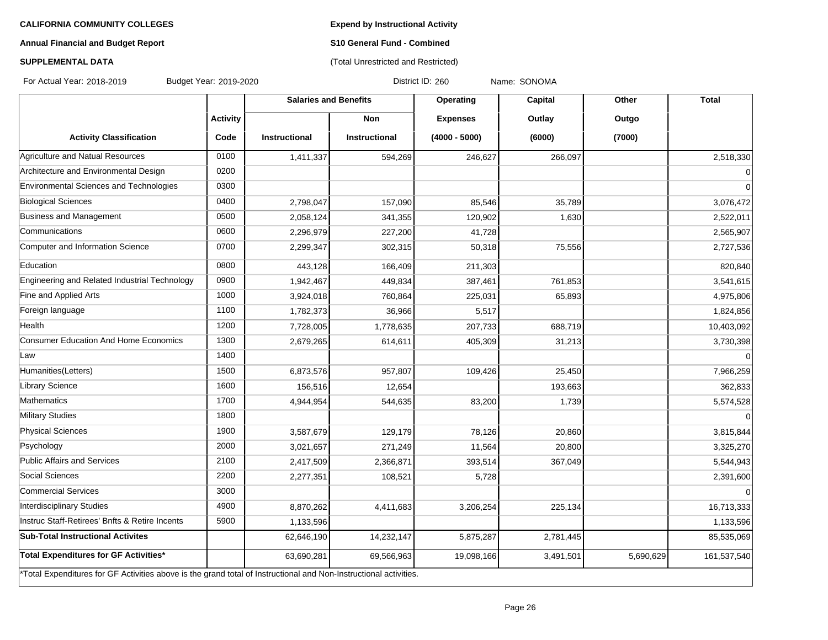**Expend by Instructional Activity**

# **Annual Financial and Budget Report**

# **S10 General Fund - Combined** (Total Unrestricted and Restricted)

# **SUPPLEMENTAL DATA**

For Actual Year: 2018-2019 Budget Year: 2019-2020 District ID: 260 Name: SONOMA

|                                                                                                                   |                 | <b>Salaries and Benefits</b> |                      | Operating       | Capital   | Other     | <b>Total</b>   |
|-------------------------------------------------------------------------------------------------------------------|-----------------|------------------------------|----------------------|-----------------|-----------|-----------|----------------|
|                                                                                                                   | <b>Activity</b> |                              | <b>Non</b>           | <b>Expenses</b> | Outlay    | Outgo     |                |
| <b>Activity Classification</b>                                                                                    | Code            | Instructional                | <b>Instructional</b> | $(4000 - 5000)$ | (6000)    | (7000)    |                |
| Agriculture and Natual Resources                                                                                  | 0100            | 1,411,337                    | 594,269              | 246,627         | 266,097   |           | 2,518,330      |
| Architecture and Environmental Design                                                                             | 0200            |                              |                      |                 |           |           | $\overline{0}$ |
| Environmental Sciences and Technologies                                                                           | 0300            |                              |                      |                 |           |           | $\overline{0}$ |
| <b>Biological Sciences</b>                                                                                        | 0400            | 2,798,047                    | 157,090              | 85,546          | 35,789    |           | 3,076,472      |
| Business and Management                                                                                           | 0500            | 2,058,124                    | 341,355              | 120,902         | 1,630     |           | 2,522,011      |
| Communications                                                                                                    | 0600            | 2,296,979                    | 227,200              | 41,728          |           |           | 2,565,907      |
| Computer and Information Science                                                                                  | 0700            | 2,299,347                    | 302,315              | 50,318          | 75,556    |           | 2,727,536      |
| Education                                                                                                         | 0800            | 443,128                      | 166,409              | 211,303         |           |           | 820,840        |
| Engineering and Related Industrial Technology                                                                     | 0900            | 1,942,467                    | 449,834              | 387,461         | 761,853   |           | 3,541,615      |
| Fine and Applied Arts                                                                                             | 1000            | 3,924,018                    | 760,864              | 225,031         | 65,893    |           | 4,975,806      |
| Foreign language                                                                                                  | 1100            | 1,782,373                    | 36,966               | 5,517           |           |           | 1,824,856      |
| Health                                                                                                            | 1200            | 7,728,005                    | 1,778,635            | 207,733         | 688,719   |           | 10,403,092     |
| <b>Consumer Education And Home Economics</b>                                                                      | 1300            | 2,679,265                    | 614,611              | 405,309         | 31,213    |           | 3,730,398      |
| Law                                                                                                               | 1400            |                              |                      |                 |           |           | $\overline{0}$ |
| Humanities(Letters)                                                                                               | 1500            | 6,873,576                    | 957,807              | 109,426         | 25,450    |           | 7,966,259      |
| Library Science                                                                                                   | 1600            | 156,516                      | 12,654               |                 | 193,663   |           | 362,833        |
| Mathematics                                                                                                       | 1700            | 4,944,954                    | 544,635              | 83,200          | 1,739     |           | 5,574,528      |
| Military Studies                                                                                                  | 1800            |                              |                      |                 |           |           | $\overline{0}$ |
| <b>Physical Sciences</b>                                                                                          | 1900            | 3,587,679                    | 129,179              | 78,126          | 20,860    |           | 3,815,844      |
| Psychology                                                                                                        | 2000            | 3,021,657                    | 271,249              | 11,564          | 20,800    |           | 3,325,270      |
| Public Affairs and Services                                                                                       | 2100            | 2,417,509                    | 2,366,871            | 393,514         | 367,049   |           | 5,544,943      |
| Social Sciences                                                                                                   | 2200            | 2,277,351                    | 108,521              | 5,728           |           |           | 2,391,600      |
| Commercial Services                                                                                               | 3000            |                              |                      |                 |           |           | $\overline{0}$ |
| Interdisciplinary Studies                                                                                         | 4900            | 8,870,262                    | 4,411,683            | 3,206,254       | 225,134   |           | 16,713,333     |
| Instruc Staff-Retirees' Bnfts & Retire Incents                                                                    | 5900            | 1,133,596                    |                      |                 |           |           | 1,133,596      |
| <b>Sub-Total Instructional Activites</b>                                                                          |                 | 62,646,190                   | 14,232,147           | 5,875,287       | 2,781,445 |           | 85,535,069     |
| Total Expenditures for GF Activities*                                                                             |                 | 63,690,281                   | 69,566,963           | 19,098,166      | 3,491,501 | 5,690,629 | 161,537,540    |
| *Total Expenditures for GF Activities above is the grand total of Instructional and Non-Instructional activities. |                 |                              |                      |                 |           |           |                |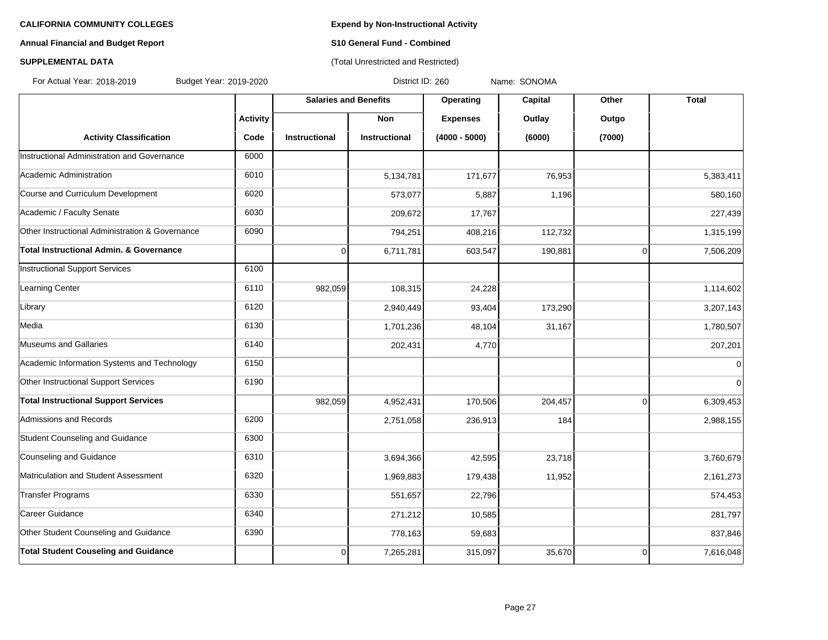# **Annual Financial and Budget Report S10 General Fund - Combined**

# **SUPPLEMENTAL DATA CONSUMPTER ACCOUNT ACCOUNT ACCOUNT ACCOUNT ACCOUNT ACCOUNT ACCOUNT ACCOUNT ACCOUNT ACCOUNT ACCOUNT ACCOUNT ACCOUNT ACCOUNT ACCOUNT ACCOUNT ACCOUNT ACCOUNT ACCOUNT ACCOUNT ACCOUNT ACCOUNT ACCOUNT ACCOUN**

For Actual Year: 2018-2019 Budget Year: 2019-2020 District ID: 260 Name: SONOMA

|                                                 |                 | <b>Salaries and Benefits</b> |                      | <b>Operating</b> | <b>Capital</b> | Other          | <b>Total</b>   |
|-------------------------------------------------|-----------------|------------------------------|----------------------|------------------|----------------|----------------|----------------|
|                                                 | <b>Activity</b> |                              | <b>Non</b>           | <b>Expenses</b>  | Outlay         | Outgo          |                |
| <b>Activity Classification</b>                  | Code            | <b>Instructional</b>         | <b>Instructional</b> | $(4000 - 5000)$  | (6000)         | (7000)         |                |
| Instructional Administration and Governance     | 6000            |                              |                      |                  |                |                |                |
| Academic Administration                         | 6010            |                              | 5,134,781            | 171,677          | 76,953         |                | 5,383,411      |
| Course and Curriculum Development               | 6020            |                              | 573,077              | 5,887            | 1,196          |                | 580,160        |
| Academic / Faculty Senate                       | 6030            |                              | 209,672              | 17,767           |                |                | 227,439        |
| Other Instructional Administration & Governance | 6090            |                              | 794,251              | 408,216          | 112,732        |                | 1,315,199      |
| Total Instructional Admin. & Governance         |                 | 0                            | 6,711,781            | 603,547          | 190,881        | $\overline{0}$ | 7,506,209      |
| Instructional Support Services                  | 6100            |                              |                      |                  |                |                |                |
| Learning Center                                 | 6110            | 982,059                      | 108,315              | 24,228           |                |                | 1,114,602      |
| Library                                         | 6120            |                              | 2,940,449            | 93,404           | 173,290        |                | 3,207,143      |
| Media                                           | 6130            |                              | 1,701,236            | 48,104           | 31,167         |                | 1,780,507      |
| Museums and Gallaries                           | 6140            |                              | 202,431              | 4,770            |                |                | 207,201        |
| Academic Information Systems and Technology     | 6150            |                              |                      |                  |                |                | $\overline{0}$ |
| Other Instructional Support Services            | 6190            |                              |                      |                  |                |                | $\mathbf 0$    |
| <b>Total Instructional Support Services</b>     |                 | 982,059                      | 4,952,431            | 170,506          | 204,457        | $\Omega$       | 6,309,453      |
| Admissions and Records                          | 6200            |                              | 2,751,058            | 236,913          | 184            |                | 2,988,155      |
| Student Counseling and Guidance                 | 6300            |                              |                      |                  |                |                |                |
| Counseling and Guidance                         | 6310            |                              | 3,694,366            | 42,595           | 23,718         |                | 3,760,679      |
| Matriculation and Student Assessment            | 6320            |                              | 1,969,883            | 179,438          | 11,952         |                | 2,161,273      |
| Transfer Programs                               | 6330            |                              | 551,657              | 22,796           |                |                | 574,453        |
| Career Guidance                                 | 6340            |                              | 271,212              | 10,585           |                |                | 281,797        |
| Other Student Counseling and Guidance           | 6390            |                              | 778,163              | 59,683           |                |                | 837,846        |
| <b>Total Student Couseling and Guidance</b>     |                 | $\Omega$                     | 7,265,281            | 315,097          | 35,670         | $\overline{0}$ | 7,616,048      |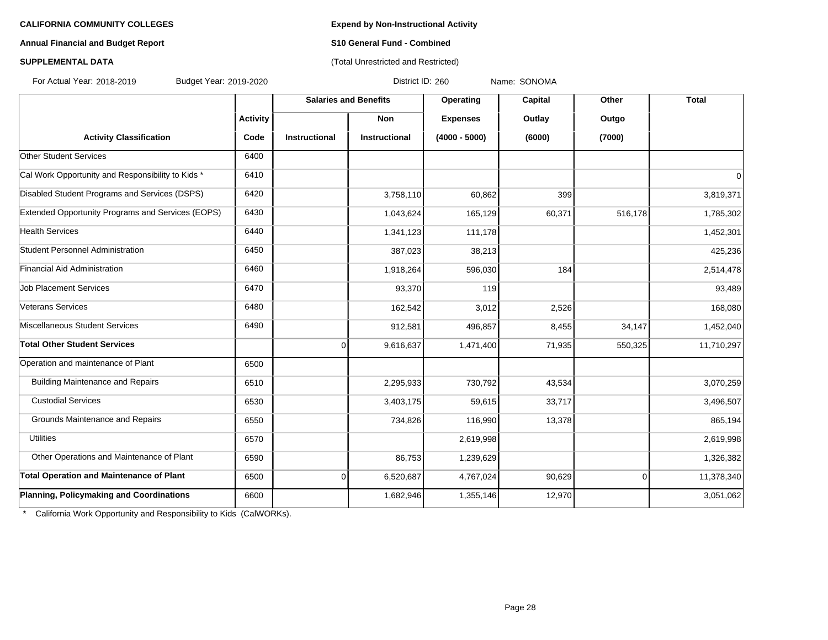## **Annual Financial and Budget Report S10 General Fund - Combined**

# **SUPPLEMENTAL DATA CONSUMPTER ACCOUNT ACCOUNT ACCOUNT ACCOUNT ACCOUNT ACCOUNT ACCOUNT ACCOUNT ACCOUNT ACCOUNT ACCOUNT ACCOUNT ACCOUNT ACCOUNT ACCOUNT ACCOUNT ACCOUNT ACCOUNT ACCOUNT ACCOUNT ACCOUNT ACCOUNT ACCOUNT ACCOUN**

For Actual Year: 2018-2019 Budget Year: 2019-2020 District ID: 260 Name: SONOMA

|                                                   |                 | <b>Salaries and Benefits</b> |                      | Operating       | Capital | Other    | <b>Total</b> |
|---------------------------------------------------|-----------------|------------------------------|----------------------|-----------------|---------|----------|--------------|
|                                                   | <b>Activity</b> |                              | <b>Non</b>           | <b>Expenses</b> | Outlay  | Outgo    |              |
| <b>Activity Classification</b>                    | Code            | <b>Instructional</b>         | <b>Instructional</b> | $(4000 - 5000)$ | (6000)  | (7000)   |              |
| <b>Other Student Services</b>                     | 6400            |                              |                      |                 |         |          |              |
| Cal Work Opportunity and Responsibility to Kids * | 6410            |                              |                      |                 |         |          | 0            |
| Disabled Student Programs and Services (DSPS)     | 6420            |                              | 3,758,110            | 60,862          | 399     |          | 3,819,371    |
| Extended Opportunity Programs and Services (EOPS) | 6430            |                              | 1,043,624            | 165,129         | 60,371  | 516,178  | 1,785,302    |
| <b>Health Services</b>                            | 6440            |                              | 1,341,123            | 111,178         |         |          | 1,452,301    |
| Student Personnel Administration                  | 6450            |                              | 387,023              | 38,213          |         |          | 425,236      |
| Financial Aid Administration                      | 6460            |                              | 1,918,264            | 596,030         | 184     |          | 2,514,478    |
| <b>Job Placement Services</b>                     | 6470            |                              | 93,370               | 119             |         |          | 93,489       |
| Veterans Services                                 | 6480            |                              | 162,542              | 3,012           | 2,526   |          | 168,080      |
| Miscellaneous Student Services                    | 6490            |                              | 912,581              | 496,857         | 8,455   | 34,147   | 1,452,040    |
| Total Other Student Services                      |                 | $\overline{0}$               | 9,616,637            | 1,471,400       | 71,935  | 550,325  | 11,710,297   |
| Operation and maintenance of Plant                | 6500            |                              |                      |                 |         |          |              |
| <b>Building Maintenance and Repairs</b>           | 6510            |                              | 2,295,933            | 730,792         | 43,534  |          | 3,070,259    |
| <b>Custodial Services</b>                         | 6530            |                              | 3,403,175            | 59,615          | 33,717  |          | 3,496,507    |
| Grounds Maintenance and Repairs                   | 6550            |                              | 734,826              | 116,990         | 13,378  |          | 865,194      |
| <b>Utilities</b>                                  | 6570            |                              |                      | 2,619,998       |         |          | 2,619,998    |
| Other Operations and Maintenance of Plant         | 6590            |                              | 86,753               | 1,239,629       |         |          | 1,326,382    |
| <b>Total Operation and Maintenance of Plant</b>   | 6500            | $\overline{0}$               | 6,520,687            | 4,767,024       | 90,629  | $\Omega$ | 11,378,340   |
| Planning, Policymaking and Coordinations          | 6600            |                              | 1,682,946            | 1,355,146       | 12,970  |          | 3,051,062    |

\* California Work Opportunity and Responsibility to Kids (CalWORKs).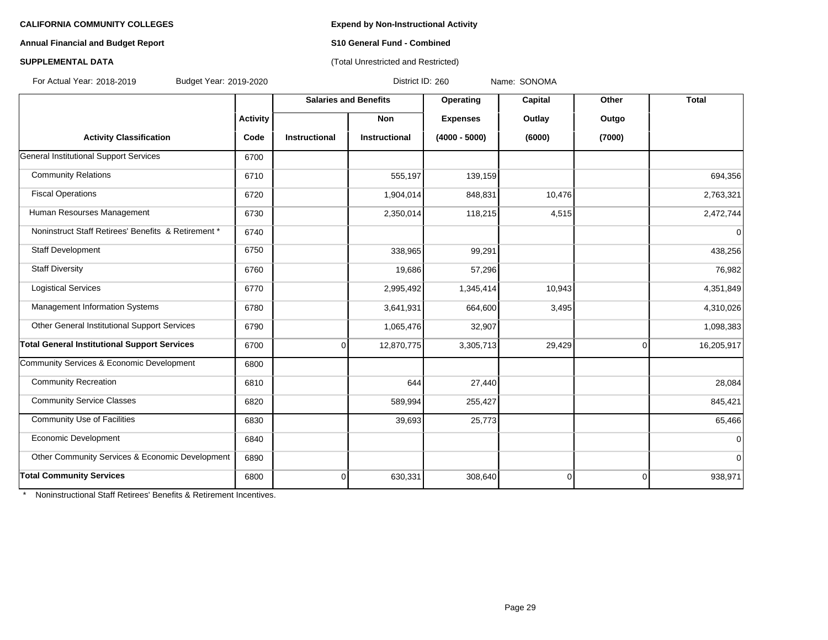### **Annual Financial and Budget Report S10 General Fund - Combined**

# **SUPPLEMENTAL DATA CONSERVATION CONSERVATION** (Total Unrestricted and Restricted)

For Actual Year: 2018-2019 Budget Year: 2019-2020 District ID: 260 Name: SONOMA

|                                                     |                 | <b>Salaries and Benefits</b> |                      | Capital<br>Operating | Other    | <b>Total</b> |             |
|-----------------------------------------------------|-----------------|------------------------------|----------------------|----------------------|----------|--------------|-------------|
|                                                     | <b>Activity</b> |                              | Non                  | <b>Expenses</b>      | Outlay   | Outgo        |             |
| <b>Activity Classification</b>                      | Code            | <b>Instructional</b>         | <b>Instructional</b> | $(4000 - 5000)$      | (6000)   | (7000)       |             |
| General Institutional Support Services              | 6700            |                              |                      |                      |          |              |             |
| <b>Community Relations</b>                          | 6710            |                              | 555,197              | 139,159              |          |              | 694,356     |
| <b>Fiscal Operations</b>                            | 6720            |                              | 1,904,014            | 848,831              | 10,476   |              | 2,763,321   |
| Human Resourses Management                          | 6730            |                              | 2,350,014            | 118,215              | 4,515    |              | 2,472,744   |
| Noninstruct Staff Retirees' Benefits & Retirement * | 6740            |                              |                      |                      |          |              | $\mathbf 0$ |
| Staff Development                                   | 6750            |                              | 338,965              | 99,291               |          |              | 438,256     |
| <b>Staff Diversity</b>                              | 6760            |                              | 19,686               | 57,296               |          |              | 76,982      |
| <b>Logistical Services</b>                          | 6770            |                              | 2,995,492            | 1,345,414            | 10,943   |              | 4,351,849   |
| Management Information Systems                      | 6780            |                              | 3,641,931            | 664,600              | 3,495    |              | 4,310,026   |
| Other General Institutional Support Services        | 6790            |                              | 1,065,476            | 32,907               |          |              | 1,098,383   |
| <b>Total General Institutional Support Services</b> | 6700            | $\overline{0}$               | 12,870,775           | 3,305,713            | 29,429   | $\mathbf 0$  | 16,205,917  |
| Community Services & Economic Development           | 6800            |                              |                      |                      |          |              |             |
| <b>Community Recreation</b>                         | 6810            |                              | 644                  | 27,440               |          |              | 28,084      |
| <b>Community Service Classes</b>                    | 6820            |                              | 589,994              | 255,427              |          |              | 845,421     |
| <b>Community Use of Facilities</b>                  | 6830            |                              | 39,693               | 25,773               |          |              | 65,466      |
| Economic Development                                | 6840            |                              |                      |                      |          |              | $\Omega$    |
| Other Community Services & Economic Development     | 6890            |                              |                      |                      |          |              | $\Omega$    |
| <b>Total Community Services</b>                     | 6800            | $\overline{0}$               | 630,331              | 308,640              | $\Omega$ | $\mathbf 0$  | 938,971     |

\* Noninstructional Staff Retirees' Benefits & Retirement Incentives.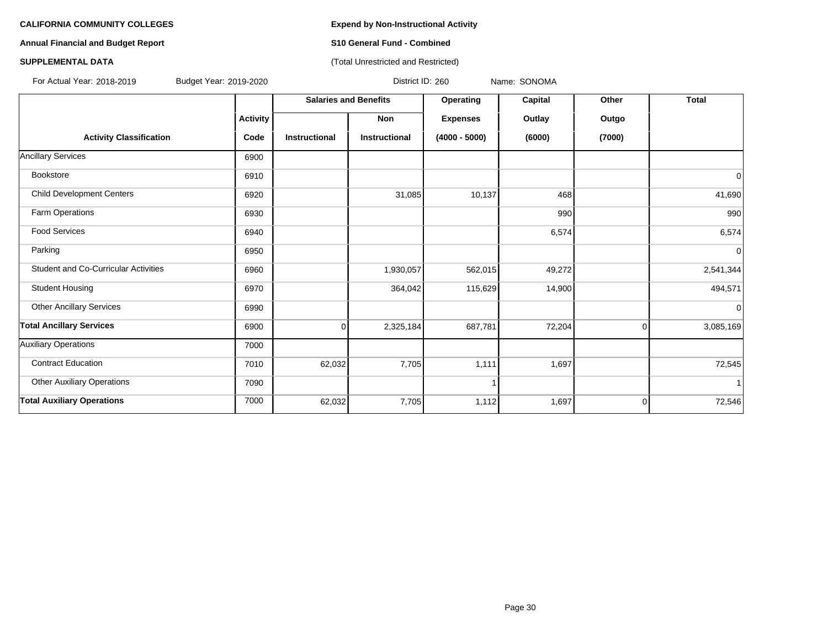# **Annual Financial and Budget Report S10 General Fund - Combined**

### **SUPPLEMENTAL DATA CONSUMPTER ACCOUNT ACCOUNT ACCOUNT ACCOUNT ACCOUNT ACCOUNT ACCOUNT ACCOUNT ACCOUNT ACCOUNT ACCOUNT ACCOUNT ACCOUNT ACCOUNT ACCOUNT ACCOUNT ACCOUNT ACCOUNT ACCOUNT ACCOUNT ACCOUNT ACCOUNT ACCOUNT ACCOUN**

For Actual Year: 2018-2019 Budget Year: 2019-2020 District ID: 260 Name: SONOMA

|                                      |                 | <b>Salaries and Benefits</b> |                      | Operating       | Capital | Other    | <b>Total</b> |
|--------------------------------------|-----------------|------------------------------|----------------------|-----------------|---------|----------|--------------|
|                                      | <b>Activity</b> |                              | Non                  | <b>Expenses</b> | Outlay  | Outgo    |              |
| <b>Activity Classification</b>       | Code            | Instructional                | <b>Instructional</b> | $(4000 - 5000)$ | (6000)  | (7000)   |              |
| <b>Ancillary Services</b>            | 6900            |                              |                      |                 |         |          |              |
| Bookstore                            | 6910            |                              |                      |                 |         |          | 0            |
| <b>Child Development Centers</b>     | 6920            |                              | 31,085               | 10,137          | 468     |          | 41,690       |
| Farm Operations                      | 6930            |                              |                      |                 | 990     |          | 990          |
| <b>Food Services</b>                 | 6940            |                              |                      |                 | 6,574   |          | 6,574        |
| Parking                              | 6950            |                              |                      |                 |         |          | 0            |
| Student and Co-Curricular Activities | 6960            |                              | 1,930,057            | 562,015         | 49,272  |          | 2,541,344    |
| <b>Student Housing</b>               | 6970            |                              | 364,042              | 115,629         | 14,900  |          | 494,571      |
| <b>Other Ancillary Services</b>      | 6990            |                              |                      |                 |         |          | 0            |
| <b>Total Ancillary Services</b>      | 6900            | 0                            | 2,325,184            | 687,781         | 72,204  | $\Omega$ | 3,085,169    |
| <b>Auxiliary Operations</b>          | 7000            |                              |                      |                 |         |          |              |
| <b>Contract Education</b>            | 7010            | 62,032                       | 7,705                | 1,111           | 1,697   |          | 72,545       |
| <b>Other Auxiliary Operations</b>    | 7090            |                              |                      |                 |         |          |              |
| <b>Total Auxiliary Operations</b>    | 7000            | 62,032                       | 7,705                | 1,112           | 1,697   | $\Omega$ | 72,546       |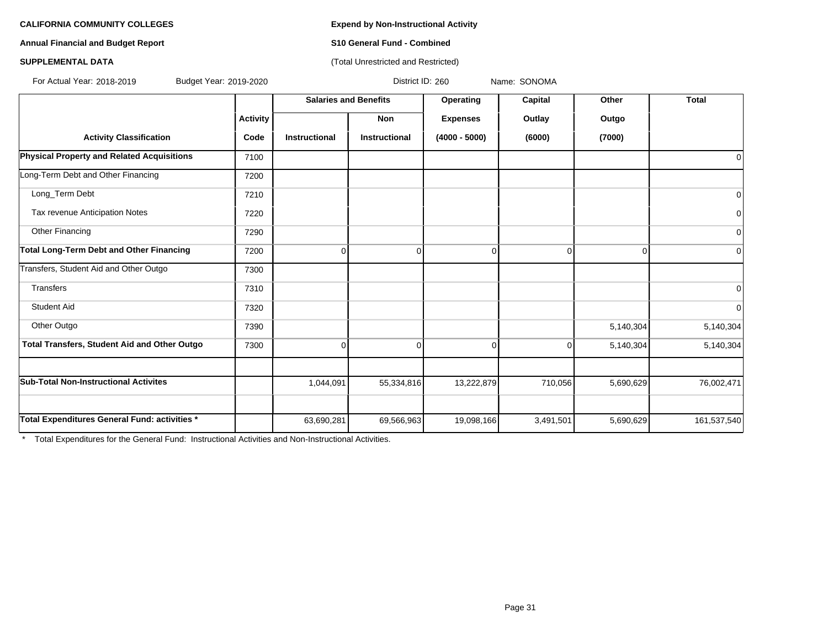# **Annual Financial and Budget Report S10 General Fund - Combined**

### **SUPPLEMENTAL DATA CONSUMPTER ACCOUNT ACCOUNT ACCOUNT ACCOUNT ACCOUNT ACCOUNT ACCOUNT ACCOUNT ACCOUNT ACCOUNT ACCOUNT ACCOUNT ACCOUNT ACCOUNT ACCOUNT ACCOUNT ACCOUNT ACCOUNT ACCOUNT ACCOUNT ACCOUNT ACCOUNT ACCOUNT ACCOUN**

For Actual Year: 2018-2019 Budget Year: 2019-2020 District ID: 260 Name: SONOMA

|                                                   |                 | <b>Salaries and Benefits</b> |                      | Operating       | <b>Capital</b> | Other     | <b>Total</b> |
|---------------------------------------------------|-----------------|------------------------------|----------------------|-----------------|----------------|-----------|--------------|
|                                                   | <b>Activity</b> |                              | <b>Non</b>           | <b>Expenses</b> | Outlay         | Outgo     |              |
| <b>Activity Classification</b>                    | Code            | <b>Instructional</b>         | <b>Instructional</b> | $(4000 - 5000)$ | (6000)         | (7000)    |              |
| <b>Physical Property and Related Acquisitions</b> | 7100            |                              |                      |                 |                |           | 0            |
| Long-Term Debt and Other Financing                | 7200            |                              |                      |                 |                |           |              |
| Long_Term Debt                                    | 7210            |                              |                      |                 |                |           | 0            |
| Tax revenue Anticipation Notes                    | 7220            |                              |                      |                 |                |           | 0            |
| Other Financing                                   | 7290            |                              |                      |                 |                |           | 0            |
| <b>Total Long-Term Debt and Other Financing</b>   | 7200            | 0                            | 0                    |                 | 0              | $\Omega$  | 0            |
| Transfers, Student Aid and Other Outgo            | 7300            |                              |                      |                 |                |           |              |
| Transfers                                         | 7310            |                              |                      |                 |                |           | 0            |
| <b>Student Aid</b>                                | 7320            |                              |                      |                 |                |           | $\mathbf 0$  |
| Other Outgo                                       | 7390            |                              |                      |                 |                | 5,140,304 | 5,140,304    |
| Total Transfers, Student Aid and Other Outgo      | 7300            | $\Omega$                     | $\Omega$             | U               | $\Omega$       | 5,140,304 | 5,140,304    |
|                                                   |                 |                              |                      |                 |                |           |              |
| <b>Sub-Total Non-Instructional Activites</b>      |                 | 1,044,091                    | 55,334,816           | 13,222,879      | 710,056        | 5,690,629 | 76,002,471   |
|                                                   |                 |                              |                      |                 |                |           |              |
| Total Expenditures General Fund: activities *     |                 | 63,690,281                   | 69,566,963           | 19,098,166      | 3,491,501      | 5,690,629 | 161,537,540  |

\* Total Expenditures for the General Fund: Instructional Activities and Non-Instructional Activities.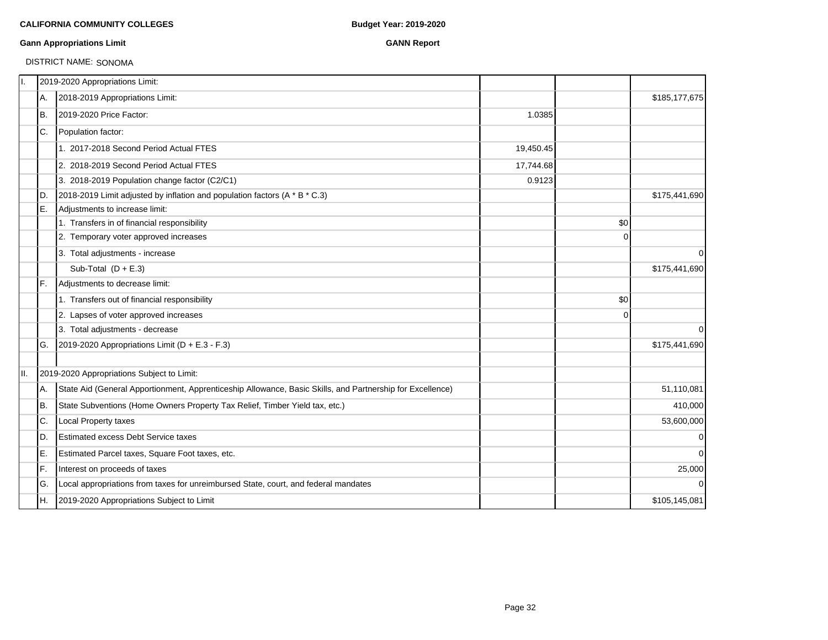### **Gann Appropriations Limit GANN Report**

# DISTRICT NAME: SONOMA

| 11. |     | 2019-2020 Appropriations Limit:                                                                           |           |             |               |
|-----|-----|-----------------------------------------------------------------------------------------------------------|-----------|-------------|---------------|
|     | А.  | 2018-2019 Appropriations Limit:                                                                           |           |             | \$185,177,675 |
|     | Iв. | 2019-2020 Price Factor:                                                                                   | 1.0385    |             |               |
|     | IC. | Population factor:                                                                                        |           |             |               |
|     |     | 1. 2017-2018 Second Period Actual FTES                                                                    | 19,450.45 |             |               |
|     |     | 2. 2018-2019 Second Period Actual FTES                                                                    | 17,744.68 |             |               |
|     |     | 3. 2018-2019 Population change factor (C2/C1)                                                             | 0.9123    |             |               |
|     | ID. | 2018-2019 Limit adjusted by inflation and population factors (A * B * C.3)                                |           |             | \$175,441,690 |
|     | E.  | Adjustments to increase limit:                                                                            |           |             |               |
|     |     | 1. Transfers in of financial responsibility                                                               |           | \$0         |               |
|     |     | 2. Temporary voter approved increases                                                                     |           | $\Omega$    |               |
|     |     | 3. Total adjustments - increase                                                                           |           |             | $\mathbf 0$   |
|     |     | Sub-Total $(D + E.3)$                                                                                     |           |             | \$175,441,690 |
|     | IF. | Adjustments to decrease limit:                                                                            |           |             |               |
|     |     | 1. Transfers out of financial responsibility                                                              |           | \$0         |               |
|     |     | 2. Lapses of voter approved increases                                                                     |           | $\mathbf 0$ |               |
|     |     | 3. Total adjustments - decrease                                                                           |           |             | $\Omega$      |
|     | IG. | 2019-2020 Appropriations Limit ( $D + E.3 - F.3$ )                                                        |           |             | \$175,441,690 |
| II. |     | 2019-2020 Appropriations Subject to Limit:                                                                |           |             |               |
|     | A.  | State Aid (General Apportionment, Apprenticeship Allowance, Basic Skills, and Partnership for Excellence) |           |             | 51,110,081    |
|     | IB. | State Subventions (Home Owners Property Tax Relief, Timber Yield tax, etc.)                               |           |             | 410,000       |
|     | IC. | Local Property taxes                                                                                      |           |             | 53,600,000    |
|     | ID. | <b>Estimated excess Debt Service taxes</b>                                                                |           |             | $\mathbf 0$   |
|     | ΙE. | Estimated Parcel taxes, Square Foot taxes, etc.                                                           |           |             | $\Omega$      |
|     | lF. | Interest on proceeds of taxes                                                                             |           |             | 25,000        |
|     | lG. | Local appropriations from taxes for unreimbursed State, court, and federal mandates                       |           |             | $\Omega$      |
|     | IH. | 2019-2020 Appropriations Subject to Limit                                                                 |           |             | \$105,145,081 |
|     |     |                                                                                                           |           |             |               |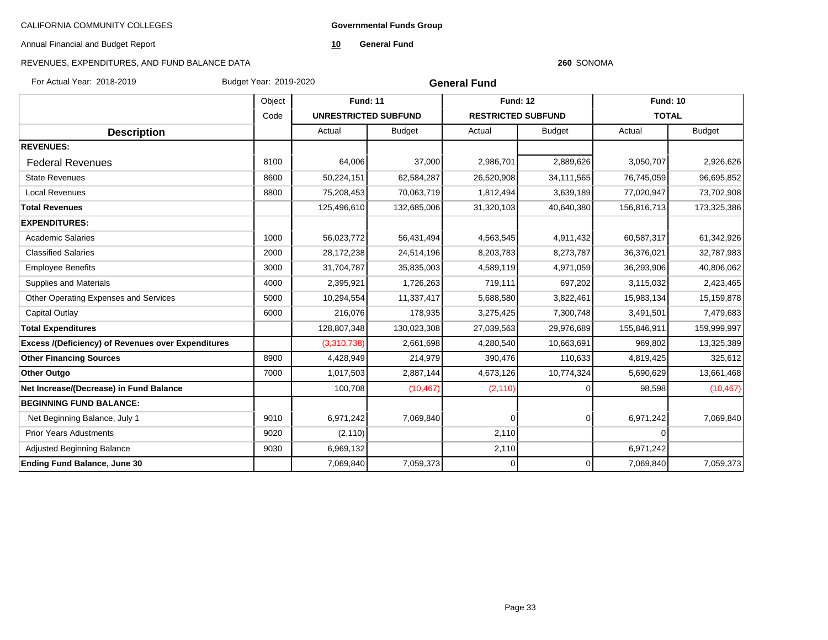**Governmental Funds Group**

Annual Financial and Budget Report

**10 General Fund**

#### **260** SONOMA

| For Actual Year: 2018-2019                                | Budget Year: 2019-2020 |                             | <b>General Fund</b> |                           |               |                 |               |
|-----------------------------------------------------------|------------------------|-----------------------------|---------------------|---------------------------|---------------|-----------------|---------------|
|                                                           | Object                 | <b>Fund: 11</b>             |                     | <b>Fund: 12</b>           |               | <b>Fund: 10</b> |               |
|                                                           | Code                   | <b>UNRESTRICTED SUBFUND</b> |                     | <b>RESTRICTED SUBFUND</b> |               | <b>TOTAL</b>    |               |
| <b>Description</b>                                        |                        | Actual                      | <b>Budget</b>       | Actual                    | <b>Budget</b> | Actual          | <b>Budget</b> |
| <b>REVENUES:</b>                                          |                        |                             |                     |                           |               |                 |               |
| <b>Federal Revenues</b>                                   | 8100                   | 64,006                      | 37,000              | 2,986,701                 | 2,889,626     | 3,050,707       | 2,926,626     |
| <b>State Revenues</b>                                     | 8600                   | 50,224,151                  | 62,584,287          | 26,520,908                | 34,111,565    | 76,745,059      | 96,695,852    |
| <b>Local Revenues</b>                                     | 8800                   | 75,208,453                  | 70,063,719          | 1,812,494                 | 3,639,189     | 77,020,947      | 73,702,908    |
| <b>Total Revenues</b>                                     |                        | 125,496,610                 | 132,685,006         | 31,320,103                | 40,640,380    | 156,816,713     | 173,325,386   |
| <b>EXPENDITURES:</b>                                      |                        |                             |                     |                           |               |                 |               |
| <b>Academic Salaries</b>                                  | 1000                   | 56,023,772                  | 56,431,494          | 4,563,545                 | 4,911,432     | 60,587,317      | 61,342,926    |
| <b>Classified Salaries</b>                                | 2000                   | 28,172,238                  | 24,514,196          | 8,203,783                 | 8,273,787     | 36,376,021      | 32,787,983    |
| <b>Employee Benefits</b>                                  | 3000                   | 31,704,787                  | 35,835,003          | 4,589,119                 | 4,971,059     | 36,293,906      | 40,806,062    |
| <b>Supplies and Materials</b>                             | 4000                   | 2,395,921                   | 1,726,263           | 719,111                   | 697,202       | 3,115,032       | 2,423,465     |
| Other Operating Expenses and Services                     | 5000                   | 10,294,554                  | 11,337,417          | 5,688,580                 | 3,822,461     | 15,983,134      | 15,159,878    |
| Capital Outlay                                            | 6000                   | 216,076                     | 178,935             | 3,275,425                 | 7,300,748     | 3,491,501       | 7,479,683     |
| <b>Total Expenditures</b>                                 |                        | 128,807,348                 | 130,023,308         | 27,039,563                | 29,976,689    | 155,846,911     | 159,999,997   |
| <b>Excess /(Deficiency) of Revenues over Expenditures</b> |                        | (3,310,738)                 | 2,661,698           | 4,280,540                 | 10,663,691    | 969,802         | 13,325,389    |
| <b>Other Financing Sources</b>                            | 8900                   | 4,428,949                   | 214,979             | 390,476                   | 110,633       | 4,819,425       | 325,612       |
| Other Outgo                                               | 7000                   | 1,017,503                   | 2,887,144           | 4,673,126                 | 10,774,324    | 5,690,629       | 13,661,468    |
| Net Increase/(Decrease) in Fund Balance                   |                        | 100,708                     | (10, 467)           | (2, 110)                  | ∩             | 98,598          | (10, 467)     |
| <b>BEGINNING FUND BALANCE:</b>                            |                        |                             |                     |                           |               |                 |               |
| Net Beginning Balance, July 1                             | 9010                   | 6,971,242                   | 7,069,840           | $\Omega$                  | 0             | 6,971,242       | 7,069,840     |
| <b>Prior Years Adustments</b>                             | 9020                   | (2, 110)                    |                     | 2,110                     |               | $\overline{0}$  |               |
| <b>Adjusted Beginning Balance</b>                         | 9030                   | 6,969,132                   |                     | 2,110                     |               | 6,971,242       |               |
| <b>Ending Fund Balance, June 30</b>                       |                        | 7,069,840                   | 7,059,373           |                           | 0             | 7,069,840       | 7,059,373     |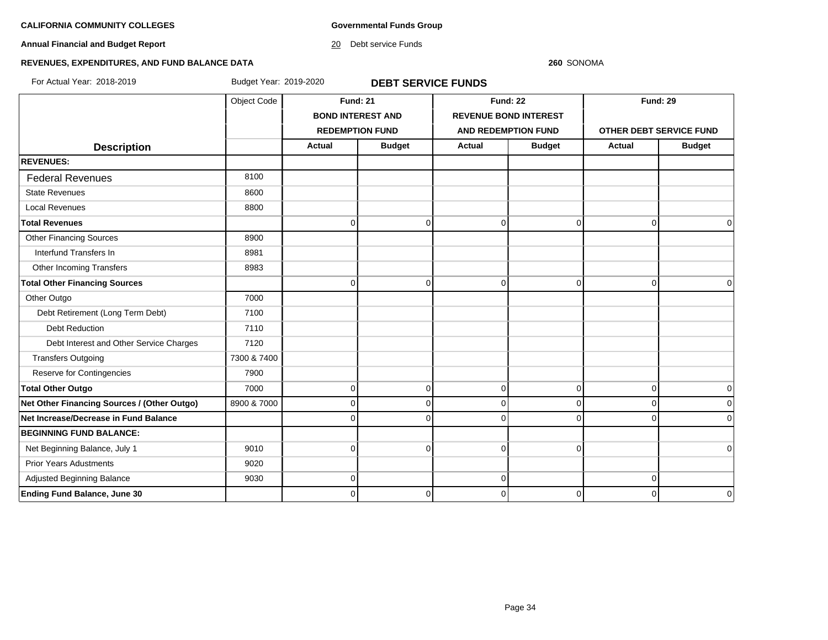**Governmental Funds Group**

# **Annual Financial and Budget Report**

20 Debt service Funds

#### **260** SONOMA

# **REVENUES, EXPENDITURES, AND FUND BALANCE DATA**

For Actual Year: 2018-2019 Budget Year: 2019-2020 **DEBT SERVICE FUNDS**

|                                             | Object Code |                          | <b>Fund: 21</b> |                            | <b>Fund: 22</b>              |                         | <b>Fund: 29</b> |  |
|---------------------------------------------|-------------|--------------------------|-----------------|----------------------------|------------------------------|-------------------------|-----------------|--|
|                                             |             | <b>BOND INTEREST AND</b> |                 |                            | <b>REVENUE BOND INTEREST</b> |                         |                 |  |
|                                             |             | <b>REDEMPTION FUND</b>   |                 | <b>AND REDEMPTION FUND</b> |                              | OTHER DEBT SERVICE FUND |                 |  |
| <b>Description</b>                          |             | <b>Actual</b>            | <b>Budget</b>   | <b>Actual</b>              | <b>Budget</b>                | Actual                  | <b>Budget</b>   |  |
| <b>REVENUES:</b>                            |             |                          |                 |                            |                              |                         |                 |  |
| <b>Federal Revenues</b>                     | 8100        |                          |                 |                            |                              |                         |                 |  |
| <b>State Revenues</b>                       | 8600        |                          |                 |                            |                              |                         |                 |  |
| <b>Local Revenues</b>                       | 8800        |                          |                 |                            |                              |                         |                 |  |
| <b>Total Revenues</b>                       |             | 0                        | $\Omega$        | $\mathbf 0$                | $\Omega$                     | $\Omega$                | 0               |  |
| <b>Other Financing Sources</b>              | 8900        |                          |                 |                            |                              |                         |                 |  |
| Interfund Transfers In                      | 8981        |                          |                 |                            |                              |                         |                 |  |
| Other Incoming Transfers                    | 8983        |                          |                 |                            |                              |                         |                 |  |
| <b>Total Other Financing Sources</b>        |             | $\Omega$                 | $\Omega$        | $\mathbf 0$                | $\Omega$                     | $\Omega$                | $\Omega$        |  |
| Other Outgo                                 | 7000        |                          |                 |                            |                              |                         |                 |  |
| Debt Retirement (Long Term Debt)            | 7100        |                          |                 |                            |                              |                         |                 |  |
| <b>Debt Reduction</b>                       | 7110        |                          |                 |                            |                              |                         |                 |  |
| Debt Interest and Other Service Charges     | 7120        |                          |                 |                            |                              |                         |                 |  |
| <b>Transfers Outgoing</b>                   | 7300 & 7400 |                          |                 |                            |                              |                         |                 |  |
| Reserve for Contingencies                   | 7900        |                          |                 |                            |                              |                         |                 |  |
| <b>Total Other Outgo</b>                    | 7000        | $\Omega$                 | $\mathbf 0$     | $\mathbf 0$                | $\Omega$                     | $\overline{0}$          | 0               |  |
| Net Other Financing Sources / (Other Outgo) | 8900 & 7000 | $\Omega$                 | $\mathbf{0}$    | $\mathbf 0$                | $\overline{0}$               | $\overline{0}$          |                 |  |
| Net Increase/Decrease in Fund Balance       |             |                          | U               | $\mathbf 0$                | ∩                            | $\Omega$                |                 |  |
| <b>BEGINNING FUND BALANCE:</b>              |             |                          |                 |                            |                              |                         |                 |  |
| Net Beginning Balance, July 1               | 9010        | $\Omega$                 | $\Omega$        | $\mathbf 0$                | $\Omega$                     |                         | $\Omega$        |  |
| <b>Prior Years Adustments</b>               | 9020        |                          |                 |                            |                              |                         |                 |  |
| Adjusted Beginning Balance                  | 9030        | $\Omega$                 |                 | $\mathbf 0$                |                              | 0                       |                 |  |
| <b>Ending Fund Balance, June 30</b>         |             | 0                        | $\Omega$        | $\mathbf 0$                | 0                            | $\Omega$                | $\mathbf 0$     |  |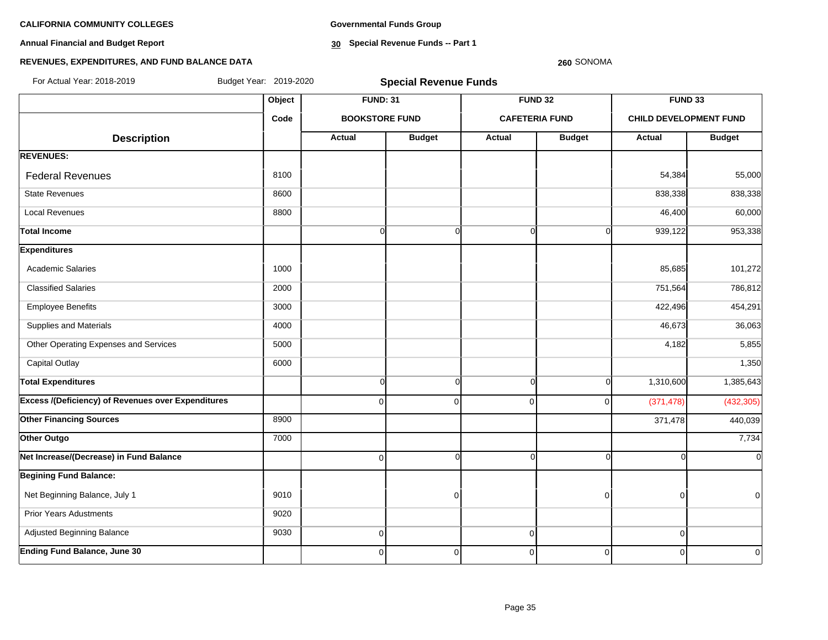**Annual Financial and Budget Report**

**Governmental Funds Group**

**30 Special Revenue Funds -- Part 1**

#### **260** SONOMA

| For Actual Year: 2018-2019                                | Budget Year: 2019-2020 |                       | <b>Special Revenue Funds</b> |               |                       |            |                               |
|-----------------------------------------------------------|------------------------|-----------------------|------------------------------|---------------|-----------------------|------------|-------------------------------|
|                                                           | Object                 | <b>FUND: 31</b>       |                              |               | <b>FUND 32</b>        | FUND 33    |                               |
|                                                           | Code                   | <b>BOOKSTORE FUND</b> |                              |               | <b>CAFETERIA FUND</b> |            | <b>CHILD DEVELOPMENT FUND</b> |
| <b>Description</b>                                        |                        | <b>Actual</b>         | <b>Budget</b>                | <b>Actual</b> | <b>Budget</b>         | Actual     | <b>Budget</b>                 |
| <b>REVENUES:</b>                                          |                        |                       |                              |               |                       |            |                               |
| <b>Federal Revenues</b>                                   | 8100                   |                       |                              |               |                       | 54,384     | 55,000                        |
| <b>State Revenues</b>                                     | 8600                   |                       |                              |               |                       | 838,338    | 838,338                       |
| <b>Local Revenues</b>                                     | 8800                   |                       |                              |               |                       | 46,400     | 60,000                        |
| <b>Total Income</b>                                       |                        | $\overline{0}$        | $\overline{0}$               | $\Omega$      | O                     | 939,122    | 953,338                       |
| <b>Expenditures</b>                                       |                        |                       |                              |               |                       |            |                               |
| <b>Academic Salaries</b>                                  | 1000                   |                       |                              |               |                       | 85,685     | 101,272                       |
| <b>Classified Salaries</b>                                | 2000                   |                       |                              |               |                       | 751,564    | 786,812                       |
| <b>Employee Benefits</b>                                  | 3000                   |                       |                              |               |                       | 422,496    | 454,291                       |
| Supplies and Materials                                    | 4000                   |                       |                              |               |                       | 46,673     | 36,063                        |
| Other Operating Expenses and Services                     | 5000                   |                       |                              |               |                       | 4,182      | 5,855                         |
| <b>Capital Outlay</b>                                     | 6000                   |                       |                              |               |                       |            | 1,350                         |
| <b>Total Expenditures</b>                                 |                        | $\overline{0}$        | $\overline{0}$               | $\Omega$      | $\Omega$              | 1,310,600  | 1,385,643                     |
| <b>Excess /(Deficiency) of Revenues over Expenditures</b> |                        | $\overline{0}$        | $\Omega$                     | $\mathbf 0$   | $\Omega$              | (371, 478) | (432, 305)                    |
| <b>Other Financing Sources</b>                            | 8900                   |                       |                              |               |                       | 371,478    | 440,039                       |
| Other Outgo                                               | 7000                   |                       |                              |               |                       |            | 7,734                         |
| Net Increase/(Decrease) in Fund Balance                   |                        | $\Omega$              | $\Omega$                     | $\cap$        | $\Omega$              |            | $\overline{0}$                |
| <b>Begining Fund Balance:</b>                             |                        |                       |                              |               |                       |            |                               |
| Net Beginning Balance, July 1                             | 9010                   |                       | 0                            |               | n                     | U          | $\Omega$                      |
| <b>Prior Years Adustments</b>                             | 9020                   |                       |                              |               |                       |            |                               |
| Adjusted Beginning Balance                                | 9030                   | $\overline{0}$        |                              | $\mathbf 0$   |                       | $\Omega$   |                               |
| <b>Ending Fund Balance, June 30</b>                       |                        | $\Omega$              | $\mathbf 0$                  | $\mathbf 0$   | $\mathbf 0$           | O          | $\overline{0}$                |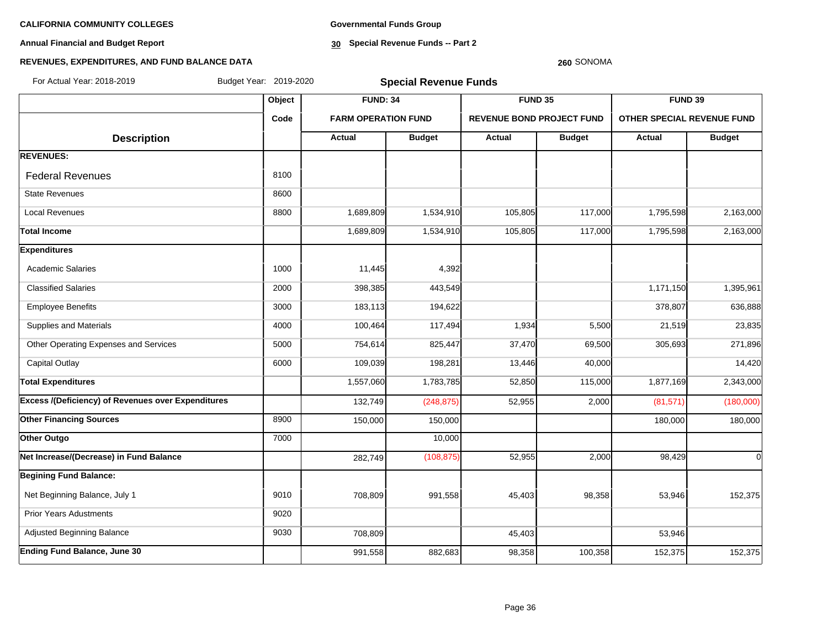**Annual Financial and Budget Report**

**Governmental Funds Group**

**30 Special Revenue Funds -- Part 2**

#### **REVENUES, EXPENDITURES, AND FUND BALANCE DATA**

#### **260** SONOMA

**Object FUND: 34 FUND 35 FUND 39 Code FARM OPERATION FUND REVENUE BOND PROJECT FUND OTHER SPECIAL REVENUE FUND**  $\begin{array}{|c|c|c|c|c|c|}\n \hline\n \text{Description} & & \text{Actual} & \text{Actual} & \text{Budget} & \text{Actual} & \text{Budget} & \text{Actual} & \text{Budget} \end{array}$ **REVENUES:** Federal Revenues 8100 State Revenues 8600 Local Revenues 8800 1,689,809 1,534,910 105,805 117,000 1,795,598 2,163,000 **Total Income** 1,689,809 1,534,910 105,805 117,000 1,795,598 2,163,000 **Expenditures** Academic Salaries 11,445 4,392 Classified Salaries 2000 2000 398,385 443,549 2000 398,385 443,549 1,171,150 1,395,961 Employee Benefits 3000 183,113 194,622 378,807 636,888 Supplies and Materials **4000** 100,464 117,494 1,934 5,500 21,519 23,835 Other Operating Expenses and Services **5000** 754,614 825,447 37,470 69,500 305,693 271,896 Capital Outlay 6000 109,039 198,281 13,446 40,000 14,420 **Total Expenditures** 1,557,060 1,783,785 52,850 115,000 1,877,169 2,343,000 **Excess /(Deficiency) of Revenues over Expenditures** 132,749 (248,875) 52,955 2,000 (81,571) (180,000) **Other Financing Sources** 8900 150,000 150,000 150,000 150,000 150,000 180,000 180,000 180,000 **Other Outgo** 7000 **10,000 10,000 10,000 10,000 10,000 10,000 10,000 10,000 Net Increase/(Decrease) in Fund Balance** 1 1 282,749 (108,875) 52,955 2,000 98,429 98,429 **Begining Fund Balance:** Net Beginning Balance, July 1 9010 | 9010 | 708,809 991,558 45.403 98.358 98.358 53.946 152,375 Prior Years Adustments **19020** Adjusted Beginning Balance 60 1 1 2 3030 708,809 708,809 45,403 45,403 53,946 **Ending Fund Balance, June 30** 991 991,558 982,683 98,358 98,358 98,358 100,358 152,375 152,375 For Actual Year: 2018-2019 Budget Year: 2019-2020 **Special Revenue Funds**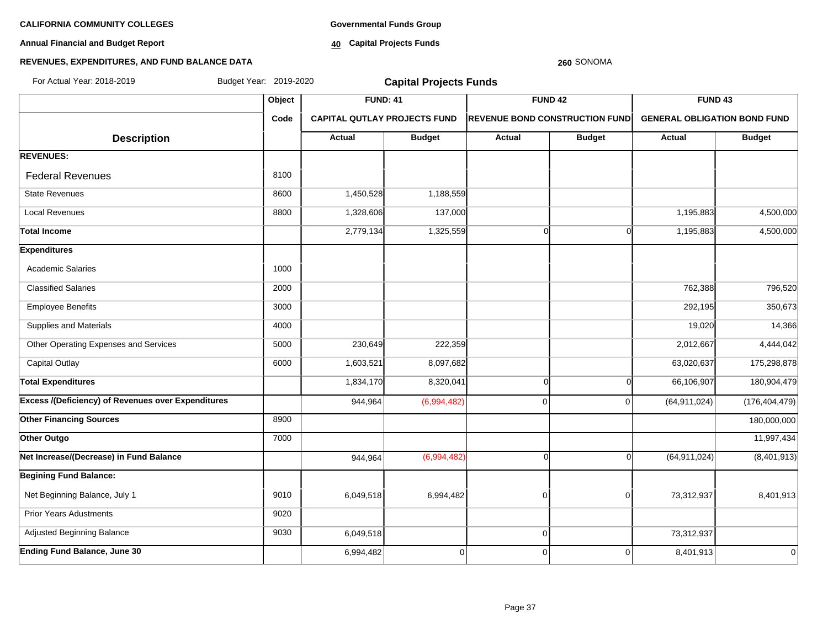**Annual Financial and Budget Report**

**Governmental Funds Group**

**40 Capital Projects Funds**

#### **REVENUES, EXPENDITURES, AND FUND BALANCE DATA**

# **Object FUND: 41 FUND 42 FUND 43 Code CAPITAL QUTLAY PROJECTS FUND REVENUE BOND CONSTRUCTION FUND GENERAL OBLIGATION BOND FUND**  $\begin{array}{|c|c|c|c|c|c|}\n\hline\n\textbf{A} & \textbf{A} & \textbf{B} & \textbf{B} & \textbf{B} & \textbf{B} & \textbf{B} & \textbf{B} & \textbf{B} & \textbf{B} & \textbf{B} & \textbf{B} & \textbf{B} & \textbf{B} & \textbf{B} & \textbf{B} & \textbf{B} & \textbf{B} & \textbf{B} & \textbf{B} & \textbf{B} & \textbf{B} & \textbf{B} & \textbf{B} & \textbf{B} & \textbf{B} & \textbf{B} & \textbf{B} & \$ **REVENUES:** Federal Revenues 8100 State Revenues 8600 1,188,559 1,188,559 Local Revenues 8800 1,328,606 137,000 1,195,883 4,500,000 Total Income 2,779,134| 1,325,559| 0 1,195,883| 4,500,000 **Expenditures** Academic Salaries 10000 Classified Salaries 2000 762,388 796,520 Employee Benefits 3000 292,195 350,673 Supplies and Materials **19,020 14,366** 14,366 Other Operating Expenses and Services **5000** 5000 230,649 222,359 222,359 2,012,667 2,012,667 4,444,042 Capital Outlay 6000 1,603,521 8,097,682 63,020,637 175,298,878 **Total Expenditures** 1,834,170 8,320,041 0 0 66,106,907 180,904,479 **Excess /(Deficiency) of Revenues over Expenditures and the set of the set of the set of the set of the set of the set of the set of the set of the set of the set of the set of the set of the set of the set of the set of Other Financing Sources** 8900 180,000,000 **Other Outgo** 7.000 1, 2000 1, 2000 1, 2000 1, 2000 1, 2000 1, 2000 1, 2000 1, 2000 1, 2000 1, 2000 1, 2000 1, 2000 1, 2000 1, 2000 1, 2000 1, 2000 1, 2000 1, 2000 1, 2000 1, 2000 1, 2000 1, 2000 1, 2000 1, 2000 1, 2000 1, **Net Increase/(Decrease) in Fund Balance** 944,964 (6,994,482) 0 0 (64,911,024) (8,401,913) **Begining Fund Balance:** Net Beginning Balance, July 1 9010 | 9010 | 6,049,518 6,994,482 | 0 0 0 73,312,937 | 8,401,913 Prior Years Adustments **19020** Adjusted Beginning Balance **1988 12:312,937** 19030 6,049,518 10 73,312,937 0 73,312,937 **Ending Fund Balance, June 30** 6.401,913 **6.994,482** 0 0 0 0 0 0 0 0 0 0 0 0 8,401,913 For Actual Year: 2018-2019 Budget Year: 2019-2020 **Capital Projects Funds**

**260** SONOMA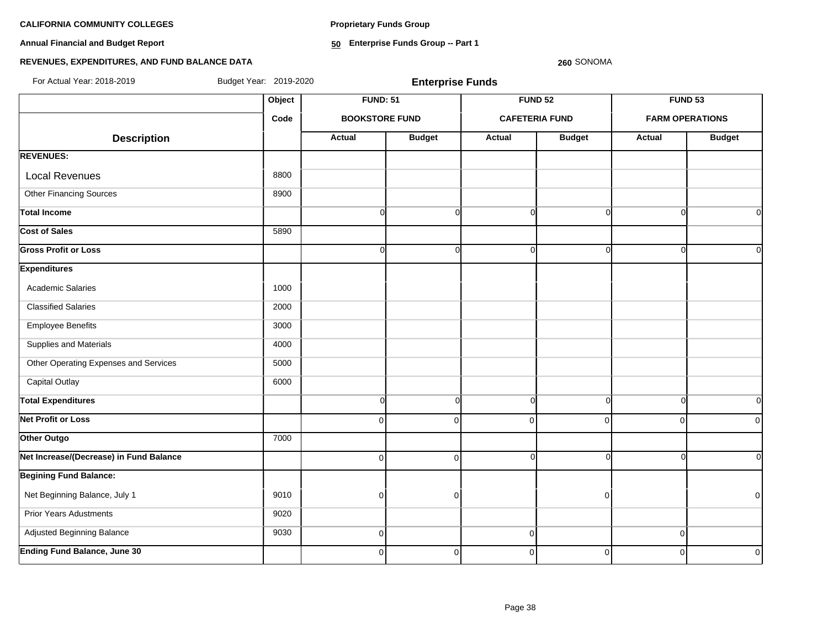**Proprietary Funds Group**

**Annual Financial and Budget Report**

**50 Enterprise Funds Group -- Part 1**

### **REVENUES, EXPENDITURES, AND FUND BALANCE DATA**

**260** SONOMA

**Object FUND: 51 FUND 52 FUND 53 Code BOOKSTORE FUND CAFETERIA FUND FARM OPERATIONS**  $\begin{array}{|c|c|c|c|c|c|}\n \hline\n \text{Description} & & \text{Actual} & \text{Actual} & \text{Budget} & \text{Actual} & \text{Budget} & \text{Actual} & \text{Budget} \end{array}$ **REVENUES:** Local Revenues and all the state of the state of the state of the state of the state of the state of the state of the state of the state of the state of the state of the state of the state of the state of the state of the Other Financing Sources 8900 **Total Income** 0 0 0 0 0 0 **Cost of Sales** 5890 **Gross Profit or Loss** 0 0 0 0 0 0 **Expenditures** Academic Salaries 1000 Classified Salaries 2000 Employee Benefits 3000 Supplies and Materials 4000 Other Operating Expenses and Services **1000** 5000 Capital Outlay 6000 **Total Expenditures** 0 0 0 0 0 0 **Net Profit or Loss** 0 0 0 0 0 0 **Other Outgo** 7000 **Net Increase/(Decrease) in Fund Balance** 0 0 0 0 0 0 **Begining Fund Balance:** Net Beginning Balance, July 1 9010 0 0 0 0 Prior Years Adustments **9020**  Adjusted Beginning Balance 9030 0 0 0 **Ending Fund Balance, June 30** 0 0 0 0 0 0 For Actual Year: 2018-2019 Budget Year: 2019-2020 **Enterprise Funds**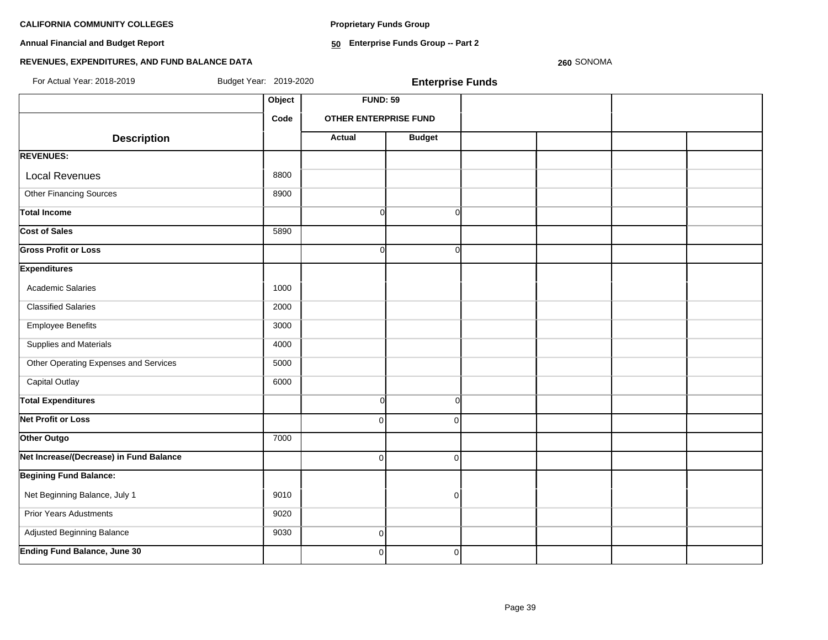**Proprietary Funds Group**

**Annual Financial and Budget Report**

**50 Enterprise Funds Group -- Part 2**

# **REVENUES, EXPENDITURES, AND FUND BALANCE DATA**

**260** SONOMA

| For Actual Year: 2018-2019              | Budget Year: 2019-2020 |                       | <b>Enterprise Funds</b> |  |  |
|-----------------------------------------|------------------------|-----------------------|-------------------------|--|--|
|                                         | Object                 | <b>FUND: 59</b>       |                         |  |  |
|                                         | Code                   | OTHER ENTERPRISE FUND |                         |  |  |
| <b>Description</b>                      |                        | <b>Actual</b>         | <b>Budget</b>           |  |  |
| <b>REVENUES:</b>                        |                        |                       |                         |  |  |
| <b>Local Revenues</b>                   | 8800                   |                       |                         |  |  |
| Other Financing Sources                 | 8900                   |                       |                         |  |  |
| <b>Total Income</b>                     |                        | $\overline{0}$        | $\overline{0}$          |  |  |
| <b>Cost of Sales</b>                    | 5890                   |                       |                         |  |  |
| <b>Gross Profit or Loss</b>             |                        | $\Omega$              | $\Omega$                |  |  |
| <b>Expenditures</b>                     |                        |                       |                         |  |  |
| Academic Salaries                       | 1000                   |                       |                         |  |  |
| <b>Classified Salaries</b>              | 2000                   |                       |                         |  |  |
| <b>Employee Benefits</b>                | 3000                   |                       |                         |  |  |
| Supplies and Materials                  | 4000                   |                       |                         |  |  |
| Other Operating Expenses and Services   | 5000                   |                       |                         |  |  |
| <b>Capital Outlay</b>                   | 6000                   |                       |                         |  |  |
| <b>Total Expenditures</b>               |                        | $\Omega$              | $\overline{0}$          |  |  |
| <b>Net Profit or Loss</b>               |                        | $\Omega$              | $\Omega$                |  |  |
| Other Outgo                             | 7000                   |                       |                         |  |  |
| Net Increase/(Decrease) in Fund Balance |                        | $\Omega$              | $\Omega$                |  |  |
| <b>Begining Fund Balance:</b>           |                        |                       |                         |  |  |
| Net Beginning Balance, July 1           | 9010                   |                       | $\Omega$                |  |  |
| <b>Prior Years Adustments</b>           | 9020                   |                       |                         |  |  |
| Adjusted Beginning Balance              | 9030                   | $\overline{0}$        |                         |  |  |
| <b>Ending Fund Balance, June 30</b>     |                        | $\overline{0}$        | $\overline{0}$          |  |  |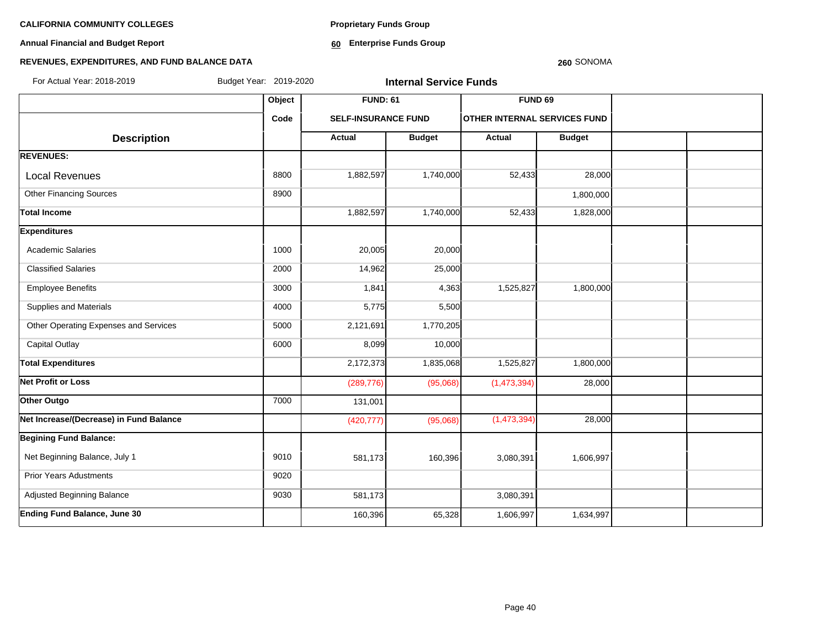**Annual Financial and Budget Report**

**Proprietary Funds Group**

**60 Enterprise Funds Group** 

# **REVENUES, EXPENDITURES, AND FUND BALANCE DATA**

#### **260** SONOMA

| For Actual Year: 2018-2019              | Budget Year: 2019-2020 |                            | <b>Internal Service Funds</b> |                                     |               |  |
|-----------------------------------------|------------------------|----------------------------|-------------------------------|-------------------------------------|---------------|--|
|                                         | Object                 | <b>FUND: 61</b>            |                               | <b>FUND 69</b>                      |               |  |
|                                         | Code                   | <b>SELF-INSURANCE FUND</b> |                               | <b>OTHER INTERNAL SERVICES FUND</b> |               |  |
| <b>Description</b>                      |                        | Actual                     | <b>Budget</b>                 | <b>Actual</b>                       | <b>Budget</b> |  |
| <b>REVENUES:</b>                        |                        |                            |                               |                                     |               |  |
| <b>Local Revenues</b>                   | 8800                   | 1,882,597                  | 1,740,000                     | 52,433                              | 28,000        |  |
| <b>Other Financing Sources</b>          | 8900                   |                            |                               |                                     | 1,800,000     |  |
| <b>Total Income</b>                     |                        | 1,882,597                  | 1,740,000                     | 52,433                              | 1,828,000     |  |
| <b>Expenditures</b>                     |                        |                            |                               |                                     |               |  |
| <b>Academic Salaries</b>                | 1000                   | 20,005                     | 20,000                        |                                     |               |  |
| <b>Classified Salaries</b>              | 2000                   | 14,962                     | 25,000                        |                                     |               |  |
| <b>Employee Benefits</b>                | 3000                   | 1,841                      | 4,363                         | 1,525,827                           | 1,800,000     |  |
| Supplies and Materials                  | 4000                   | 5,775                      | 5,500                         |                                     |               |  |
| Other Operating Expenses and Services   | 5000                   | 2,121,691                  | 1,770,205                     |                                     |               |  |
| <b>Capital Outlay</b>                   | 6000                   | 8,099                      | 10,000                        |                                     |               |  |
| <b>Total Expenditures</b>               |                        | 2,172,373                  | 1,835,068                     | 1,525,827                           | 1,800,000     |  |
| <b>Net Profit or Loss</b>               |                        | (289, 776)                 | (95,068)                      | (1,473,394)                         | 28,000        |  |
| Other Outgo                             | 7000                   | 131,001                    |                               |                                     |               |  |
| Net Increase/(Decrease) in Fund Balance |                        | (420, 777)                 | (95,068)                      | (1,473,394)                         | 28,000        |  |
| <b>Begining Fund Balance:</b>           |                        |                            |                               |                                     |               |  |
| Net Beginning Balance, July 1           | 9010                   | 581,173                    | 160,396                       | 3,080,391                           | 1,606,997     |  |
| <b>Prior Years Adustments</b>           | 9020                   |                            |                               |                                     |               |  |
| Adjusted Beginning Balance              | 9030                   | 581,173                    |                               | 3,080,391                           |               |  |
| Ending Fund Balance, June 30            |                        | 160,396                    | 65,328                        | 1,606,997                           | 1,634,997     |  |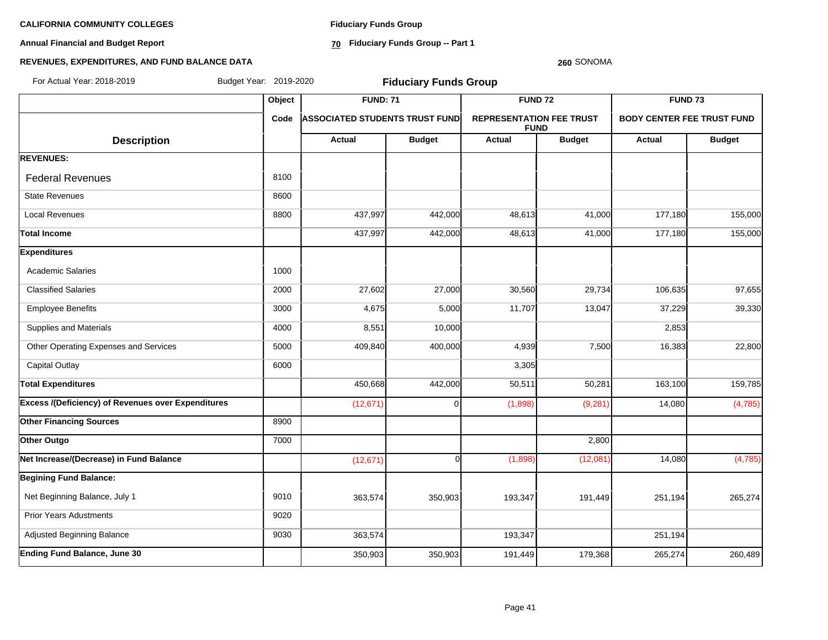**Annual Financial and Budget Report**

**Fiduciary Funds Group**

**70 Fiduciary Funds Group -- Part 1**

#### **260** SONOMA

| For Actual Year: 2018-2019                                |        | Budget Year: 2019-2020<br><b>Fiduciary Funds Group</b> |               |                                                |               |                                   |               |  |  |
|-----------------------------------------------------------|--------|--------------------------------------------------------|---------------|------------------------------------------------|---------------|-----------------------------------|---------------|--|--|
|                                                           | Object | <b>FUND: 71</b>                                        |               | <b>FUND 72</b>                                 |               | <b>FUND 73</b>                    |               |  |  |
|                                                           | Code   | <b>ASSOCIATED STUDENTS TRUST FUND</b>                  |               | <b>REPRESENTATION FEE TRUST</b><br><b>FUND</b> |               | <b>BODY CENTER FEE TRUST FUND</b> |               |  |  |
| <b>Description</b>                                        |        | <b>Actual</b>                                          | <b>Budget</b> | Actual                                         | <b>Budget</b> | Actual                            | <b>Budget</b> |  |  |
| <b>REVENUES:</b>                                          |        |                                                        |               |                                                |               |                                   |               |  |  |
| <b>Federal Revenues</b>                                   | 8100   |                                                        |               |                                                |               |                                   |               |  |  |
| <b>State Revenues</b>                                     | 8600   |                                                        |               |                                                |               |                                   |               |  |  |
| <b>Local Revenues</b>                                     | 8800   | 437,997                                                | 442,000       | 48,613                                         | 41,000        | 177,180                           | 155,000       |  |  |
| <b>Total Income</b>                                       |        | 437,997                                                | 442,000       | 48,613                                         | 41,000        | 177,180                           | 155,000       |  |  |
| <b>Expenditures</b>                                       |        |                                                        |               |                                                |               |                                   |               |  |  |
| <b>Academic Salaries</b>                                  | 1000   |                                                        |               |                                                |               |                                   |               |  |  |
| <b>Classified Salaries</b>                                | 2000   | 27,602                                                 | 27,000        | 30,560                                         | 29,734        | 106,635                           | 97,655        |  |  |
| <b>Employee Benefits</b>                                  | 3000   | 4,675                                                  | 5,000         | 11,707                                         | 13,047        | 37,229                            | 39,330        |  |  |
| Supplies and Materials                                    | 4000   | 8,551                                                  | 10,000        |                                                |               | 2,853                             |               |  |  |
| Other Operating Expenses and Services                     | 5000   | 409,840                                                | 400,000       | 4,939                                          | 7,500         | 16,383                            | 22,800        |  |  |
| <b>Capital Outlay</b>                                     | 6000   |                                                        |               | 3,305                                          |               |                                   |               |  |  |
| <b>Total Expenditures</b>                                 |        | 450,668                                                | 442,000       | 50,511                                         | 50,281        | 163,100                           | 159,785       |  |  |
| <b>Excess /(Deficiency) of Revenues over Expenditures</b> |        | (12, 671)                                              | $\Omega$      | (1,898)                                        | (9, 281)      | 14,080                            | (4,785)       |  |  |
| <b>Other Financing Sources</b>                            | 8900   |                                                        |               |                                                |               |                                   |               |  |  |
| Other Outgo                                               | 7000   |                                                        |               |                                                | 2,800         |                                   |               |  |  |
| Net Increase/(Decrease) in Fund Balance                   |        | (12, 671)                                              | $\Omega$      | (1,898)                                        | (12,081)      | 14,080                            | (4,785)       |  |  |
| <b>Begining Fund Balance:</b>                             |        |                                                        |               |                                                |               |                                   |               |  |  |
| Net Beginning Balance, July 1                             | 9010   | 363,574                                                | 350,903       | 193,347                                        | 191,449       | 251,194                           | 265,274       |  |  |
| <b>Prior Years Adustments</b>                             | 9020   |                                                        |               |                                                |               |                                   |               |  |  |
| Adjusted Beginning Balance                                | 9030   | 363,574                                                |               | 193,347                                        |               | 251,194                           |               |  |  |
| <b>Ending Fund Balance, June 30</b>                       |        | 350,903                                                | 350,903       | 191,449                                        | 179,368       | 265,274                           | 260,489       |  |  |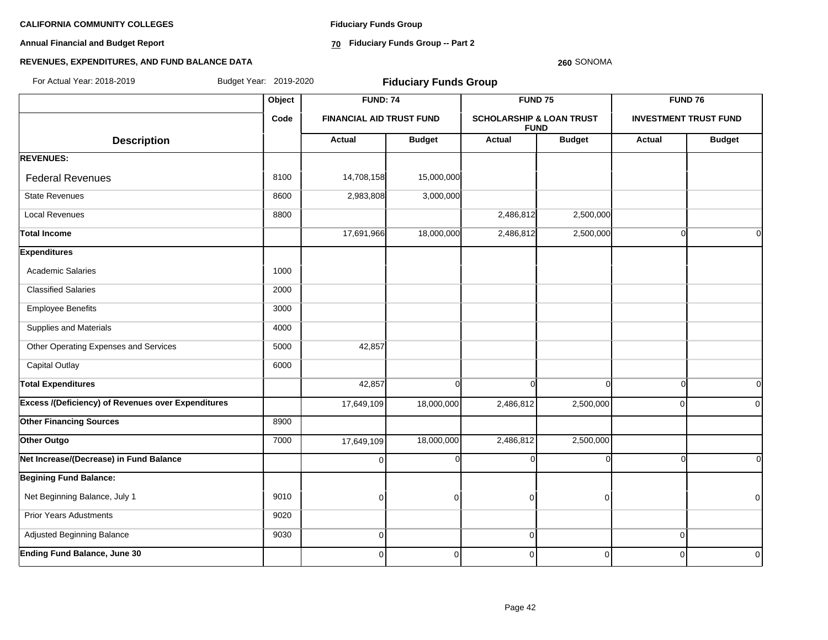**Annual Financial and Budget Report**

**Fiduciary Funds Group**

**70 Fiduciary Funds Group -- Part 2**

#### **260** SONOMA

| For Actual Year: 2018-2019                                | Budget Year: 2019-2020 |                                 | <b>Fiduciary Funds Group</b> |                                     |                |                |                              |
|-----------------------------------------------------------|------------------------|---------------------------------|------------------------------|-------------------------------------|----------------|----------------|------------------------------|
|                                                           | Object                 | <b>FUND: 74</b>                 |                              | FUND <sub>75</sub>                  |                |                | <b>FUND 76</b>               |
|                                                           | Code                   | <b>FINANCIAL AID TRUST FUND</b> |                              | <b>SCHOLARSHIP &amp; LOAN TRUST</b> | <b>FUND</b>    |                | <b>INVESTMENT TRUST FUND</b> |
| <b>Description</b>                                        |                        | Actual                          | <b>Budget</b>                | <b>Actual</b>                       | <b>Budget</b>  | <b>Actual</b>  | <b>Budget</b>                |
| <b>REVENUES:</b>                                          |                        |                                 |                              |                                     |                |                |                              |
| <b>Federal Revenues</b>                                   | 8100                   | 14,708,158                      | 15,000,000                   |                                     |                |                |                              |
| <b>State Revenues</b>                                     | 8600                   | 2,983,808                       | 3,000,000                    |                                     |                |                |                              |
| <b>Local Revenues</b>                                     | 8800                   |                                 |                              | 2,486,812                           | 2,500,000      |                |                              |
| <b>Total Income</b>                                       |                        | 17,691,966                      | 18,000,000                   | 2,486,812                           | 2,500,000      | $\Omega$       | $\overline{0}$               |
| <b>Expenditures</b>                                       |                        |                                 |                              |                                     |                |                |                              |
| <b>Academic Salaries</b>                                  | 1000                   |                                 |                              |                                     |                |                |                              |
| <b>Classified Salaries</b>                                | 2000                   |                                 |                              |                                     |                |                |                              |
| <b>Employee Benefits</b>                                  | 3000                   |                                 |                              |                                     |                |                |                              |
| Supplies and Materials                                    | 4000                   |                                 |                              |                                     |                |                |                              |
| Other Operating Expenses and Services                     | 5000                   | 42,857                          |                              |                                     |                |                |                              |
| <b>Capital Outlay</b>                                     | 6000                   |                                 |                              |                                     |                |                |                              |
| <b>Total Expenditures</b>                                 |                        | 42,857                          | $\Omega$                     | $\Omega$                            | $\Omega$       | $\Omega$       | $\overline{0}$               |
| <b>Excess /(Deficiency) of Revenues over Expenditures</b> |                        | 17,649,109                      | 18,000,000                   | 2,486,812                           | 2,500,000      | $\Omega$       | $\Omega$                     |
| <b>Other Financing Sources</b>                            | 8900                   |                                 |                              |                                     |                |                |                              |
| Other Outgo                                               | 7000                   | 17,649,109                      | 18,000,000                   | 2,486,812                           | 2,500,000      |                |                              |
| Net Increase/(Decrease) in Fund Balance                   |                        | $\Omega$                        | ∩                            |                                     |                | C              | $\Omega$                     |
| <b>Begining Fund Balance:</b>                             |                        |                                 |                              |                                     |                |                |                              |
| Net Beginning Balance, July 1                             | 9010                   | $\Omega$                        | 0                            | 0                                   | $\Omega$       |                | $\overline{0}$               |
| <b>Prior Years Adustments</b>                             | 9020                   |                                 |                              |                                     |                |                |                              |
| Adjusted Beginning Balance                                | 9030                   | $\overline{0}$                  |                              | $\mathbf 0$                         |                | $\overline{0}$ |                              |
| <b>Ending Fund Balance, June 30</b>                       |                        | $\overline{0}$                  | $\overline{0}$               | $\mathbf 0$                         | $\overline{0}$ | $\overline{0}$ | $\overline{0}$               |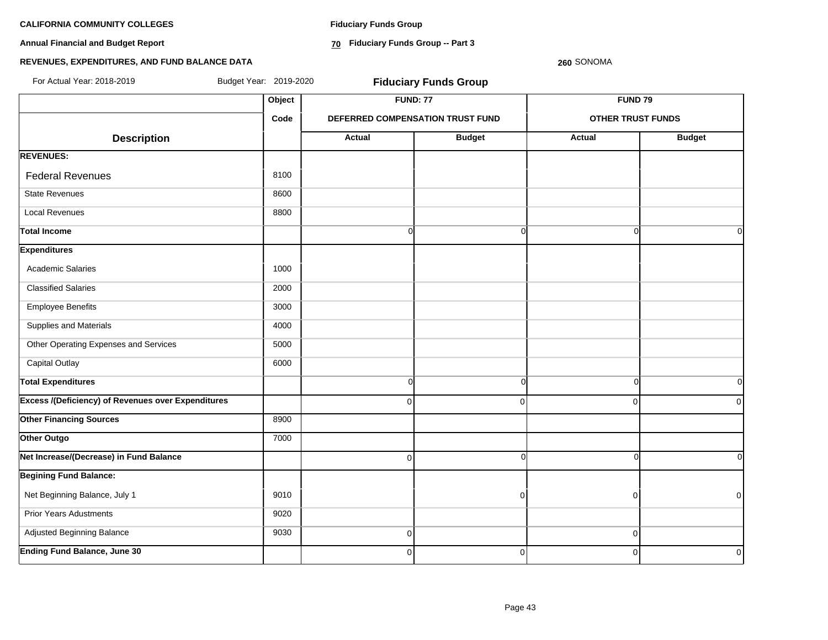**Annual Financial and Budget Report**

**Fiduciary Funds Group**

**70 Fiduciary Funds Group -- Part 3**

### **260** SONOMA

| For Actual Year: 2018-2019                                | Budget Year: 2019-2020 |                | <b>Fiduciary Funds Group</b>     |                          |               |
|-----------------------------------------------------------|------------------------|----------------|----------------------------------|--------------------------|---------------|
|                                                           | Object                 |                | <b>FUND: 77</b>                  | <b>FUND 79</b>           |               |
|                                                           | Code                   |                | DEFERRED COMPENSATION TRUST FUND | <b>OTHER TRUST FUNDS</b> |               |
| <b>Description</b>                                        |                        | <b>Actual</b>  | <b>Budget</b>                    | <b>Actual</b>            | <b>Budget</b> |
| <b>REVENUES:</b>                                          |                        |                |                                  |                          |               |
| <b>Federal Revenues</b>                                   | 8100                   |                |                                  |                          |               |
| <b>State Revenues</b>                                     | 8600                   |                |                                  |                          |               |
| <b>Local Revenues</b>                                     | 8800                   |                |                                  |                          |               |
| <b>Total Income</b>                                       |                        | $\Omega$       | $\Omega$                         | $\Omega$                 | 0I            |
| <b>Expenditures</b>                                       |                        |                |                                  |                          |               |
| <b>Academic Salaries</b>                                  | 1000                   |                |                                  |                          |               |
| <b>Classified Salaries</b>                                | 2000                   |                |                                  |                          |               |
| <b>Employee Benefits</b>                                  | 3000                   |                |                                  |                          |               |
| Supplies and Materials                                    | 4000                   |                |                                  |                          |               |
| Other Operating Expenses and Services                     | 5000                   |                |                                  |                          |               |
| <b>Capital Outlay</b>                                     | 6000                   |                |                                  |                          |               |
| <b>Total Expenditures</b>                                 |                        | <sub>0</sub>   | $\overline{0}$                   | $\Omega$                 | 0l            |
| <b>Excess /(Deficiency) of Revenues over Expenditures</b> |                        | $\Omega$       | $\Omega$                         | $\mathbf 0$              | 0             |
| <b>Other Financing Sources</b>                            | 8900                   |                |                                  |                          |               |
| Other Outgo                                               | 7000                   |                |                                  |                          |               |
| Net Increase/(Decrease) in Fund Balance                   |                        | $\overline{0}$ | $\overline{0}$                   | $\Omega$                 | οI            |
| <b>Begining Fund Balance:</b>                             |                        |                |                                  |                          |               |
| Net Beginning Balance, July 1                             | 9010                   |                | $\Omega$                         | $\overline{0}$           | $\mathbf 0$   |
| <b>Prior Years Adustments</b>                             | 9020                   |                |                                  |                          |               |
| Adjusted Beginning Balance                                | 9030                   | $\overline{0}$ |                                  | $\mathbf 0$              |               |
| Ending Fund Balance, June 30                              |                        | $\mathbf 0$    | $\overline{0}$                   | $\mathbf 0$              | $\mathbf 0$   |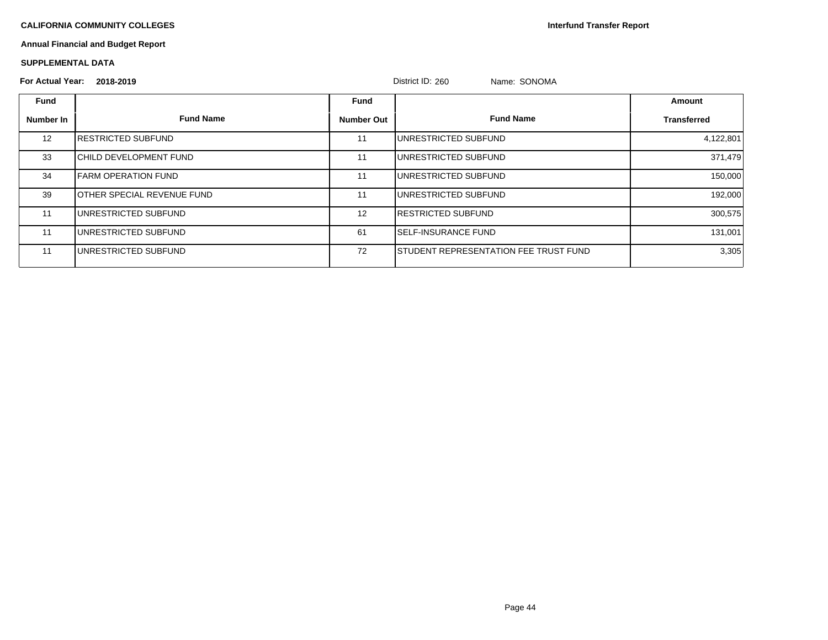**Interfund Transfer Report**

# **Annual Financial and Budget Report**

### **SUPPLEMENTAL DATA**

# **For Actual Year: 2018-2019** District ID: 260 Name: SONOMA

|                   | $1$ VI Actual Teal. $2010 - 2019$  |                   | DISTINT ID. ZOU<br><b>NAME.</b> SUNUMA |                    |
|-------------------|------------------------------------|-------------------|----------------------------------------|--------------------|
| <b>Fund</b>       |                                    | Fund              |                                        | Amount             |
| Number In         | <b>Fund Name</b>                   | <b>Number Out</b> | <b>Fund Name</b>                       | <b>Transferred</b> |
| $12 \overline{ }$ | <b>IRESTRICTED SUBFUND</b>         | 11                | UNRESTRICTED SUBFUND                   | 4,122,801          |
| 33                | ICHILD DEVELOPMENT FUND            | 11                | UNRESTRICTED SUBFUND                   | 371,479            |
| 34                | <b>IFARM OPERATION FUND</b>        | 11                | UNRESTRICTED SUBFUND                   | 150,000            |
| 39                | <b>JOTHER SPECIAL REVENUE FUND</b> | 11                | IUNRESTRICTED SUBFUND                  | 192,000            |
| 11                | <b>I</b> UNRESTRICTED SUBFUND      | 12                | <b>IRESTRICTED SUBFUND</b>             | 300,575            |
| 11                | <b>I</b> UNRESTRICTED SUBFUND      | 61                | <b>ISELF-INSURANCE FUND</b>            | 131,001            |
| 11                | <b>IUNRESTRICTED SUBFUND</b>       | 72                | ISTUDENT REPRESENTATION FEE TRUST FUND | 3,305              |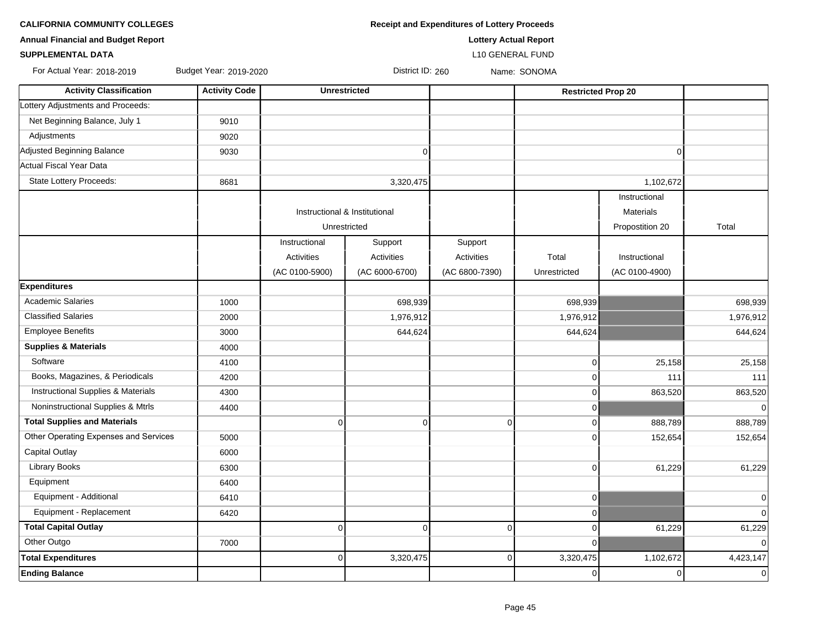| <b>Annual Financial and Budget Report</b> |                        |                |                               | <b>Lottery Actual Report</b> |                |                           |             |
|-------------------------------------------|------------------------|----------------|-------------------------------|------------------------------|----------------|---------------------------|-------------|
| <b>SUPPLEMENTAL DATA</b>                  |                        |                |                               | L10 GENERAL FUND             |                |                           |             |
| For Actual Year: 2018-2019                | Budget Year: 2019-2020 |                | District ID: 260              |                              | Name: SONOMA   |                           |             |
| <b>Activity Classification</b>            | <b>Activity Code</b>   |                | <b>Unrestricted</b>           |                              |                | <b>Restricted Prop 20</b> |             |
| Lottery Adjustments and Proceeds:         |                        |                |                               |                              |                |                           |             |
| Net Beginning Balance, July 1             | 9010                   |                |                               |                              |                |                           |             |
| Adjustments                               | 9020                   |                |                               |                              |                |                           |             |
| Adjusted Beginning Balance                | 9030                   |                | $\overline{0}$                |                              |                | $\mathbf 0$               |             |
| Actual Fiscal Year Data                   |                        |                |                               |                              |                |                           |             |
| <b>State Lottery Proceeds:</b>            | 8681                   |                | 3,320,475                     |                              |                | 1,102,672                 |             |
|                                           |                        |                |                               |                              |                | Instructional             |             |
|                                           |                        |                | Instructional & Institutional |                              |                | <b>Materials</b>          |             |
|                                           |                        |                | Unrestricted                  |                              |                | Propostition 20           | Total       |
|                                           |                        | Instructional  | Support                       | Support                      |                |                           |             |
|                                           |                        | Activities     | Activities                    | Activities                   | Total          | Instructional             |             |
|                                           |                        | (AC 0100-5900) | (AC 6000-6700)                | (AC 6800-7390)               | Unrestricted   | (AC 0100-4900)            |             |
| <b>Expenditures</b>                       |                        |                |                               |                              |                |                           |             |
| <b>Academic Salaries</b>                  | 1000                   |                | 698,939                       |                              | 698,939        |                           | 698,939     |
| <b>Classified Salaries</b>                | 2000                   |                | 1,976,912                     |                              | 1,976,912      |                           | 1,976,912   |
| <b>Employee Benefits</b>                  | 3000                   |                | 644,624                       |                              | 644,624        |                           | 644,624     |
| <b>Supplies &amp; Materials</b>           | 4000                   |                |                               |                              |                |                           |             |
| Software                                  | 4100                   |                |                               |                              | 0              | 25,158                    | 25,158      |
| Books, Magazines, & Periodicals           | 4200                   |                |                               |                              | $\overline{0}$ | 111                       | 111         |
| Instructional Supplies & Materials        | 4300                   |                |                               |                              | $\overline{0}$ | 863,520                   | 863,520     |
| Noninstructional Supplies & Mtrls         | 4400                   |                |                               |                              | $\mathbf 0$    |                           |             |
| <b>Total Supplies and Materials</b>       |                        | $\mathbf 0$    | $\overline{0}$                | $\Omega$                     | $\overline{0}$ | 888,789                   | 888,789     |
| Other Operating Expenses and Services     | 5000                   |                |                               |                              | $\Omega$       | 152,654                   | 152,654     |
| Capital Outlay                            | 6000                   |                |                               |                              |                |                           |             |
| Library Books                             | 6300                   |                |                               |                              | $\overline{0}$ | 61,229                    | 61,229      |
| Equipment                                 | 6400                   |                |                               |                              |                |                           |             |
| Equipment - Additional                    | 6410                   |                |                               |                              | $\mathbf 0$    |                           | $\Omega$    |
| Equipment - Replacement                   | 6420                   |                |                               |                              | $\mathbf 0$    |                           | $\Omega$    |
| <b>Total Capital Outlay</b>               |                        | $\mathbf 0$    | $\overline{0}$                | $\Omega$                     | $\mathbf 0$    | 61,229                    | 61,229      |
| Other Outgo                               | 7000                   |                |                               |                              | $\mathbf 0$    |                           | $\mathbf 0$ |
| <b>Total Expenditures</b>                 |                        | 0              | 3,320,475                     | $\Omega$                     | 3,320,475      | 1,102,672                 | 4,423,147   |
| <b>Ending Balance</b>                     |                        |                |                               |                              | $\overline{0}$ | $\overline{0}$            | $\Omega$    |

**CALIFORNIA COMMUNITY COLLEGES Receipt and Expenditures of Lottery Proceeds**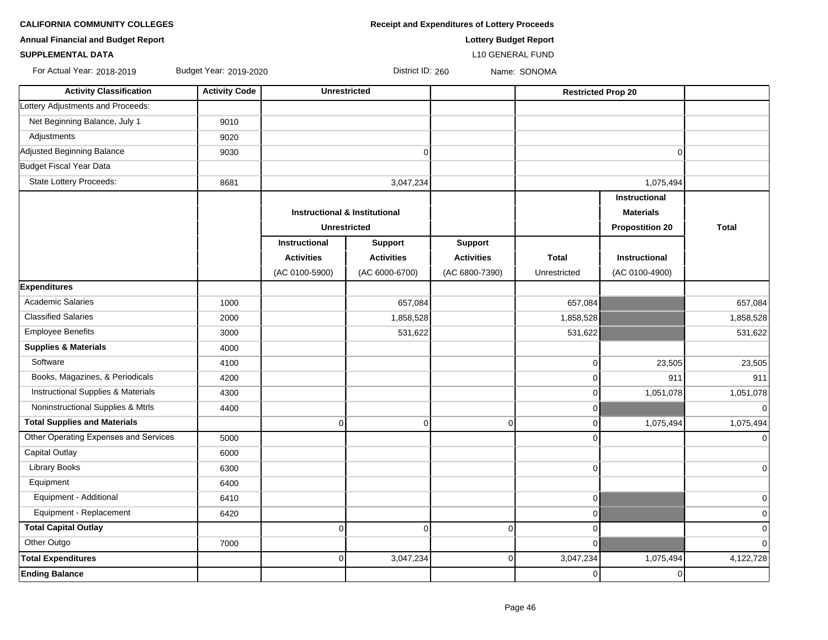| <b>CALIFORNIA COMMUNITY COLLEGES</b> | <b>Receipt and Expenditures of Lottery Proceeds</b> |
|--------------------------------------|-----------------------------------------------------|
|--------------------------------------|-----------------------------------------------------|

**Annual Financial and Budget Report Lottery Budget Report**

# **SUPPLEMENTAL DATA** L10 GENERAL FUND

For Actual Year: 2018-2019 Budget Year: 2019-2020 District ID: 260 Name: SONOMA

| <b>Activity Classification</b>                | <b>Activity Code</b> |                   | <b>Unrestricted</b>                      |                   | <b>Restricted Prop 20</b> |                        |              |
|-----------------------------------------------|----------------------|-------------------|------------------------------------------|-------------------|---------------------------|------------------------|--------------|
| Lottery Adjustments and Proceeds:             |                      |                   |                                          |                   |                           |                        |              |
| Net Beginning Balance, July 1                 | 9010                 |                   |                                          |                   |                           |                        |              |
| Adjustments                                   | 9020                 |                   |                                          |                   |                           |                        |              |
| Adjusted Beginning Balance                    | 9030                 |                   | $\overline{0}$                           |                   |                           | $\Omega$               |              |
| Budget Fiscal Year Data                       |                      |                   |                                          |                   |                           |                        |              |
| State Lottery Proceeds:                       | 8681                 |                   | 3,047,234                                |                   |                           | 1,075,494              |              |
|                                               |                      |                   |                                          |                   |                           | Instructional          |              |
|                                               |                      |                   | <b>Instructional &amp; Institutional</b> |                   |                           | <b>Materials</b>       |              |
|                                               |                      |                   | <b>Unrestricted</b>                      |                   |                           | <b>Propostition 20</b> | <b>Total</b> |
|                                               |                      | Instructional     | <b>Support</b>                           | <b>Support</b>    |                           |                        |              |
|                                               |                      | <b>Activities</b> | <b>Activities</b>                        | <b>Activities</b> | <b>Total</b>              | <b>Instructional</b>   |              |
|                                               |                      | (AC 0100-5900)    | (AC 6000-6700)                           | (AC 6800-7390)    | Unrestricted              | (AC 0100-4900)         |              |
| <b>Expenditures</b>                           |                      |                   |                                          |                   |                           |                        |              |
| <b>Academic Salaries</b>                      | 1000                 |                   | 657,084                                  |                   | 657,084                   |                        | 657,084      |
| <b>Classified Salaries</b>                    | 2000                 |                   | 1,858,528                                |                   | 1,858,528                 |                        | 1,858,528    |
| <b>Employee Benefits</b>                      | 3000                 |                   | 531,622                                  |                   | 531,622                   |                        | 531,622      |
| <b>Supplies &amp; Materials</b>               | 4000                 |                   |                                          |                   |                           |                        |              |
| Software                                      | 4100                 |                   |                                          |                   | $\Omega$                  | 23,505                 | 23,505       |
| Books, Magazines, & Periodicals               | 4200                 |                   |                                          |                   | $\Omega$                  | 911                    | 911          |
| <b>Instructional Supplies &amp; Materials</b> | 4300                 |                   |                                          |                   | O                         | 1,051,078              | 1,051,078    |
| Noninstructional Supplies & Mtrls             | 4400                 |                   |                                          |                   | $\mathbf 0$               |                        | $\mathbf 0$  |
| <b>Total Supplies and Materials</b>           |                      | $\mathbf 0$       | $\overline{0}$                           | $\overline{0}$    | 0                         | 1,075,494              | 1,075,494    |
| Other Operating Expenses and Services         | 5000                 |                   |                                          |                   | $\Omega$                  |                        | $\Omega$     |
| <b>Capital Outlay</b>                         | 6000                 |                   |                                          |                   |                           |                        |              |
| <b>Library Books</b>                          | 6300                 |                   |                                          |                   | 0                         |                        | $\mathbf 0$  |
| Equipment                                     | 6400                 |                   |                                          |                   |                           |                        |              |
| Equipment - Additional                        | 6410                 |                   |                                          |                   | $\overline{0}$            |                        | $\mathbf 0$  |
| Equipment - Replacement                       | 6420                 |                   |                                          |                   | $\Omega$                  |                        | $\mathbf 0$  |
| <b>Total Capital Outlay</b>                   |                      | $\mathbf 0$       | $\overline{0}$                           | $\Omega$          | $\Omega$                  |                        | $\mathbf 0$  |
| Other Outgo                                   | 7000                 |                   |                                          |                   | $\Omega$                  |                        | $\Omega$     |
| <b>Total Expenditures</b>                     |                      | 0                 | 3,047,234                                | $\overline{0}$    | 3,047,234                 | 1,075,494              | 4,122,728    |
| <b>Ending Balance</b>                         |                      |                   |                                          |                   | $\mathbf 0$               | $\overline{0}$         |              |
|                                               |                      |                   |                                          |                   |                           |                        |              |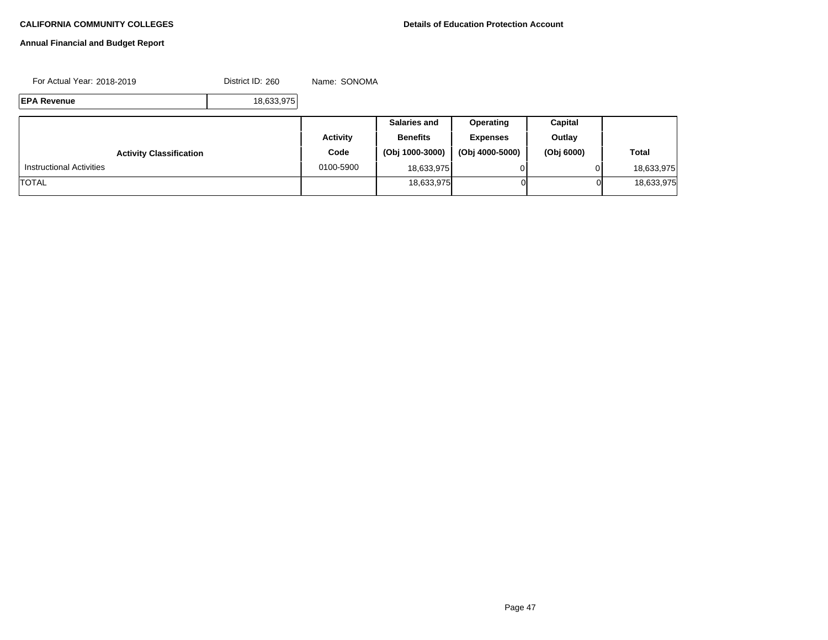# **Annual Financial and Budget Report**

For Actual Year: 2018-2019 District ID: 260 Name: SONOMA

**EPA Revenue** 18,633,975

|                                 |           | <b>Salaries and</b> | Operating       | Capital    |              |
|---------------------------------|-----------|---------------------|-----------------|------------|--------------|
|                                 | Activity  | <b>Benefits</b>     | <b>Expenses</b> | Outlay     |              |
| <b>Activity Classification</b>  | Code      | (Obj 1000-3000)     | (Obj 4000-5000) | (Obj 6000) | <b>Total</b> |
| <b>Instructional Activities</b> | 0100-5900 | 18,633,975          |                 |            | 18,633,975   |
| <b>TOTAL</b>                    |           | 18,633,975          |                 | 01         | 18,633,975   |